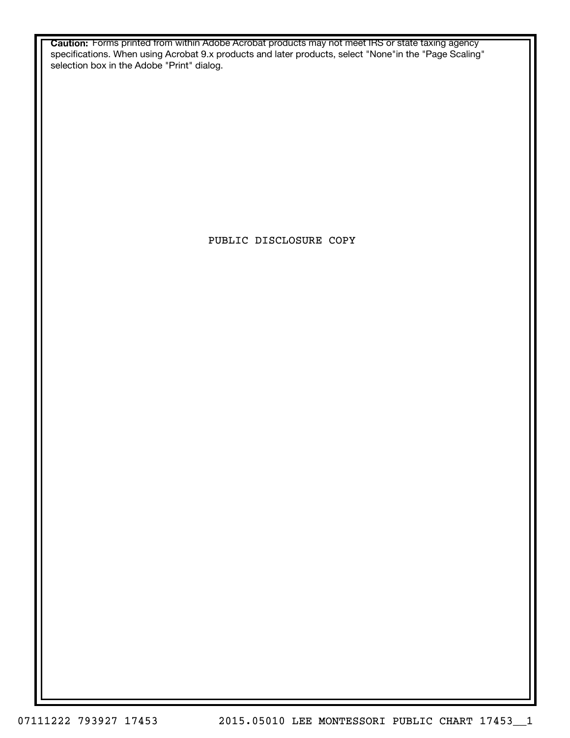**Caution:** Forms printed from within Adobe Acrobat products may not meet IRS or state taxing agency specifications. When using Acrobat 9.x products and later products, select "None"in the "Page Scaling" selection box in the Adobe "Print" dialog.

PUBLIC DISCLOSURE COPY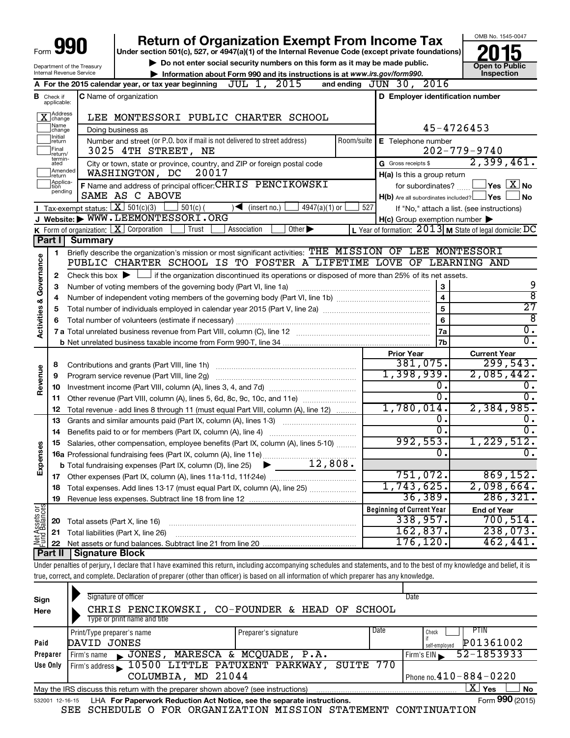|                                    |                               | Form <b>990</b>                                        | <b>Return of Organization Exempt From Income Tax</b><br>Under section 501(c), 527, or 4947(a)(1) of the Internal Revenue Code (except private foundations)                 |                                                                        | OMB No. 1545-0047                          |
|------------------------------------|-------------------------------|--------------------------------------------------------|----------------------------------------------------------------------------------------------------------------------------------------------------------------------------|------------------------------------------------------------------------|--------------------------------------------|
|                                    |                               |                                                        | Do not enter social security numbers on this form as it may be made public.                                                                                                |                                                                        |                                            |
|                                    |                               | Department of the Treasury<br>Internal Revenue Service | Information about Form 990 and its instructions is at www.irs.gov/form990.                                                                                                 |                                                                        | <b>Open to Public</b><br>Inspection        |
|                                    |                               |                                                        | JUL 1,<br>2015<br>A For the 2015 calendar year, or tax year beginning                                                                                                      | and ending $JUN$ $30$ , $2016$                                         |                                            |
|                                    |                               |                                                        | <b>C</b> Name of organization                                                                                                                                              | D Employer identification number                                       |                                            |
|                                    | <b>B</b> Check if applicable: |                                                        |                                                                                                                                                                            |                                                                        |                                            |
|                                    | X Address<br>Name<br>change   |                                                        | LEE MONTESSORI PUBLIC CHARTER SCHOOL                                                                                                                                       |                                                                        | 45-4726453                                 |
|                                    | Initial                       |                                                        | Doing business as                                                                                                                                                          |                                                                        |                                            |
|                                    | return<br>Final<br>return/    |                                                        | Number and street (or P.O. box if mail is not delivered to street address)<br>Room/suite<br>3025 4TH STREET, NE                                                            | E Telephone number                                                     | $202 - 779 - 9740$                         |
|                                    | termin-<br>ated               |                                                        | City or town, state or province, country, and ZIP or foreign postal code                                                                                                   | G Gross receipts \$                                                    | 2,399,461.                                 |
|                                    | Amended<br>return             |                                                        | WASHINGTON, DC<br>20017                                                                                                                                                    | H(a) Is this a group return                                            |                                            |
|                                    | Applica-<br>tion              |                                                        | F Name and address of principal officer: CHRIS PENCIKOWSKI                                                                                                                 | for subordinates?                                                      | $\Box$ Yes $[\overline{\mathrm{X}}]$ No    |
|                                    | pending                       |                                                        | SAME AS C ABOVE                                                                                                                                                            | $H(b)$ Are all subordinates included? $\Box$ Yes                       | ⊿ No                                       |
|                                    |                               | <b>I</b> Tax-exempt status: $X \over 301(c)(3)$        | $501(c)$ (<br>$\blacktriangleleft$ (insert no.)<br>$4947(a)(1)$ or                                                                                                         | 527                                                                    | If "No," attach a list. (see instructions) |
|                                    |                               |                                                        | J Website: WWW.LEEMONTESSORI.ORG                                                                                                                                           | $H(c)$ Group exemption number $\blacktriangleright$                    |                                            |
|                                    |                               |                                                        | Other $\blacktriangleright$<br>K Form of organization: $X$ Corporation<br>Association<br>Trust                                                                             | L Year of formation: $2013$ M State of legal domicile: $\overline{DC}$ |                                            |
|                                    | Part I                        | Summary                                                |                                                                                                                                                                            |                                                                        |                                            |
|                                    | 1                             |                                                        | Briefly describe the organization's mission or most significant activities: THE MISSION OF LEE MONTESSORI                                                                  |                                                                        |                                            |
|                                    |                               |                                                        | PUBLIC CHARTER SCHOOL IS TO FOSTER A LIFETIME LOVE OF LEARNING AND                                                                                                         |                                                                        |                                            |
| <b>Activities &amp; Governance</b> | 2                             |                                                        | Check this box $\blacktriangleright$ $\Box$ if the organization discontinued its operations or disposed of more than 25% of its net assets.                                |                                                                        |                                            |
|                                    | З                             |                                                        | Number of voting members of the governing body (Part VI, line 1a)                                                                                                          | 3                                                                      | 9                                          |
|                                    | 4                             |                                                        |                                                                                                                                                                            | $\overline{\mathbf{4}}$                                                | $\overline{8}$                             |
|                                    | 5                             |                                                        |                                                                                                                                                                            | 5                                                                      | $\overline{27}$                            |
|                                    | 6                             |                                                        |                                                                                                                                                                            | 6                                                                      | $\overline{\mathbf{8}}$                    |
|                                    |                               |                                                        |                                                                                                                                                                            | 7a                                                                     | $\overline{0}$ .                           |
|                                    |                               |                                                        |                                                                                                                                                                            | 7 <sub>b</sub>                                                         | $\overline{0}$ .                           |
|                                    |                               |                                                        |                                                                                                                                                                            | <b>Prior Year</b>                                                      | <b>Current Year</b>                        |
|                                    | 8                             |                                                        | Contributions and grants (Part VIII, line 1h)                                                                                                                              | 381,075.                                                               | 299,543.                                   |
| Revenue                            | 9                             |                                                        | Program service revenue (Part VIII, line 2g)                                                                                                                               | 1,398,939.                                                             | 2,085,442.                                 |
|                                    | 10                            |                                                        |                                                                                                                                                                            | о.                                                                     | 0.                                         |
|                                    | 11                            |                                                        | Other revenue (Part VIII, column (A), lines 5, 6d, 8c, 9c, 10c, and 11e)                                                                                                   | σ.                                                                     | $\overline{0}$ .                           |
|                                    | 12                            |                                                        | Total revenue - add lines 8 through 11 (must equal Part VIII, column (A), line 12)                                                                                         | 1,780,014.                                                             | 2,384,985.                                 |
|                                    | 13                            |                                                        | Grants and similar amounts paid (Part IX, column (A), lines 1-3)                                                                                                           | Ο.                                                                     | 0.                                         |
|                                    | 14                            |                                                        |                                                                                                                                                                            | $\overline{0}$ .                                                       | $\overline{0}$ .                           |
| n,                                 |                               |                                                        | 15 Salaries, other compensation, employee benefits (Part IX, column (A), lines 5-10)                                                                                       | 992, 553.                                                              | 1,229,512.                                 |
|                                    |                               |                                                        | 16a Professional fundraising fees (Part IX, column (A), line 11e)                                                                                                          | σ.                                                                     | $\overline{0}$ .                           |
| Expense                            |                               |                                                        | 12,808.<br><b>b</b> Total fundraising expenses (Part IX, column (D), line 25)                                                                                              |                                                                        |                                            |
|                                    |                               |                                                        |                                                                                                                                                                            | 751,072.                                                               | 869, 152.                                  |
|                                    | 18                            |                                                        | Total expenses. Add lines 13-17 (must equal Part IX, column (A), line 25)                                                                                                  | 1,743,625.                                                             | 2,098,664.                                 |
|                                    | 19                            |                                                        |                                                                                                                                                                            | 36,389.                                                                | 286, 321.                                  |
| Net Assets or                      |                               |                                                        |                                                                                                                                                                            | <b>Beginning of Current Year</b>                                       | <b>End of Year</b>                         |
|                                    | 20                            | Total assets (Part X, line 16)                         |                                                                                                                                                                            | 338,957.                                                               | 700, 514.                                  |
|                                    | 21                            |                                                        | Total liabilities (Part X, line 26)                                                                                                                                        | 162,837.                                                               | 238,073.                                   |
|                                    | 22                            |                                                        |                                                                                                                                                                            | 176, 120.                                                              | 462, 441.                                  |
|                                    | Part II                       | Signature Block                                        |                                                                                                                                                                            |                                                                        |                                            |
|                                    |                               |                                                        | Under penalties of perjury, I declare that I have examined this return, including accompanying schedules and statements, and to the best of my knowledge and belief, it is |                                                                        |                                            |
|                                    |                               |                                                        | true, correct, and complete. Declaration of preparer (other than officer) is based on all information of which preparer has any knowledge.                                 |                                                                        |                                            |

| Sign<br>Here | Signature of officer<br>CHRIS PENCIKOWSKI, CO-FOUNDER & HEAD OF SCHOOL<br>Type or print name and title       |                      |           | Date                                        |  |  |  |  |  |
|--------------|--------------------------------------------------------------------------------------------------------------|----------------------|-----------|---------------------------------------------|--|--|--|--|--|
| Paid         | Print/Type preparer's name<br>DAVID JONES                                                                    | Preparer's signature | Date      | PTIN<br>Check<br>P01361002<br>self-employed |  |  |  |  |  |
| Preparer     | JONES, MARESCA & MCQUADE, P.A.<br>Firm's name                                                                |                      |           | 52-1853933<br>Firm's $EIN$                  |  |  |  |  |  |
| Use Only     | Firm's address 10500 LITTLE PATUXENT PARKWAY,<br>COLUMBIA, MD 21044                                          |                      | SUITE 770 | Phone no. $410 - 884 - 0220$                |  |  |  |  |  |
|              | May the IRS discuss this return with the preparer shown above? (see instructions)                            |                      |           | ΧI<br>Yes<br>No                             |  |  |  |  |  |
|              | Form 990 (2015)<br>LHA For Paperwork Reduction Act Notice, see the separate instructions.<br>532001 12-16-15 |                      |           |                                             |  |  |  |  |  |

SEE SCHEDULE O FOR ORGANIZATION MISSION STATEMENT CONTINUATION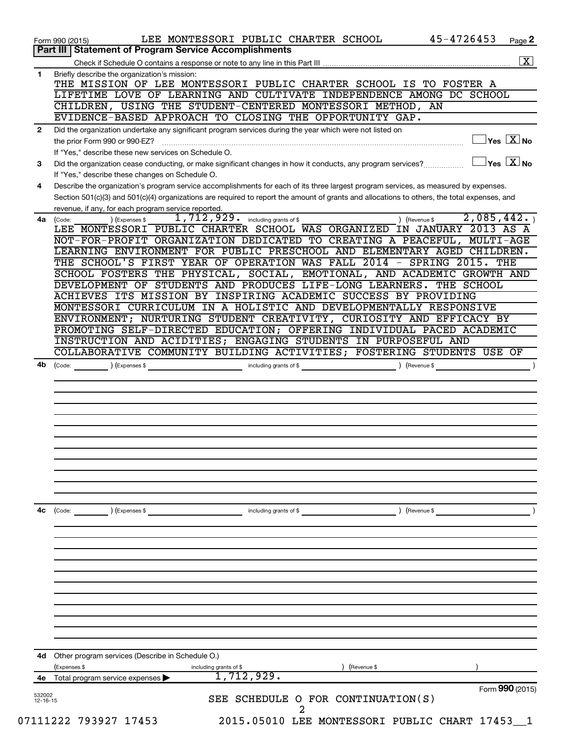| Briefly describe the organization's mission:<br>1<br>THE MISSION OF LEE MONTESSORI PUBLIC CHARTER SCHOOL IS TO FOSTER A<br>LIFETIME LOVE OF LEARNING AND CULTIVATE INDEPENDENCE AMONG DC SCHOOL<br>CHILDREN, USING THE STUDENT-CENTERED MONTESSORI METHOD, AN<br>EVIDENCE-BASED APPROACH TO CLOSING THE OPPORTUNITY GAP.<br>Did the organization undertake any significant program services during the year which were not listed on<br>$\mathbf{2}$<br>the prior Form 990 or 990-EZ?<br>If "Yes," describe these new services on Schedule O.<br>Did the organization cease conducting, or make significant changes in how it conducts, any program services?<br>3<br>If "Yes," describe these changes on Schedule O.<br>Describe the organization's program service accomplishments for each of its three largest program services, as measured by expenses.<br>4<br>Section 501(c)(3) and 501(c)(4) organizations are required to report the amount of grants and allocations to others, the total expenses, and<br>revenue, if any, for each program service reported.<br>$\overline{1,712,929}$ including grants of \$<br>) (Expenses \$<br>) (Revenue \$<br>4a<br>(Code:<br>DEVELOPMENT OF STUDENTS AND PRODUCES LIFE-LONG LEARNERS. THE SCHOOL<br>ACHIEVES ITS MISSION BY INSPIRING ACADEMIC SUCCESS BY PROVIDING<br>MONTESSORI CURRICULUM IN A HOLISTIC AND DEVELOPMENTALLY RESPONSIVE<br>INSTRUCTION AND ACIDITIES; ENGAGING STUDENTS IN PURPOSEFUL AND<br>4b<br>including grants of \$<br>) (Revenue \$<br>(Code:<br>) (Expenses \$<br>4с<br>including grants of \$<br>) (Revenue \$<br>(Code:<br>) (Expenses \$<br>Other program services (Describe in Schedule O.)<br>4d<br>(Expenses \$<br>including grants of \$<br>) (Revenue \$<br>1,712,929.<br>Total program service expenses<br>4e<br>532002<br>SEE SCHEDULE O FOR CONTINUATION(S) | 45-4726453<br>LEE MONTESSORI PUBLIC CHARTER SCHOOL<br>Page 2<br>Form 990 (2015)<br>Part III   Statement of Program Service Accomplishments |
|------------------------------------------------------------------------------------------------------------------------------------------------------------------------------------------------------------------------------------------------------------------------------------------------------------------------------------------------------------------------------------------------------------------------------------------------------------------------------------------------------------------------------------------------------------------------------------------------------------------------------------------------------------------------------------------------------------------------------------------------------------------------------------------------------------------------------------------------------------------------------------------------------------------------------------------------------------------------------------------------------------------------------------------------------------------------------------------------------------------------------------------------------------------------------------------------------------------------------------------------------------------------------------------------------------------------------------------------------------------------------------------------------------------------------------------------------------------------------------------------------------------------------------------------------------------------------------------------------------------------------------------------------------------------------------------------------------------------------------------------------------------------------------------------------------------------------------------------------|--------------------------------------------------------------------------------------------------------------------------------------------|
|                                                                                                                                                                                                                                                                                                                                                                                                                                                                                                                                                                                                                                                                                                                                                                                                                                                                                                                                                                                                                                                                                                                                                                                                                                                                                                                                                                                                                                                                                                                                                                                                                                                                                                                                                                                                                                                      | $\overline{\mathbf{X}}$                                                                                                                    |
|                                                                                                                                                                                                                                                                                                                                                                                                                                                                                                                                                                                                                                                                                                                                                                                                                                                                                                                                                                                                                                                                                                                                                                                                                                                                                                                                                                                                                                                                                                                                                                                                                                                                                                                                                                                                                                                      |                                                                                                                                            |
|                                                                                                                                                                                                                                                                                                                                                                                                                                                                                                                                                                                                                                                                                                                                                                                                                                                                                                                                                                                                                                                                                                                                                                                                                                                                                                                                                                                                                                                                                                                                                                                                                                                                                                                                                                                                                                                      |                                                                                                                                            |
|                                                                                                                                                                                                                                                                                                                                                                                                                                                                                                                                                                                                                                                                                                                                                                                                                                                                                                                                                                                                                                                                                                                                                                                                                                                                                                                                                                                                                                                                                                                                                                                                                                                                                                                                                                                                                                                      |                                                                                                                                            |
|                                                                                                                                                                                                                                                                                                                                                                                                                                                                                                                                                                                                                                                                                                                                                                                                                                                                                                                                                                                                                                                                                                                                                                                                                                                                                                                                                                                                                                                                                                                                                                                                                                                                                                                                                                                                                                                      |                                                                                                                                            |
|                                                                                                                                                                                                                                                                                                                                                                                                                                                                                                                                                                                                                                                                                                                                                                                                                                                                                                                                                                                                                                                                                                                                                                                                                                                                                                                                                                                                                                                                                                                                                                                                                                                                                                                                                                                                                                                      |                                                                                                                                            |
|                                                                                                                                                                                                                                                                                                                                                                                                                                                                                                                                                                                                                                                                                                                                                                                                                                                                                                                                                                                                                                                                                                                                                                                                                                                                                                                                                                                                                                                                                                                                                                                                                                                                                                                                                                                                                                                      | $\sqrt{}$ Yes $\sqrt{ \ \overline{\text{X}}}$ No                                                                                           |
|                                                                                                                                                                                                                                                                                                                                                                                                                                                                                                                                                                                                                                                                                                                                                                                                                                                                                                                                                                                                                                                                                                                                                                                                                                                                                                                                                                                                                                                                                                                                                                                                                                                                                                                                                                                                                                                      |                                                                                                                                            |
|                                                                                                                                                                                                                                                                                                                                                                                                                                                                                                                                                                                                                                                                                                                                                                                                                                                                                                                                                                                                                                                                                                                                                                                                                                                                                                                                                                                                                                                                                                                                                                                                                                                                                                                                                                                                                                                      | $\vert$ Yes $\vert$ $\overline{\mathrm{X}}$ $\vert$ No                                                                                     |
|                                                                                                                                                                                                                                                                                                                                                                                                                                                                                                                                                                                                                                                                                                                                                                                                                                                                                                                                                                                                                                                                                                                                                                                                                                                                                                                                                                                                                                                                                                                                                                                                                                                                                                                                                                                                                                                      |                                                                                                                                            |
|                                                                                                                                                                                                                                                                                                                                                                                                                                                                                                                                                                                                                                                                                                                                                                                                                                                                                                                                                                                                                                                                                                                                                                                                                                                                                                                                                                                                                                                                                                                                                                                                                                                                                                                                                                                                                                                      |                                                                                                                                            |
|                                                                                                                                                                                                                                                                                                                                                                                                                                                                                                                                                                                                                                                                                                                                                                                                                                                                                                                                                                                                                                                                                                                                                                                                                                                                                                                                                                                                                                                                                                                                                                                                                                                                                                                                                                                                                                                      |                                                                                                                                            |
|                                                                                                                                                                                                                                                                                                                                                                                                                                                                                                                                                                                                                                                                                                                                                                                                                                                                                                                                                                                                                                                                                                                                                                                                                                                                                                                                                                                                                                                                                                                                                                                                                                                                                                                                                                                                                                                      | 2,085,442.                                                                                                                                 |
|                                                                                                                                                                                                                                                                                                                                                                                                                                                                                                                                                                                                                                                                                                                                                                                                                                                                                                                                                                                                                                                                                                                                                                                                                                                                                                                                                                                                                                                                                                                                                                                                                                                                                                                                                                                                                                                      | LEE MONTESSORI PUBLIC CHARTER SCHOOL WAS ORGANIZED IN JANUARY 2013 AS A                                                                    |
|                                                                                                                                                                                                                                                                                                                                                                                                                                                                                                                                                                                                                                                                                                                                                                                                                                                                                                                                                                                                                                                                                                                                                                                                                                                                                                                                                                                                                                                                                                                                                                                                                                                                                                                                                                                                                                                      | NOT-FOR-PROFIT ORGANIZATION DEDICATED TO CREATING A PEACEFUL, MULTI-AGE                                                                    |
|                                                                                                                                                                                                                                                                                                                                                                                                                                                                                                                                                                                                                                                                                                                                                                                                                                                                                                                                                                                                                                                                                                                                                                                                                                                                                                                                                                                                                                                                                                                                                                                                                                                                                                                                                                                                                                                      | LEARNING ENVIRONMENT FOR PUBLIC PRESCHOOL AND ELEMENTARY AGED CHILDREN.                                                                    |
|                                                                                                                                                                                                                                                                                                                                                                                                                                                                                                                                                                                                                                                                                                                                                                                                                                                                                                                                                                                                                                                                                                                                                                                                                                                                                                                                                                                                                                                                                                                                                                                                                                                                                                                                                                                                                                                      | THE SCHOOL'S FIRST YEAR OF OPERATION WAS FALL 2014 - SPRING 2015. THE                                                                      |
|                                                                                                                                                                                                                                                                                                                                                                                                                                                                                                                                                                                                                                                                                                                                                                                                                                                                                                                                                                                                                                                                                                                                                                                                                                                                                                                                                                                                                                                                                                                                                                                                                                                                                                                                                                                                                                                      | SCHOOL FOSTERS THE PHYSICAL, SOCIAL, EMOTIONAL, AND ACADEMIC GROWTH AND                                                                    |
|                                                                                                                                                                                                                                                                                                                                                                                                                                                                                                                                                                                                                                                                                                                                                                                                                                                                                                                                                                                                                                                                                                                                                                                                                                                                                                                                                                                                                                                                                                                                                                                                                                                                                                                                                                                                                                                      |                                                                                                                                            |
|                                                                                                                                                                                                                                                                                                                                                                                                                                                                                                                                                                                                                                                                                                                                                                                                                                                                                                                                                                                                                                                                                                                                                                                                                                                                                                                                                                                                                                                                                                                                                                                                                                                                                                                                                                                                                                                      |                                                                                                                                            |
|                                                                                                                                                                                                                                                                                                                                                                                                                                                                                                                                                                                                                                                                                                                                                                                                                                                                                                                                                                                                                                                                                                                                                                                                                                                                                                                                                                                                                                                                                                                                                                                                                                                                                                                                                                                                                                                      |                                                                                                                                            |
|                                                                                                                                                                                                                                                                                                                                                                                                                                                                                                                                                                                                                                                                                                                                                                                                                                                                                                                                                                                                                                                                                                                                                                                                                                                                                                                                                                                                                                                                                                                                                                                                                                                                                                                                                                                                                                                      | ENVIRONMENT; NURTURING STUDENT CREATIVITY, CURIOSITY AND EFFICACY BY                                                                       |
|                                                                                                                                                                                                                                                                                                                                                                                                                                                                                                                                                                                                                                                                                                                                                                                                                                                                                                                                                                                                                                                                                                                                                                                                                                                                                                                                                                                                                                                                                                                                                                                                                                                                                                                                                                                                                                                      | PROMOTING SELF-DIRECTED EDUCATION; OFFERING INDIVIDUAL PACED ACADEMIC                                                                      |
|                                                                                                                                                                                                                                                                                                                                                                                                                                                                                                                                                                                                                                                                                                                                                                                                                                                                                                                                                                                                                                                                                                                                                                                                                                                                                                                                                                                                                                                                                                                                                                                                                                                                                                                                                                                                                                                      |                                                                                                                                            |
|                                                                                                                                                                                                                                                                                                                                                                                                                                                                                                                                                                                                                                                                                                                                                                                                                                                                                                                                                                                                                                                                                                                                                                                                                                                                                                                                                                                                                                                                                                                                                                                                                                                                                                                                                                                                                                                      | COLLABORATIVE COMMUNITY BUILDING ACTIVITIES; FOSTERING STUDENTS USE OF                                                                     |
|                                                                                                                                                                                                                                                                                                                                                                                                                                                                                                                                                                                                                                                                                                                                                                                                                                                                                                                                                                                                                                                                                                                                                                                                                                                                                                                                                                                                                                                                                                                                                                                                                                                                                                                                                                                                                                                      |                                                                                                                                            |
|                                                                                                                                                                                                                                                                                                                                                                                                                                                                                                                                                                                                                                                                                                                                                                                                                                                                                                                                                                                                                                                                                                                                                                                                                                                                                                                                                                                                                                                                                                                                                                                                                                                                                                                                                                                                                                                      |                                                                                                                                            |
|                                                                                                                                                                                                                                                                                                                                                                                                                                                                                                                                                                                                                                                                                                                                                                                                                                                                                                                                                                                                                                                                                                                                                                                                                                                                                                                                                                                                                                                                                                                                                                                                                                                                                                                                                                                                                                                      |                                                                                                                                            |
|                                                                                                                                                                                                                                                                                                                                                                                                                                                                                                                                                                                                                                                                                                                                                                                                                                                                                                                                                                                                                                                                                                                                                                                                                                                                                                                                                                                                                                                                                                                                                                                                                                                                                                                                                                                                                                                      |                                                                                                                                            |
|                                                                                                                                                                                                                                                                                                                                                                                                                                                                                                                                                                                                                                                                                                                                                                                                                                                                                                                                                                                                                                                                                                                                                                                                                                                                                                                                                                                                                                                                                                                                                                                                                                                                                                                                                                                                                                                      |                                                                                                                                            |
|                                                                                                                                                                                                                                                                                                                                                                                                                                                                                                                                                                                                                                                                                                                                                                                                                                                                                                                                                                                                                                                                                                                                                                                                                                                                                                                                                                                                                                                                                                                                                                                                                                                                                                                                                                                                                                                      |                                                                                                                                            |
|                                                                                                                                                                                                                                                                                                                                                                                                                                                                                                                                                                                                                                                                                                                                                                                                                                                                                                                                                                                                                                                                                                                                                                                                                                                                                                                                                                                                                                                                                                                                                                                                                                                                                                                                                                                                                                                      |                                                                                                                                            |
|                                                                                                                                                                                                                                                                                                                                                                                                                                                                                                                                                                                                                                                                                                                                                                                                                                                                                                                                                                                                                                                                                                                                                                                                                                                                                                                                                                                                                                                                                                                                                                                                                                                                                                                                                                                                                                                      |                                                                                                                                            |
|                                                                                                                                                                                                                                                                                                                                                                                                                                                                                                                                                                                                                                                                                                                                                                                                                                                                                                                                                                                                                                                                                                                                                                                                                                                                                                                                                                                                                                                                                                                                                                                                                                                                                                                                                                                                                                                      |                                                                                                                                            |
|                                                                                                                                                                                                                                                                                                                                                                                                                                                                                                                                                                                                                                                                                                                                                                                                                                                                                                                                                                                                                                                                                                                                                                                                                                                                                                                                                                                                                                                                                                                                                                                                                                                                                                                                                                                                                                                      |                                                                                                                                            |
|                                                                                                                                                                                                                                                                                                                                                                                                                                                                                                                                                                                                                                                                                                                                                                                                                                                                                                                                                                                                                                                                                                                                                                                                                                                                                                                                                                                                                                                                                                                                                                                                                                                                                                                                                                                                                                                      |                                                                                                                                            |
|                                                                                                                                                                                                                                                                                                                                                                                                                                                                                                                                                                                                                                                                                                                                                                                                                                                                                                                                                                                                                                                                                                                                                                                                                                                                                                                                                                                                                                                                                                                                                                                                                                                                                                                                                                                                                                                      |                                                                                                                                            |
|                                                                                                                                                                                                                                                                                                                                                                                                                                                                                                                                                                                                                                                                                                                                                                                                                                                                                                                                                                                                                                                                                                                                                                                                                                                                                                                                                                                                                                                                                                                                                                                                                                                                                                                                                                                                                                                      |                                                                                                                                            |
|                                                                                                                                                                                                                                                                                                                                                                                                                                                                                                                                                                                                                                                                                                                                                                                                                                                                                                                                                                                                                                                                                                                                                                                                                                                                                                                                                                                                                                                                                                                                                                                                                                                                                                                                                                                                                                                      |                                                                                                                                            |
|                                                                                                                                                                                                                                                                                                                                                                                                                                                                                                                                                                                                                                                                                                                                                                                                                                                                                                                                                                                                                                                                                                                                                                                                                                                                                                                                                                                                                                                                                                                                                                                                                                                                                                                                                                                                                                                      |                                                                                                                                            |
|                                                                                                                                                                                                                                                                                                                                                                                                                                                                                                                                                                                                                                                                                                                                                                                                                                                                                                                                                                                                                                                                                                                                                                                                                                                                                                                                                                                                                                                                                                                                                                                                                                                                                                                                                                                                                                                      |                                                                                                                                            |
|                                                                                                                                                                                                                                                                                                                                                                                                                                                                                                                                                                                                                                                                                                                                                                                                                                                                                                                                                                                                                                                                                                                                                                                                                                                                                                                                                                                                                                                                                                                                                                                                                                                                                                                                                                                                                                                      |                                                                                                                                            |
|                                                                                                                                                                                                                                                                                                                                                                                                                                                                                                                                                                                                                                                                                                                                                                                                                                                                                                                                                                                                                                                                                                                                                                                                                                                                                                                                                                                                                                                                                                                                                                                                                                                                                                                                                                                                                                                      |                                                                                                                                            |
|                                                                                                                                                                                                                                                                                                                                                                                                                                                                                                                                                                                                                                                                                                                                                                                                                                                                                                                                                                                                                                                                                                                                                                                                                                                                                                                                                                                                                                                                                                                                                                                                                                                                                                                                                                                                                                                      |                                                                                                                                            |
|                                                                                                                                                                                                                                                                                                                                                                                                                                                                                                                                                                                                                                                                                                                                                                                                                                                                                                                                                                                                                                                                                                                                                                                                                                                                                                                                                                                                                                                                                                                                                                                                                                                                                                                                                                                                                                                      |                                                                                                                                            |
|                                                                                                                                                                                                                                                                                                                                                                                                                                                                                                                                                                                                                                                                                                                                                                                                                                                                                                                                                                                                                                                                                                                                                                                                                                                                                                                                                                                                                                                                                                                                                                                                                                                                                                                                                                                                                                                      |                                                                                                                                            |
|                                                                                                                                                                                                                                                                                                                                                                                                                                                                                                                                                                                                                                                                                                                                                                                                                                                                                                                                                                                                                                                                                                                                                                                                                                                                                                                                                                                                                                                                                                                                                                                                                                                                                                                                                                                                                                                      |                                                                                                                                            |
|                                                                                                                                                                                                                                                                                                                                                                                                                                                                                                                                                                                                                                                                                                                                                                                                                                                                                                                                                                                                                                                                                                                                                                                                                                                                                                                                                                                                                                                                                                                                                                                                                                                                                                                                                                                                                                                      |                                                                                                                                            |
|                                                                                                                                                                                                                                                                                                                                                                                                                                                                                                                                                                                                                                                                                                                                                                                                                                                                                                                                                                                                                                                                                                                                                                                                                                                                                                                                                                                                                                                                                                                                                                                                                                                                                                                                                                                                                                                      |                                                                                                                                            |
|                                                                                                                                                                                                                                                                                                                                                                                                                                                                                                                                                                                                                                                                                                                                                                                                                                                                                                                                                                                                                                                                                                                                                                                                                                                                                                                                                                                                                                                                                                                                                                                                                                                                                                                                                                                                                                                      |                                                                                                                                            |
|                                                                                                                                                                                                                                                                                                                                                                                                                                                                                                                                                                                                                                                                                                                                                                                                                                                                                                                                                                                                                                                                                                                                                                                                                                                                                                                                                                                                                                                                                                                                                                                                                                                                                                                                                                                                                                                      |                                                                                                                                            |
|                                                                                                                                                                                                                                                                                                                                                                                                                                                                                                                                                                                                                                                                                                                                                                                                                                                                                                                                                                                                                                                                                                                                                                                                                                                                                                                                                                                                                                                                                                                                                                                                                                                                                                                                                                                                                                                      |                                                                                                                                            |
|                                                                                                                                                                                                                                                                                                                                                                                                                                                                                                                                                                                                                                                                                                                                                                                                                                                                                                                                                                                                                                                                                                                                                                                                                                                                                                                                                                                                                                                                                                                                                                                                                                                                                                                                                                                                                                                      |                                                                                                                                            |
|                                                                                                                                                                                                                                                                                                                                                                                                                                                                                                                                                                                                                                                                                                                                                                                                                                                                                                                                                                                                                                                                                                                                                                                                                                                                                                                                                                                                                                                                                                                                                                                                                                                                                                                                                                                                                                                      |                                                                                                                                            |
|                                                                                                                                                                                                                                                                                                                                                                                                                                                                                                                                                                                                                                                                                                                                                                                                                                                                                                                                                                                                                                                                                                                                                                                                                                                                                                                                                                                                                                                                                                                                                                                                                                                                                                                                                                                                                                                      | Form 990 (2015)                                                                                                                            |
| $12 - 16 - 15$<br>2                                                                                                                                                                                                                                                                                                                                                                                                                                                                                                                                                                                                                                                                                                                                                                                                                                                                                                                                                                                                                                                                                                                                                                                                                                                                                                                                                                                                                                                                                                                                                                                                                                                                                                                                                                                                                                  |                                                                                                                                            |
| 07111222 793927 17453                                                                                                                                                                                                                                                                                                                                                                                                                                                                                                                                                                                                                                                                                                                                                                                                                                                                                                                                                                                                                                                                                                                                                                                                                                                                                                                                                                                                                                                                                                                                                                                                                                                                                                                                                                                                                                | 2015.05010 LEE MONTESSORI PUBLIC CHART 17453 1                                                                                             |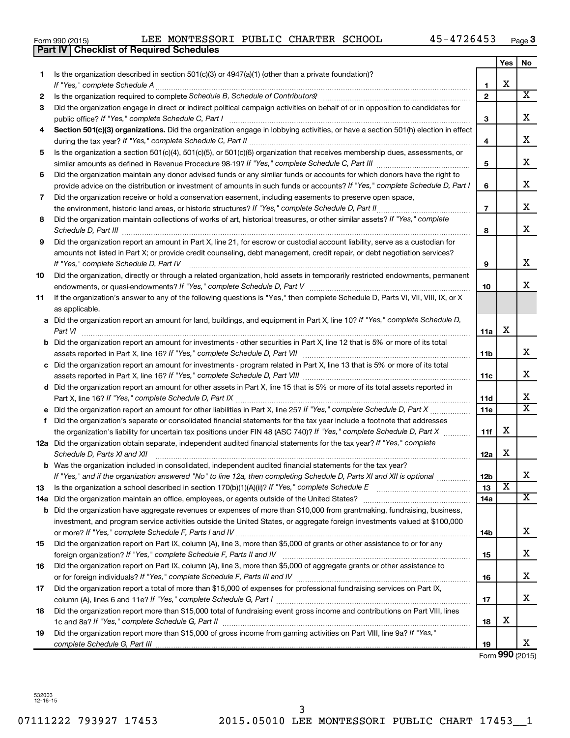| Form 990 (2015) |  |  |
|-----------------|--|--|
|                 |  |  |

|    | Part IV   Checklist of Required Schedules                                                                                                                                                                                                                                                                                                                            |                 |                         |                         |
|----|----------------------------------------------------------------------------------------------------------------------------------------------------------------------------------------------------------------------------------------------------------------------------------------------------------------------------------------------------------------------|-----------------|-------------------------|-------------------------|
|    |                                                                                                                                                                                                                                                                                                                                                                      |                 | Yes                     | No                      |
| 1. | Is the organization described in section 501(c)(3) or 4947(a)(1) (other than a private foundation)?                                                                                                                                                                                                                                                                  |                 |                         |                         |
|    |                                                                                                                                                                                                                                                                                                                                                                      | 1               | х                       |                         |
| 2  | Is the organization required to complete Schedule B, Schedule of Contributors? [11] the organization required to complete Schedule B, Schedule of Contributors?                                                                                                                                                                                                      | $\overline{2}$  |                         | $\overline{\texttt{x}}$ |
| 3  | Did the organization engage in direct or indirect political campaign activities on behalf of or in opposition to candidates for                                                                                                                                                                                                                                      |                 |                         |                         |
|    |                                                                                                                                                                                                                                                                                                                                                                      | З               |                         | X                       |
| 4  | Section 501(c)(3) organizations. Did the organization engage in lobbying activities, or have a section 501(h) election in effect                                                                                                                                                                                                                                     |                 |                         |                         |
|    |                                                                                                                                                                                                                                                                                                                                                                      | 4               |                         | x                       |
| 5  | Is the organization a section 501(c)(4), 501(c)(5), or 501(c)(6) organization that receives membership dues, assessments, or                                                                                                                                                                                                                                         |                 |                         |                         |
|    |                                                                                                                                                                                                                                                                                                                                                                      | 5               |                         | х                       |
| 6  | Did the organization maintain any donor advised funds or any similar funds or accounts for which donors have the right to                                                                                                                                                                                                                                            |                 |                         |                         |
|    | provide advice on the distribution or investment of amounts in such funds or accounts? If "Yes," complete Schedule D, Part I                                                                                                                                                                                                                                         | 6               |                         | x                       |
| 7  | Did the organization receive or hold a conservation easement, including easements to preserve open space,                                                                                                                                                                                                                                                            |                 |                         |                         |
|    | the environment, historic land areas, or historic structures? If "Yes," complete Schedule D, Part II                                                                                                                                                                                                                                                                 | $\overline{7}$  |                         | х                       |
| 8  | Did the organization maintain collections of works of art, historical treasures, or other similar assets? If "Yes," complete                                                                                                                                                                                                                                         |                 |                         |                         |
|    |                                                                                                                                                                                                                                                                                                                                                                      | 8               |                         | x                       |
| 9  | Schedule D, Part III <b>Marting Communities</b> and the contract of the contract of the contract of the contract of the contract of the contract of the contract of the contract of the contract of the contract of the contract of<br>Did the organization report an amount in Part X, line 21, for escrow or custodial account liability, serve as a custodian for |                 |                         |                         |
|    | amounts not listed in Part X; or provide credit counseling, debt management, credit repair, or debt negotiation services?                                                                                                                                                                                                                                            |                 |                         |                         |
|    | If "Yes," complete Schedule D, Part IV                                                                                                                                                                                                                                                                                                                               | 9               |                         | х                       |
|    | Did the organization, directly or through a related organization, hold assets in temporarily restricted endowments, permanent                                                                                                                                                                                                                                        |                 |                         |                         |
| 10 |                                                                                                                                                                                                                                                                                                                                                                      |                 |                         | x                       |
|    |                                                                                                                                                                                                                                                                                                                                                                      | 10              |                         |                         |
| 11 | If the organization's answer to any of the following questions is "Yes," then complete Schedule D, Parts VI, VII, VIII, IX, or X                                                                                                                                                                                                                                     |                 |                         |                         |
|    | as applicable.                                                                                                                                                                                                                                                                                                                                                       |                 |                         |                         |
|    | a Did the organization report an amount for land, buildings, and equipment in Part X, line 10? If "Yes," complete Schedule D,                                                                                                                                                                                                                                        |                 | х                       |                         |
|    | Part VI                                                                                                                                                                                                                                                                                                                                                              | 11a             |                         |                         |
|    | <b>b</b> Did the organization report an amount for investments - other securities in Part X, line 12 that is 5% or more of its total                                                                                                                                                                                                                                 |                 |                         | x                       |
|    |                                                                                                                                                                                                                                                                                                                                                                      | 11 <sub>b</sub> |                         |                         |
|    | c Did the organization report an amount for investments - program related in Part X, line 13 that is 5% or more of its total                                                                                                                                                                                                                                         |                 |                         |                         |
|    |                                                                                                                                                                                                                                                                                                                                                                      | 11c             |                         | x                       |
|    | d Did the organization report an amount for other assets in Part X, line 15 that is 5% or more of its total assets reported in                                                                                                                                                                                                                                       |                 |                         |                         |
|    |                                                                                                                                                                                                                                                                                                                                                                      | <b>11d</b>      |                         | х                       |
|    |                                                                                                                                                                                                                                                                                                                                                                      | 11e             |                         | $\overline{\texttt{x}}$ |
| f  | Did the organization's separate or consolidated financial statements for the tax year include a footnote that addresses                                                                                                                                                                                                                                              |                 |                         |                         |
|    | the organization's liability for uncertain tax positions under FIN 48 (ASC 740)? If "Yes," complete Schedule D, Part X                                                                                                                                                                                                                                               | 11f             | X                       |                         |
|    | 12a Did the organization obtain separate, independent audited financial statements for the tax year? If "Yes," complete                                                                                                                                                                                                                                              |                 |                         |                         |
|    | Schedule D, Parts XI and XII <b>continuum continuum continuum continuum continuum continuum continuum continuum</b> continuum continuum continuum continuum continuum continuum continuum continuum continuum continuum continuum c                                                                                                                                  | 12a             | X                       |                         |
|    | <b>b</b> Was the organization included in consolidated, independent audited financial statements for the tax year?                                                                                                                                                                                                                                                   |                 |                         |                         |
|    | If "Yes," and if the organization answered "No" to line 12a, then completing Schedule D, Parts XI and XII is optional <i>manimum</i>                                                                                                                                                                                                                                 | 12 <sub>b</sub> |                         | х                       |
| 13 |                                                                                                                                                                                                                                                                                                                                                                      | 13              | $\overline{\textbf{x}}$ |                         |
|    | 14a Did the organization maintain an office, employees, or agents outside of the United States?                                                                                                                                                                                                                                                                      | 14a             |                         | x                       |
|    | <b>b</b> Did the organization have aggregate revenues or expenses of more than \$10,000 from grantmaking, fundraising, business,                                                                                                                                                                                                                                     |                 |                         |                         |
|    | investment, and program service activities outside the United States, or aggregate foreign investments valued at \$100,000                                                                                                                                                                                                                                           |                 |                         |                         |
|    |                                                                                                                                                                                                                                                                                                                                                                      | 14b             |                         | х                       |
| 15 | Did the organization report on Part IX, column (A), line 3, more than \$5,000 of grants or other assistance to or for any                                                                                                                                                                                                                                            |                 |                         |                         |
|    |                                                                                                                                                                                                                                                                                                                                                                      | 15              |                         | х                       |
| 16 | Did the organization report on Part IX, column (A), line 3, more than \$5,000 of aggregate grants or other assistance to                                                                                                                                                                                                                                             |                 |                         |                         |
|    |                                                                                                                                                                                                                                                                                                                                                                      | 16              |                         | х                       |
| 17 | Did the organization report a total of more than \$15,000 of expenses for professional fundraising services on Part IX,                                                                                                                                                                                                                                              |                 |                         |                         |
|    |                                                                                                                                                                                                                                                                                                                                                                      | 17              |                         | х                       |
| 18 | Did the organization report more than \$15,000 total of fundraising event gross income and contributions on Part VIII, lines                                                                                                                                                                                                                                         |                 |                         |                         |
|    |                                                                                                                                                                                                                                                                                                                                                                      | 18              | х                       |                         |
| 19 | Did the organization report more than \$15,000 of gross income from gaming activities on Part VIII, line 9a? If "Yes,"                                                                                                                                                                                                                                               |                 |                         |                         |
|    |                                                                                                                                                                                                                                                                                                                                                                      | 19              |                         | x                       |

Form **990** (2015)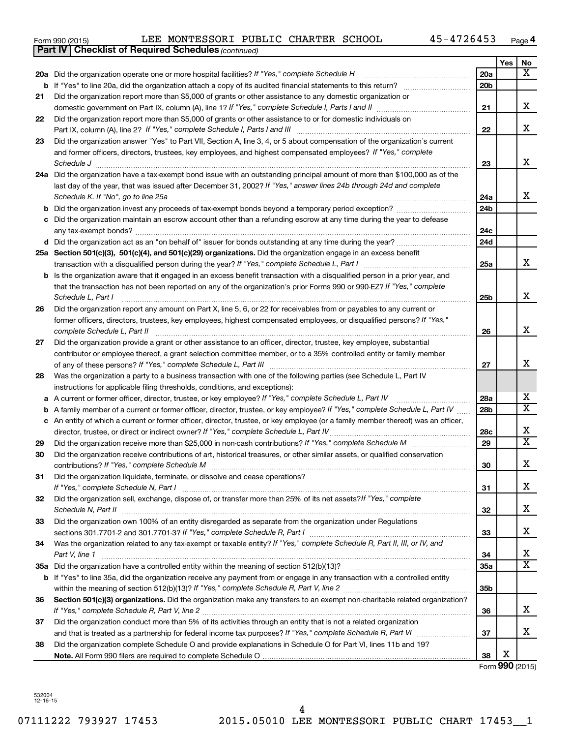| Form 990 (2015) |  |  | LEE MONTESSORI PUBLIC CHARTER SCHOOL |  |  |  | 45-4726453 | Page |  |
|-----------------|--|--|--------------------------------------|--|--|--|------------|------|--|
|-----------------|--|--|--------------------------------------|--|--|--|------------|------|--|

**4**

|    | <b>Part IV   Checklist of Required Schedules (continued)</b>                                                                                                                                         |                 |     |                         |
|----|------------------------------------------------------------------------------------------------------------------------------------------------------------------------------------------------------|-----------------|-----|-------------------------|
|    |                                                                                                                                                                                                      |                 | Yes | No                      |
|    | 20a Did the organization operate one or more hospital facilities? If "Yes," complete Schedule H                                                                                                      | 20a             |     | x                       |
|    |                                                                                                                                                                                                      | 20 <sub>b</sub> |     |                         |
| 21 | Did the organization report more than \$5,000 of grants or other assistance to any domestic organization or                                                                                          |                 |     |                         |
|    |                                                                                                                                                                                                      | 21              |     | X                       |
| 22 | Did the organization report more than \$5,000 of grants or other assistance to or for domestic individuals on                                                                                        |                 |     |                         |
|    |                                                                                                                                                                                                      | 22              |     | х                       |
| 23 | Did the organization answer "Yes" to Part VII, Section A, line 3, 4, or 5 about compensation of the organization's current                                                                           |                 |     |                         |
|    | and former officers, directors, trustees, key employees, and highest compensated employees? If "Yes," complete                                                                                       |                 |     |                         |
|    | Schedule J <b>Example 2 Contract 2 Contract 2 Contract 2 Contract 2 Contract 2 Contract 2 Contract 2 Contract 2 Contract 2 Contract 2 Contract 2 Contract 2 Contract 2 Contract 2 Contract 2 Con</b> | 23              |     | х                       |
|    | 24a Did the organization have a tax-exempt bond issue with an outstanding principal amount of more than \$100,000 as of the                                                                          |                 |     |                         |
|    | last day of the year, that was issued after December 31, 2002? If "Yes," answer lines 24b through 24d and complete                                                                                   |                 |     |                         |
|    | Schedule K. If "No", go to line 25a                                                                                                                                                                  | 24a             |     | X                       |
| b  |                                                                                                                                                                                                      | 24 <sub>b</sub> |     |                         |
|    | Did the organization maintain an escrow account other than a refunding escrow at any time during the year to defease                                                                                 |                 |     |                         |
|    |                                                                                                                                                                                                      | 24c             |     |                         |
|    | d Did the organization act as an "on behalf of" issuer for bonds outstanding at any time during the year?                                                                                            | 24d             |     |                         |
|    | 25a Section 501(c)(3), 501(c)(4), and 501(c)(29) organizations. Did the organization engage in an excess benefit                                                                                     |                 |     |                         |
|    |                                                                                                                                                                                                      | 25a             |     | X                       |
|    | <b>b</b> Is the organization aware that it engaged in an excess benefit transaction with a disqualified person in a prior year, and                                                                  |                 |     |                         |
|    | that the transaction has not been reported on any of the organization's prior Forms 990 or 990-EZ? If "Yes," complete                                                                                |                 |     |                         |
|    | Schedule L, Part I                                                                                                                                                                                   | 25b             |     | х                       |
| 26 | Did the organization report any amount on Part X, line 5, 6, or 22 for receivables from or payables to any current or                                                                                |                 |     |                         |
|    | former officers, directors, trustees, key employees, highest compensated employees, or disqualified persons? If "Yes,"                                                                               |                 |     |                         |
|    | complete Schedule L, Part II                                                                                                                                                                         | 26              |     | X                       |
| 27 | Did the organization provide a grant or other assistance to an officer, director, trustee, key employee, substantial                                                                                 |                 |     |                         |
|    | contributor or employee thereof, a grant selection committee member, or to a 35% controlled entity or family member                                                                                  |                 |     |                         |
|    |                                                                                                                                                                                                      | 27              |     | x                       |
| 28 | Was the organization a party to a business transaction with one of the following parties (see Schedule L, Part IV                                                                                    |                 |     |                         |
|    | instructions for applicable filing thresholds, conditions, and exceptions):                                                                                                                          |                 |     |                         |
| а  | A current or former officer, director, trustee, or key employee? If "Yes," complete Schedule L, Part IV                                                                                              | 28a             |     | x                       |
| b  | A family member of a current or former officer, director, trustee, or key employee? If "Yes," complete Schedule L, Part IV                                                                           | 28 <sub>b</sub> |     | $\overline{\texttt{x}}$ |
|    | c An entity of which a current or former officer, director, trustee, or key employee (or a family member thereof) was an officer,                                                                    |                 |     |                         |
|    | director, trustee, or direct or indirect owner? If "Yes," complete Schedule L, Part IV                                                                                                               | 28c             |     | х                       |
| 29 |                                                                                                                                                                                                      | 29              |     | $\overline{\text{X}}$   |
| 30 | Did the organization receive contributions of art, historical treasures, or other similar assets, or qualified conservation                                                                          |                 |     |                         |
|    |                                                                                                                                                                                                      | 30              |     | Χ                       |
| 31 | Did the organization liquidate, terminate, or dissolve and cease operations?                                                                                                                         |                 |     |                         |
|    |                                                                                                                                                                                                      | 31              |     | x                       |
| 32 | Did the organization sell, exchange, dispose of, or transfer more than 25% of its net assets?/f "Yes," complete                                                                                      |                 |     |                         |
|    |                                                                                                                                                                                                      | 32              |     | х                       |
| 33 | Did the organization own 100% of an entity disregarded as separate from the organization under Regulations                                                                                           |                 |     |                         |
|    |                                                                                                                                                                                                      | 33              |     | х                       |
| 34 | Was the organization related to any tax-exempt or taxable entity? If "Yes," complete Schedule R, Part II, III, or IV, and                                                                            |                 |     |                         |
|    | Part V, line 1                                                                                                                                                                                       | 34              |     | х                       |
|    |                                                                                                                                                                                                      | 35a             |     | $\overline{\text{X}}$   |
|    | b If "Yes" to line 35a, did the organization receive any payment from or engage in any transaction with a controlled entity                                                                          |                 |     |                         |
|    |                                                                                                                                                                                                      | 35b             |     |                         |
| 36 | Section 501(c)(3) organizations. Did the organization make any transfers to an exempt non-charitable related organization?                                                                           |                 |     |                         |
|    |                                                                                                                                                                                                      | 36              |     | x                       |
| 37 | Did the organization conduct more than 5% of its activities through an entity that is not a related organization                                                                                     |                 |     |                         |
|    |                                                                                                                                                                                                      | 37              |     | х                       |
| 38 | Did the organization complete Schedule O and provide explanations in Schedule O for Part VI, lines 11b and 19?                                                                                       |                 |     |                         |
|    |                                                                                                                                                                                                      | 38              | х   |                         |

Form **990** (2015)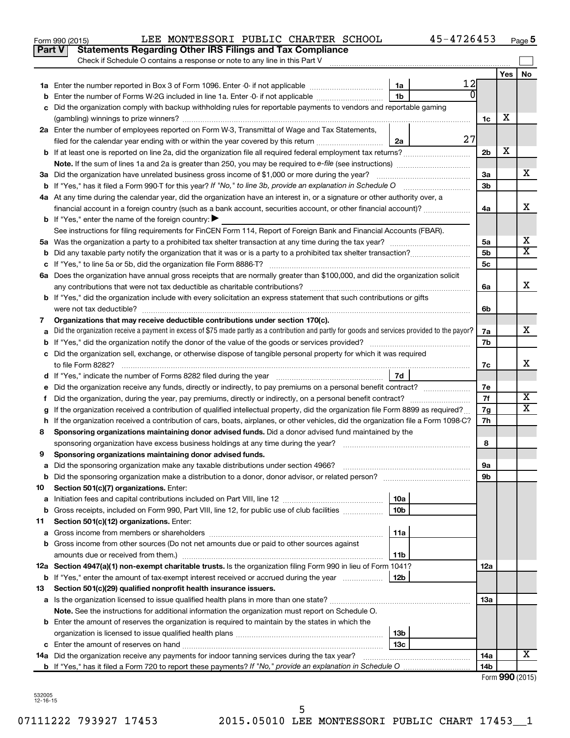|               | 45-4726453<br>LEE MONTESSORI PUBLIC CHARTER SCHOOL<br>Form 990 (2015)                                                                           |                 |     | Page 5          |
|---------------|-------------------------------------------------------------------------------------------------------------------------------------------------|-----------------|-----|-----------------|
| <b>Part V</b> | <b>Statements Regarding Other IRS Filings and Tax Compliance</b>                                                                                |                 |     |                 |
|               | Check if Schedule O contains a response or note to any line in this Part V                                                                      |                 |     |                 |
|               |                                                                                                                                                 |                 | Yes | No              |
|               | 12<br>1a                                                                                                                                        |                 |     |                 |
| b             | $\overline{0}$<br>1 <sub>b</sub><br>Enter the number of Forms W-2G included in line 1a. Enter -0- if not applicable                             |                 |     |                 |
|               | c Did the organization comply with backup withholding rules for reportable payments to vendors and reportable gaming                            |                 |     |                 |
|               |                                                                                                                                                 | 1c              | X   |                 |
|               | 2a Enter the number of employees reported on Form W-3, Transmittal of Wage and Tax Statements,                                                  |                 |     |                 |
|               | 27<br>filed for the calendar year ending with or within the year covered by this return<br>2a                                                   |                 |     |                 |
|               |                                                                                                                                                 | 2 <sub>b</sub>  | X   |                 |
|               |                                                                                                                                                 |                 |     |                 |
|               | 3a Did the organization have unrelated business gross income of \$1,000 or more during the year?                                                | За              |     | х               |
|               |                                                                                                                                                 | 3 <sub>b</sub>  |     |                 |
|               | 4a At any time during the calendar year, did the organization have an interest in, or a signature or other authority over, a                    |                 |     |                 |
|               | financial account in a foreign country (such as a bank account, securities account, or other financial account)?                                | 4a              |     | x               |
|               | <b>b</b> If "Yes," enter the name of the foreign country: $\blacktriangleright$                                                                 |                 |     |                 |
|               | See instructions for filing requirements for FinCEN Form 114, Report of Foreign Bank and Financial Accounts (FBAR).                             |                 |     |                 |
|               |                                                                                                                                                 | 5a              |     | х               |
|               |                                                                                                                                                 | 5 <sub>b</sub>  |     | X               |
|               |                                                                                                                                                 | 5 <sub>c</sub>  |     |                 |
|               | 6a Does the organization have annual gross receipts that are normally greater than \$100,000, and did the organization solicit                  |                 |     |                 |
|               |                                                                                                                                                 | 6a              |     | x               |
|               | <b>b</b> If "Yes," did the organization include with every solicitation an express statement that such contributions or gifts                   |                 |     |                 |
|               |                                                                                                                                                 | 6b              |     |                 |
| 7             | Organizations that may receive deductible contributions under section 170(c).                                                                   |                 |     |                 |
| a             | Did the organization receive a payment in excess of \$75 made partly as a contribution and partly for goods and services provided to the payor? | 7a              |     | x               |
|               |                                                                                                                                                 | 7b              |     |                 |
|               | c Did the organization sell, exchange, or otherwise dispose of tangible personal property for which it was required                             |                 |     |                 |
|               |                                                                                                                                                 | 7c              |     | x               |
|               | 7d                                                                                                                                              |                 |     |                 |
| е             |                                                                                                                                                 | 7e              |     |                 |
| f.            | Did the organization, during the year, pay premiums, directly or indirectly, on a personal benefit contract?                                    | 7f              |     | X               |
|               | If the organization received a contribution of qualified intellectual property, did the organization file Form 8899 as required?                | 7g              |     | X               |
|               | h If the organization received a contribution of cars, boats, airplanes, or other vehicles, did the organization file a Form 1098-C?            | 7h              |     |                 |
| 8             | Sponsoring organizations maintaining donor advised funds. Did a donor advised fund maintained by the                                            |                 |     |                 |
|               |                                                                                                                                                 | 8               |     |                 |
|               | Sponsoring organizations maintaining donor advised funds.                                                                                       |                 |     |                 |
| а             | Did the sponsoring organization make any taxable distributions under section 4966?                                                              | 9a              |     |                 |
| b             | Did the sponsoring organization make a distribution to a donor, donor advisor, or related person?                                               | 9b              |     |                 |
| 10            | Section 501(c)(7) organizations. Enter:                                                                                                         |                 |     |                 |
| a             | 10a                                                                                                                                             |                 |     |                 |
| b             | 10 <sub>b</sub><br>Gross receipts, included on Form 990, Part VIII, line 12, for public use of club facilities                                  |                 |     |                 |
| 11            | Section 501(c)(12) organizations. Enter:                                                                                                        |                 |     |                 |
| а             | 11a                                                                                                                                             |                 |     |                 |
|               | b Gross income from other sources (Do not net amounts due or paid to other sources against                                                      |                 |     |                 |
|               | amounts due or received from them.)<br>11b                                                                                                      |                 |     |                 |
|               | 12a Section 4947(a)(1) non-exempt charitable trusts. Is the organization filing Form 990 in lieu of Form 1041?                                  | 12a             |     |                 |
|               | 12b<br><b>b</b> If "Yes," enter the amount of tax-exempt interest received or accrued during the year                                           |                 |     |                 |
| 13            | Section 501(c)(29) qualified nonprofit health insurance issuers.                                                                                |                 |     |                 |
|               | a Is the organization licensed to issue qualified health plans in more than one state?                                                          | 13a             |     |                 |
|               | Note. See the instructions for additional information the organization must report on Schedule O.                                               |                 |     |                 |
|               | <b>b</b> Enter the amount of reserves the organization is required to maintain by the states in which the                                       |                 |     |                 |
|               | 13b                                                                                                                                             |                 |     |                 |
|               | 13c                                                                                                                                             |                 |     |                 |
|               | 14a Did the organization receive any payments for indoor tanning services during the tax year?                                                  | 14a             |     | x               |
|               |                                                                                                                                                 | 14 <sub>b</sub> |     |                 |
|               |                                                                                                                                                 |                 |     | Form 990 (2015) |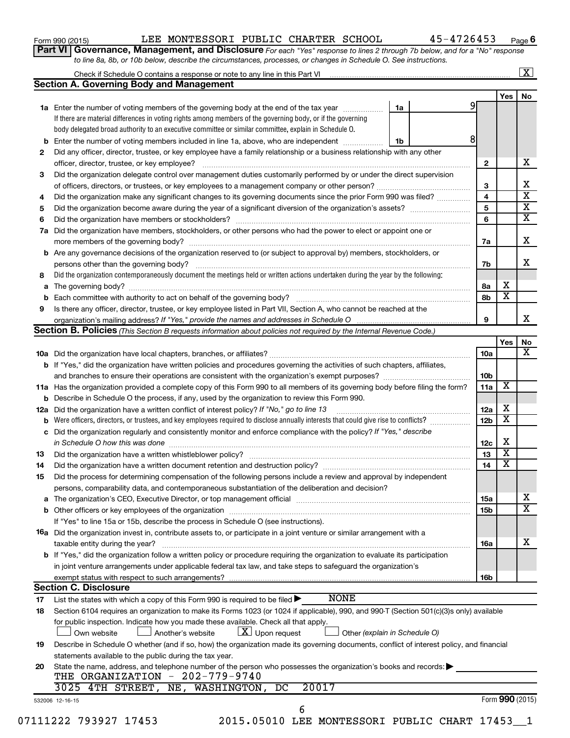| Form 990 (2015) |  |  |
|-----------------|--|--|
|-----------------|--|--|

#### Form 990 (2015) Page LEE MONTESSORI PUBLIC CHARTER SCHOOL 45-4726453

**Part VI** Governance, Management, and Disclosure For each "Yes" response to lines 2 through 7b below, and for a "No" response *to line 8a, 8b, or 10b below, describe the circumstances, processes, or changes in Schedule O. See instructions.*

| <b>Section A. Governing Body and Management</b><br>1a Enter the number of voting members of the governing body at the end of the tax year<br>1a<br>If there are material differences in voting rights among members of the governing body, or if the governing<br>body delegated broad authority to an executive committee or similar committee, explain in Schedule O.<br>Enter the number of voting members included in line 1a, above, who are independent<br>1b<br>b<br>Did any officer, director, trustee, or key employee have a family relationship or a business relationship with any other<br>2<br>officer, director, trustee, or key employee?<br>Did the organization delegate control over management duties customarily performed by or under the direct supervision<br>3<br>Did the organization make any significant changes to its governing documents since the prior Form 990 was filed?<br>4<br>5<br>6<br>Did the organization have members, stockholders, or other persons who had the power to elect or appoint one or<br>7a<br>Are any governance decisions of the organization reserved to (or subject to approval by) members, stockholders, or<br>b<br>Did the organization contemporaneously document the meetings held or written actions undertaken during the year by the following:<br>8<br>а<br>Is there any officer, director, trustee, or key employee listed in Part VII, Section A, who cannot be reached at the<br>9<br>Section B. Policies (This Section B requests information about policies not required by the Internal Revenue Code.)<br><b>b</b> If "Yes," did the organization have written policies and procedures governing the activities of such chapters, affiliates,<br>11a Has the organization provided a complete copy of this Form 990 to all members of its governing body before filing the form?<br>Describe in Schedule O the process, if any, used by the organization to review this Form 990.<br>Did the organization have a written conflict of interest policy? If "No," go to line 13<br>12a<br>Were officers, directors, or trustees, and key employees required to disclose annually interests that could give rise to conflicts?<br>Did the organization regularly and consistently monitor and enforce compliance with the policy? If "Yes," describe<br>с<br>in Schedule O how this was done manufactured and continuum and contact the was done manufactured and contact t<br>13<br>14<br>Did the process for determining compensation of the following persons include a review and approval by independent<br>15 |                 |                         |                         |
|-------------------------------------------------------------------------------------------------------------------------------------------------------------------------------------------------------------------------------------------------------------------------------------------------------------------------------------------------------------------------------------------------------------------------------------------------------------------------------------------------------------------------------------------------------------------------------------------------------------------------------------------------------------------------------------------------------------------------------------------------------------------------------------------------------------------------------------------------------------------------------------------------------------------------------------------------------------------------------------------------------------------------------------------------------------------------------------------------------------------------------------------------------------------------------------------------------------------------------------------------------------------------------------------------------------------------------------------------------------------------------------------------------------------------------------------------------------------------------------------------------------------------------------------------------------------------------------------------------------------------------------------------------------------------------------------------------------------------------------------------------------------------------------------------------------------------------------------------------------------------------------------------------------------------------------------------------------------------------------------------------------------------------------------------------------------------------------------------------------------------------------------------------------------------------------------------------------------------------------------------------------------------------------------------------------------------------------------------------------------------------------------------------------------------------------------------------------------------------------------------------------------------------------------------------------------------------------------|-----------------|-------------------------|-------------------------|
|                                                                                                                                                                                                                                                                                                                                                                                                                                                                                                                                                                                                                                                                                                                                                                                                                                                                                                                                                                                                                                                                                                                                                                                                                                                                                                                                                                                                                                                                                                                                                                                                                                                                                                                                                                                                                                                                                                                                                                                                                                                                                                                                                                                                                                                                                                                                                                                                                                                                                                                                                                                           |                 |                         |                         |
|                                                                                                                                                                                                                                                                                                                                                                                                                                                                                                                                                                                                                                                                                                                                                                                                                                                                                                                                                                                                                                                                                                                                                                                                                                                                                                                                                                                                                                                                                                                                                                                                                                                                                                                                                                                                                                                                                                                                                                                                                                                                                                                                                                                                                                                                                                                                                                                                                                                                                                                                                                                           |                 | Yes                     | No                      |
|                                                                                                                                                                                                                                                                                                                                                                                                                                                                                                                                                                                                                                                                                                                                                                                                                                                                                                                                                                                                                                                                                                                                                                                                                                                                                                                                                                                                                                                                                                                                                                                                                                                                                                                                                                                                                                                                                                                                                                                                                                                                                                                                                                                                                                                                                                                                                                                                                                                                                                                                                                                           | 91              |                         |                         |
|                                                                                                                                                                                                                                                                                                                                                                                                                                                                                                                                                                                                                                                                                                                                                                                                                                                                                                                                                                                                                                                                                                                                                                                                                                                                                                                                                                                                                                                                                                                                                                                                                                                                                                                                                                                                                                                                                                                                                                                                                                                                                                                                                                                                                                                                                                                                                                                                                                                                                                                                                                                           |                 |                         |                         |
|                                                                                                                                                                                                                                                                                                                                                                                                                                                                                                                                                                                                                                                                                                                                                                                                                                                                                                                                                                                                                                                                                                                                                                                                                                                                                                                                                                                                                                                                                                                                                                                                                                                                                                                                                                                                                                                                                                                                                                                                                                                                                                                                                                                                                                                                                                                                                                                                                                                                                                                                                                                           |                 |                         |                         |
|                                                                                                                                                                                                                                                                                                                                                                                                                                                                                                                                                                                                                                                                                                                                                                                                                                                                                                                                                                                                                                                                                                                                                                                                                                                                                                                                                                                                                                                                                                                                                                                                                                                                                                                                                                                                                                                                                                                                                                                                                                                                                                                                                                                                                                                                                                                                                                                                                                                                                                                                                                                           | 8               |                         |                         |
|                                                                                                                                                                                                                                                                                                                                                                                                                                                                                                                                                                                                                                                                                                                                                                                                                                                                                                                                                                                                                                                                                                                                                                                                                                                                                                                                                                                                                                                                                                                                                                                                                                                                                                                                                                                                                                                                                                                                                                                                                                                                                                                                                                                                                                                                                                                                                                                                                                                                                                                                                                                           |                 |                         |                         |
|                                                                                                                                                                                                                                                                                                                                                                                                                                                                                                                                                                                                                                                                                                                                                                                                                                                                                                                                                                                                                                                                                                                                                                                                                                                                                                                                                                                                                                                                                                                                                                                                                                                                                                                                                                                                                                                                                                                                                                                                                                                                                                                                                                                                                                                                                                                                                                                                                                                                                                                                                                                           | $\mathbf{2}$    |                         | х                       |
|                                                                                                                                                                                                                                                                                                                                                                                                                                                                                                                                                                                                                                                                                                                                                                                                                                                                                                                                                                                                                                                                                                                                                                                                                                                                                                                                                                                                                                                                                                                                                                                                                                                                                                                                                                                                                                                                                                                                                                                                                                                                                                                                                                                                                                                                                                                                                                                                                                                                                                                                                                                           |                 |                         |                         |
|                                                                                                                                                                                                                                                                                                                                                                                                                                                                                                                                                                                                                                                                                                                                                                                                                                                                                                                                                                                                                                                                                                                                                                                                                                                                                                                                                                                                                                                                                                                                                                                                                                                                                                                                                                                                                                                                                                                                                                                                                                                                                                                                                                                                                                                                                                                                                                                                                                                                                                                                                                                           | 3               |                         | х                       |
|                                                                                                                                                                                                                                                                                                                                                                                                                                                                                                                                                                                                                                                                                                                                                                                                                                                                                                                                                                                                                                                                                                                                                                                                                                                                                                                                                                                                                                                                                                                                                                                                                                                                                                                                                                                                                                                                                                                                                                                                                                                                                                                                                                                                                                                                                                                                                                                                                                                                                                                                                                                           | 4               |                         | $\overline{\mathbf{x}}$ |
|                                                                                                                                                                                                                                                                                                                                                                                                                                                                                                                                                                                                                                                                                                                                                                                                                                                                                                                                                                                                                                                                                                                                                                                                                                                                                                                                                                                                                                                                                                                                                                                                                                                                                                                                                                                                                                                                                                                                                                                                                                                                                                                                                                                                                                                                                                                                                                                                                                                                                                                                                                                           | 5               |                         | $\overline{\mathbf{x}}$ |
|                                                                                                                                                                                                                                                                                                                                                                                                                                                                                                                                                                                                                                                                                                                                                                                                                                                                                                                                                                                                                                                                                                                                                                                                                                                                                                                                                                                                                                                                                                                                                                                                                                                                                                                                                                                                                                                                                                                                                                                                                                                                                                                                                                                                                                                                                                                                                                                                                                                                                                                                                                                           | 6               |                         | $\overline{\mathbf{x}}$ |
|                                                                                                                                                                                                                                                                                                                                                                                                                                                                                                                                                                                                                                                                                                                                                                                                                                                                                                                                                                                                                                                                                                                                                                                                                                                                                                                                                                                                                                                                                                                                                                                                                                                                                                                                                                                                                                                                                                                                                                                                                                                                                                                                                                                                                                                                                                                                                                                                                                                                                                                                                                                           |                 |                         |                         |
|                                                                                                                                                                                                                                                                                                                                                                                                                                                                                                                                                                                                                                                                                                                                                                                                                                                                                                                                                                                                                                                                                                                                                                                                                                                                                                                                                                                                                                                                                                                                                                                                                                                                                                                                                                                                                                                                                                                                                                                                                                                                                                                                                                                                                                                                                                                                                                                                                                                                                                                                                                                           | 7a              |                         | X                       |
|                                                                                                                                                                                                                                                                                                                                                                                                                                                                                                                                                                                                                                                                                                                                                                                                                                                                                                                                                                                                                                                                                                                                                                                                                                                                                                                                                                                                                                                                                                                                                                                                                                                                                                                                                                                                                                                                                                                                                                                                                                                                                                                                                                                                                                                                                                                                                                                                                                                                                                                                                                                           |                 |                         |                         |
|                                                                                                                                                                                                                                                                                                                                                                                                                                                                                                                                                                                                                                                                                                                                                                                                                                                                                                                                                                                                                                                                                                                                                                                                                                                                                                                                                                                                                                                                                                                                                                                                                                                                                                                                                                                                                                                                                                                                                                                                                                                                                                                                                                                                                                                                                                                                                                                                                                                                                                                                                                                           | 7b              |                         | x                       |
|                                                                                                                                                                                                                                                                                                                                                                                                                                                                                                                                                                                                                                                                                                                                                                                                                                                                                                                                                                                                                                                                                                                                                                                                                                                                                                                                                                                                                                                                                                                                                                                                                                                                                                                                                                                                                                                                                                                                                                                                                                                                                                                                                                                                                                                                                                                                                                                                                                                                                                                                                                                           |                 |                         |                         |
|                                                                                                                                                                                                                                                                                                                                                                                                                                                                                                                                                                                                                                                                                                                                                                                                                                                                                                                                                                                                                                                                                                                                                                                                                                                                                                                                                                                                                                                                                                                                                                                                                                                                                                                                                                                                                                                                                                                                                                                                                                                                                                                                                                                                                                                                                                                                                                                                                                                                                                                                                                                           | 8a              | х                       |                         |
|                                                                                                                                                                                                                                                                                                                                                                                                                                                                                                                                                                                                                                                                                                                                                                                                                                                                                                                                                                                                                                                                                                                                                                                                                                                                                                                                                                                                                                                                                                                                                                                                                                                                                                                                                                                                                                                                                                                                                                                                                                                                                                                                                                                                                                                                                                                                                                                                                                                                                                                                                                                           | 8b              | $\overline{\textbf{x}}$ |                         |
|                                                                                                                                                                                                                                                                                                                                                                                                                                                                                                                                                                                                                                                                                                                                                                                                                                                                                                                                                                                                                                                                                                                                                                                                                                                                                                                                                                                                                                                                                                                                                                                                                                                                                                                                                                                                                                                                                                                                                                                                                                                                                                                                                                                                                                                                                                                                                                                                                                                                                                                                                                                           |                 |                         |                         |
|                                                                                                                                                                                                                                                                                                                                                                                                                                                                                                                                                                                                                                                                                                                                                                                                                                                                                                                                                                                                                                                                                                                                                                                                                                                                                                                                                                                                                                                                                                                                                                                                                                                                                                                                                                                                                                                                                                                                                                                                                                                                                                                                                                                                                                                                                                                                                                                                                                                                                                                                                                                           | 9               |                         | х                       |
|                                                                                                                                                                                                                                                                                                                                                                                                                                                                                                                                                                                                                                                                                                                                                                                                                                                                                                                                                                                                                                                                                                                                                                                                                                                                                                                                                                                                                                                                                                                                                                                                                                                                                                                                                                                                                                                                                                                                                                                                                                                                                                                                                                                                                                                                                                                                                                                                                                                                                                                                                                                           |                 |                         |                         |
|                                                                                                                                                                                                                                                                                                                                                                                                                                                                                                                                                                                                                                                                                                                                                                                                                                                                                                                                                                                                                                                                                                                                                                                                                                                                                                                                                                                                                                                                                                                                                                                                                                                                                                                                                                                                                                                                                                                                                                                                                                                                                                                                                                                                                                                                                                                                                                                                                                                                                                                                                                                           |                 | Yes                     | No                      |
|                                                                                                                                                                                                                                                                                                                                                                                                                                                                                                                                                                                                                                                                                                                                                                                                                                                                                                                                                                                                                                                                                                                                                                                                                                                                                                                                                                                                                                                                                                                                                                                                                                                                                                                                                                                                                                                                                                                                                                                                                                                                                                                                                                                                                                                                                                                                                                                                                                                                                                                                                                                           | 10a             |                         | х                       |
|                                                                                                                                                                                                                                                                                                                                                                                                                                                                                                                                                                                                                                                                                                                                                                                                                                                                                                                                                                                                                                                                                                                                                                                                                                                                                                                                                                                                                                                                                                                                                                                                                                                                                                                                                                                                                                                                                                                                                                                                                                                                                                                                                                                                                                                                                                                                                                                                                                                                                                                                                                                           |                 |                         |                         |
|                                                                                                                                                                                                                                                                                                                                                                                                                                                                                                                                                                                                                                                                                                                                                                                                                                                                                                                                                                                                                                                                                                                                                                                                                                                                                                                                                                                                                                                                                                                                                                                                                                                                                                                                                                                                                                                                                                                                                                                                                                                                                                                                                                                                                                                                                                                                                                                                                                                                                                                                                                                           | 10b             |                         |                         |
|                                                                                                                                                                                                                                                                                                                                                                                                                                                                                                                                                                                                                                                                                                                                                                                                                                                                                                                                                                                                                                                                                                                                                                                                                                                                                                                                                                                                                                                                                                                                                                                                                                                                                                                                                                                                                                                                                                                                                                                                                                                                                                                                                                                                                                                                                                                                                                                                                                                                                                                                                                                           | 11a             | X                       |                         |
|                                                                                                                                                                                                                                                                                                                                                                                                                                                                                                                                                                                                                                                                                                                                                                                                                                                                                                                                                                                                                                                                                                                                                                                                                                                                                                                                                                                                                                                                                                                                                                                                                                                                                                                                                                                                                                                                                                                                                                                                                                                                                                                                                                                                                                                                                                                                                                                                                                                                                                                                                                                           |                 |                         |                         |
|                                                                                                                                                                                                                                                                                                                                                                                                                                                                                                                                                                                                                                                                                                                                                                                                                                                                                                                                                                                                                                                                                                                                                                                                                                                                                                                                                                                                                                                                                                                                                                                                                                                                                                                                                                                                                                                                                                                                                                                                                                                                                                                                                                                                                                                                                                                                                                                                                                                                                                                                                                                           |                 | х                       |                         |
|                                                                                                                                                                                                                                                                                                                                                                                                                                                                                                                                                                                                                                                                                                                                                                                                                                                                                                                                                                                                                                                                                                                                                                                                                                                                                                                                                                                                                                                                                                                                                                                                                                                                                                                                                                                                                                                                                                                                                                                                                                                                                                                                                                                                                                                                                                                                                                                                                                                                                                                                                                                           | 12a             | X                       |                         |
|                                                                                                                                                                                                                                                                                                                                                                                                                                                                                                                                                                                                                                                                                                                                                                                                                                                                                                                                                                                                                                                                                                                                                                                                                                                                                                                                                                                                                                                                                                                                                                                                                                                                                                                                                                                                                                                                                                                                                                                                                                                                                                                                                                                                                                                                                                                                                                                                                                                                                                                                                                                           | 12 <sub>b</sub> |                         |                         |
|                                                                                                                                                                                                                                                                                                                                                                                                                                                                                                                                                                                                                                                                                                                                                                                                                                                                                                                                                                                                                                                                                                                                                                                                                                                                                                                                                                                                                                                                                                                                                                                                                                                                                                                                                                                                                                                                                                                                                                                                                                                                                                                                                                                                                                                                                                                                                                                                                                                                                                                                                                                           |                 | X                       |                         |
|                                                                                                                                                                                                                                                                                                                                                                                                                                                                                                                                                                                                                                                                                                                                                                                                                                                                                                                                                                                                                                                                                                                                                                                                                                                                                                                                                                                                                                                                                                                                                                                                                                                                                                                                                                                                                                                                                                                                                                                                                                                                                                                                                                                                                                                                                                                                                                                                                                                                                                                                                                                           | 12c             | $\overline{\mathbf{x}}$ |                         |
|                                                                                                                                                                                                                                                                                                                                                                                                                                                                                                                                                                                                                                                                                                                                                                                                                                                                                                                                                                                                                                                                                                                                                                                                                                                                                                                                                                                                                                                                                                                                                                                                                                                                                                                                                                                                                                                                                                                                                                                                                                                                                                                                                                                                                                                                                                                                                                                                                                                                                                                                                                                           | 13              |                         |                         |
|                                                                                                                                                                                                                                                                                                                                                                                                                                                                                                                                                                                                                                                                                                                                                                                                                                                                                                                                                                                                                                                                                                                                                                                                                                                                                                                                                                                                                                                                                                                                                                                                                                                                                                                                                                                                                                                                                                                                                                                                                                                                                                                                                                                                                                                                                                                                                                                                                                                                                                                                                                                           | 14              | X                       |                         |
|                                                                                                                                                                                                                                                                                                                                                                                                                                                                                                                                                                                                                                                                                                                                                                                                                                                                                                                                                                                                                                                                                                                                                                                                                                                                                                                                                                                                                                                                                                                                                                                                                                                                                                                                                                                                                                                                                                                                                                                                                                                                                                                                                                                                                                                                                                                                                                                                                                                                                                                                                                                           |                 |                         |                         |
| persons, comparability data, and contemporaneous substantiation of the deliberation and decision?                                                                                                                                                                                                                                                                                                                                                                                                                                                                                                                                                                                                                                                                                                                                                                                                                                                                                                                                                                                                                                                                                                                                                                                                                                                                                                                                                                                                                                                                                                                                                                                                                                                                                                                                                                                                                                                                                                                                                                                                                                                                                                                                                                                                                                                                                                                                                                                                                                                                                         |                 |                         |                         |
| The organization's CEO, Executive Director, or top management official [111] [12] manument content or organization's CEO, Executive Director, or top management official [11] manument content or or or or or or or or or or o<br>а                                                                                                                                                                                                                                                                                                                                                                                                                                                                                                                                                                                                                                                                                                                                                                                                                                                                                                                                                                                                                                                                                                                                                                                                                                                                                                                                                                                                                                                                                                                                                                                                                                                                                                                                                                                                                                                                                                                                                                                                                                                                                                                                                                                                                                                                                                                                                       | 15a             |                         | x                       |
|                                                                                                                                                                                                                                                                                                                                                                                                                                                                                                                                                                                                                                                                                                                                                                                                                                                                                                                                                                                                                                                                                                                                                                                                                                                                                                                                                                                                                                                                                                                                                                                                                                                                                                                                                                                                                                                                                                                                                                                                                                                                                                                                                                                                                                                                                                                                                                                                                                                                                                                                                                                           | 15b             |                         | $\mathbf x$             |
| If "Yes" to line 15a or 15b, describe the process in Schedule O (see instructions).                                                                                                                                                                                                                                                                                                                                                                                                                                                                                                                                                                                                                                                                                                                                                                                                                                                                                                                                                                                                                                                                                                                                                                                                                                                                                                                                                                                                                                                                                                                                                                                                                                                                                                                                                                                                                                                                                                                                                                                                                                                                                                                                                                                                                                                                                                                                                                                                                                                                                                       |                 |                         |                         |
| 16a Did the organization invest in, contribute assets to, or participate in a joint venture or similar arrangement with a                                                                                                                                                                                                                                                                                                                                                                                                                                                                                                                                                                                                                                                                                                                                                                                                                                                                                                                                                                                                                                                                                                                                                                                                                                                                                                                                                                                                                                                                                                                                                                                                                                                                                                                                                                                                                                                                                                                                                                                                                                                                                                                                                                                                                                                                                                                                                                                                                                                                 |                 |                         |                         |
| taxable entity during the year?                                                                                                                                                                                                                                                                                                                                                                                                                                                                                                                                                                                                                                                                                                                                                                                                                                                                                                                                                                                                                                                                                                                                                                                                                                                                                                                                                                                                                                                                                                                                                                                                                                                                                                                                                                                                                                                                                                                                                                                                                                                                                                                                                                                                                                                                                                                                                                                                                                                                                                                                                           | 16a             |                         | x                       |
| b If "Yes," did the organization follow a written policy or procedure requiring the organization to evaluate its participation                                                                                                                                                                                                                                                                                                                                                                                                                                                                                                                                                                                                                                                                                                                                                                                                                                                                                                                                                                                                                                                                                                                                                                                                                                                                                                                                                                                                                                                                                                                                                                                                                                                                                                                                                                                                                                                                                                                                                                                                                                                                                                                                                                                                                                                                                                                                                                                                                                                            |                 |                         |                         |
| in joint venture arrangements under applicable federal tax law, and take steps to safeguard the organization's                                                                                                                                                                                                                                                                                                                                                                                                                                                                                                                                                                                                                                                                                                                                                                                                                                                                                                                                                                                                                                                                                                                                                                                                                                                                                                                                                                                                                                                                                                                                                                                                                                                                                                                                                                                                                                                                                                                                                                                                                                                                                                                                                                                                                                                                                                                                                                                                                                                                            |                 |                         |                         |
| exempt status with respect to such arrangements?                                                                                                                                                                                                                                                                                                                                                                                                                                                                                                                                                                                                                                                                                                                                                                                                                                                                                                                                                                                                                                                                                                                                                                                                                                                                                                                                                                                                                                                                                                                                                                                                                                                                                                                                                                                                                                                                                                                                                                                                                                                                                                                                                                                                                                                                                                                                                                                                                                                                                                                                          | 16b             |                         |                         |
| <b>Section C. Disclosure</b>                                                                                                                                                                                                                                                                                                                                                                                                                                                                                                                                                                                                                                                                                                                                                                                                                                                                                                                                                                                                                                                                                                                                                                                                                                                                                                                                                                                                                                                                                                                                                                                                                                                                                                                                                                                                                                                                                                                                                                                                                                                                                                                                                                                                                                                                                                                                                                                                                                                                                                                                                              |                 |                         |                         |
| <b>NONE</b><br>List the states with which a copy of this Form 990 is required to be filed $\blacktriangleright$<br>17                                                                                                                                                                                                                                                                                                                                                                                                                                                                                                                                                                                                                                                                                                                                                                                                                                                                                                                                                                                                                                                                                                                                                                                                                                                                                                                                                                                                                                                                                                                                                                                                                                                                                                                                                                                                                                                                                                                                                                                                                                                                                                                                                                                                                                                                                                                                                                                                                                                                     |                 |                         |                         |
| Section 6104 requires an organization to make its Forms 1023 (or 1024 if applicable), 990, and 990-T (Section 501(c)(3)s only) available<br>18                                                                                                                                                                                                                                                                                                                                                                                                                                                                                                                                                                                                                                                                                                                                                                                                                                                                                                                                                                                                                                                                                                                                                                                                                                                                                                                                                                                                                                                                                                                                                                                                                                                                                                                                                                                                                                                                                                                                                                                                                                                                                                                                                                                                                                                                                                                                                                                                                                            |                 |                         |                         |
| for public inspection. Indicate how you made these available. Check all that apply.                                                                                                                                                                                                                                                                                                                                                                                                                                                                                                                                                                                                                                                                                                                                                                                                                                                                                                                                                                                                                                                                                                                                                                                                                                                                                                                                                                                                                                                                                                                                                                                                                                                                                                                                                                                                                                                                                                                                                                                                                                                                                                                                                                                                                                                                                                                                                                                                                                                                                                       |                 |                         |                         |
| $X$ Upon request<br>Own website<br>Another's website<br>Other (explain in Schedule O)                                                                                                                                                                                                                                                                                                                                                                                                                                                                                                                                                                                                                                                                                                                                                                                                                                                                                                                                                                                                                                                                                                                                                                                                                                                                                                                                                                                                                                                                                                                                                                                                                                                                                                                                                                                                                                                                                                                                                                                                                                                                                                                                                                                                                                                                                                                                                                                                                                                                                                     |                 |                         |                         |
| Describe in Schedule O whether (and if so, how) the organization made its governing documents, conflict of interest policy, and financial<br>19                                                                                                                                                                                                                                                                                                                                                                                                                                                                                                                                                                                                                                                                                                                                                                                                                                                                                                                                                                                                                                                                                                                                                                                                                                                                                                                                                                                                                                                                                                                                                                                                                                                                                                                                                                                                                                                                                                                                                                                                                                                                                                                                                                                                                                                                                                                                                                                                                                           |                 |                         |                         |
| statements available to the public during the tax year.                                                                                                                                                                                                                                                                                                                                                                                                                                                                                                                                                                                                                                                                                                                                                                                                                                                                                                                                                                                                                                                                                                                                                                                                                                                                                                                                                                                                                                                                                                                                                                                                                                                                                                                                                                                                                                                                                                                                                                                                                                                                                                                                                                                                                                                                                                                                                                                                                                                                                                                                   |                 |                         |                         |
| State the name, address, and telephone number of the person who possesses the organization's books and records:<br>20                                                                                                                                                                                                                                                                                                                                                                                                                                                                                                                                                                                                                                                                                                                                                                                                                                                                                                                                                                                                                                                                                                                                                                                                                                                                                                                                                                                                                                                                                                                                                                                                                                                                                                                                                                                                                                                                                                                                                                                                                                                                                                                                                                                                                                                                                                                                                                                                                                                                     |                 |                         |                         |
| THE ORGANIZATION - 202-779-9740                                                                                                                                                                                                                                                                                                                                                                                                                                                                                                                                                                                                                                                                                                                                                                                                                                                                                                                                                                                                                                                                                                                                                                                                                                                                                                                                                                                                                                                                                                                                                                                                                                                                                                                                                                                                                                                                                                                                                                                                                                                                                                                                                                                                                                                                                                                                                                                                                                                                                                                                                           |                 |                         |                         |
| 20017<br>3025 4TH STREET, NE, WASHINGTON,<br>DC                                                                                                                                                                                                                                                                                                                                                                                                                                                                                                                                                                                                                                                                                                                                                                                                                                                                                                                                                                                                                                                                                                                                                                                                                                                                                                                                                                                                                                                                                                                                                                                                                                                                                                                                                                                                                                                                                                                                                                                                                                                                                                                                                                                                                                                                                                                                                                                                                                                                                                                                           |                 |                         |                         |
| 532006 12-16-15                                                                                                                                                                                                                                                                                                                                                                                                                                                                                                                                                                                                                                                                                                                                                                                                                                                                                                                                                                                                                                                                                                                                                                                                                                                                                                                                                                                                                                                                                                                                                                                                                                                                                                                                                                                                                                                                                                                                                                                                                                                                                                                                                                                                                                                                                                                                                                                                                                                                                                                                                                           |                 | Form 990 (2015)         |                         |
| 6                                                                                                                                                                                                                                                                                                                                                                                                                                                                                                                                                                                                                                                                                                                                                                                                                                                                                                                                                                                                                                                                                                                                                                                                                                                                                                                                                                                                                                                                                                                                                                                                                                                                                                                                                                                                                                                                                                                                                                                                                                                                                                                                                                                                                                                                                                                                                                                                                                                                                                                                                                                         |                 |                         |                         |
| 2015.05010 LEE MONTESSORI PUBLIC CHART 17453_1<br>07111222 793927 17453                                                                                                                                                                                                                                                                                                                                                                                                                                                                                                                                                                                                                                                                                                                                                                                                                                                                                                                                                                                                                                                                                                                                                                                                                                                                                                                                                                                                                                                                                                                                                                                                                                                                                                                                                                                                                                                                                                                                                                                                                                                                                                                                                                                                                                                                                                                                                                                                                                                                                                                   |                 |                         |                         |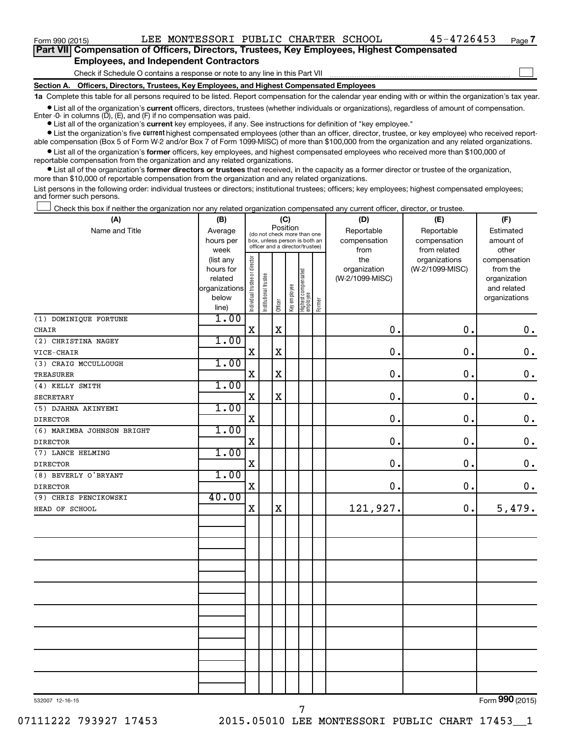$\Box$ 

| Part VII Compensation of Officers, Directors, Trustees, Key Employees, Highest Compensated |  |
|--------------------------------------------------------------------------------------------|--|
| <b>Employees, and Independent Contractors</b>                                              |  |

#### Check if Schedule O contains a response or note to any line in this Part VII

**Section A. Officers, Directors, Trustees, Key Employees, and Highest Compensated Employees**

**1a**  Complete this table for all persons required to be listed. Report compensation for the calendar year ending with or within the organization's tax year.

**•** List all of the organization's current officers, directors, trustees (whether individuals or organizations), regardless of amount of compensation.

**•** List all of the organization's **current** key employees, if any. See instructions for definition of "key employee." Enter -0- in columns  $(D)$ ,  $(E)$ , and  $(F)$  if no compensation was paid.

**•** List the organization's five current highest compensated employees (other than an officer, director, trustee, or key employee) who received report-

**•** List all of the organization's former officers, key employees, and highest compensated employees who received more than \$100,000 of able compensation (Box 5 of Form W-2 and/or Box 7 of Form 1099-MISC) of more than \$100,000 from the organization and any related organizations. reportable compensation from the organization and any related organizations.

**•** List all of the organization's former directors or trustees that received, in the capacity as a former director or trustee of the organization, more than \$10,000 of reportable compensation from the organization and any related organizations.

List persons in the following order: individual trustees or directors; institutional trustees; officers; key employees; highest compensated employees; and former such persons.

|  |  |  | Check this box if neither the organization nor any related organization compensated any current officer, director, or trustee. |  |  |
|--|--|--|--------------------------------------------------------------------------------------------------------------------------------|--|--|
|  |  |  |                                                                                                                                |  |  |

| (A)                        | (B)                    | (C)                            |                                                                  |             |              | (D)                             | (E)       | (F)                 |                                  |                          |
|----------------------------|------------------------|--------------------------------|------------------------------------------------------------------|-------------|--------------|---------------------------------|-----------|---------------------|----------------------------------|--------------------------|
| Name and Title             | Average                |                                | Position<br>(do not check more than one                          |             |              |                                 |           | Reportable          | Reportable                       | Estimated                |
|                            | hours per              |                                | box, unless person is both an<br>officer and a director/trustee) |             | compensation | compensation                    | amount of |                     |                                  |                          |
|                            | week                   |                                |                                                                  |             |              |                                 |           | from                | from related                     | other                    |
|                            | (list any<br>hours for |                                |                                                                  |             |              |                                 |           | the<br>organization | organizations<br>(W-2/1099-MISC) | compensation<br>from the |
|                            | related                |                                |                                                                  |             |              |                                 |           | (W-2/1099-MISC)     |                                  | organization             |
|                            | organizations          |                                |                                                                  |             |              |                                 |           |                     |                                  | and related              |
|                            | below                  |                                |                                                                  |             |              |                                 |           |                     |                                  | organizations            |
|                            | line)                  | Individual trustee or director | Institutional trustee                                            | Officer     | Key employee | Highest compensated<br>employee | Former    |                     |                                  |                          |
| (1) DOMINIQUE FORTUNE      | 1.00                   |                                |                                                                  |             |              |                                 |           |                     |                                  |                          |
| <b>CHAIR</b>               |                        | X                              |                                                                  | $\mathbf x$ |              |                                 |           | $\mathbf 0$ .       | 0.                               | $\mathbf 0$ .            |
| (2) CHRISTINA NAGEY        | 1.00                   |                                |                                                                  |             |              |                                 |           |                     |                                  |                          |
| VICE-CHAIR                 |                        | X                              |                                                                  | $\mathbf X$ |              |                                 |           | $\mathbf 0$ .       | 0.                               | $\mathbf 0$ .            |
| (3) CRAIG MCCULLOUGH       | 1.00                   |                                |                                                                  |             |              |                                 |           |                     |                                  |                          |
| TREASURER                  |                        | $\mathbf X$                    |                                                                  | $\mathbf X$ |              |                                 |           | $\mathbf 0$ .       | 0.                               | $\mathbf 0$ .            |
| (4) KELLY SMITH            | 1.00                   |                                |                                                                  |             |              |                                 |           |                     |                                  |                          |
| SECRETARY                  |                        | X                              |                                                                  | $\mathbf X$ |              |                                 |           | $\mathbf 0$ .       | 0.                               | $\mathbf 0$ .            |
| (5) DJAHNA AKINYEMI        | 1.00                   |                                |                                                                  |             |              |                                 |           |                     |                                  |                          |
| <b>DIRECTOR</b>            |                        | X                              |                                                                  |             |              |                                 |           | $\mathbf 0$ .       | 0.                               | $\mathbf 0$ .            |
| (6) MARIMBA JOHNSON BRIGHT | 1.00                   |                                |                                                                  |             |              |                                 |           |                     |                                  |                          |
| <b>DIRECTOR</b>            |                        | $\mathbf X$                    |                                                                  |             |              |                                 |           | $\mathbf 0$ .       | 0.                               | $\mathbf 0$ .            |
| (7) LANCE HELMING          | 1.00                   |                                |                                                                  |             |              |                                 |           |                     |                                  |                          |
| <b>DIRECTOR</b>            |                        | $\mathbf X$                    |                                                                  |             |              |                                 |           | 0.                  | 0.                               | $\mathbf 0$ .            |
| (8) BEVERLY O'BRYANT       | 1.00                   |                                |                                                                  |             |              |                                 |           |                     |                                  |                          |
| <b>DIRECTOR</b>            |                        | $\mathbf X$                    |                                                                  |             |              |                                 |           | 0.                  | 0.                               | $\mathbf 0$ .            |
| (9) CHRIS PENCIKOWSKI      | 40.00                  |                                |                                                                  |             |              |                                 |           |                     |                                  |                          |
| HEAD OF SCHOOL             |                        | $\mathbf X$                    |                                                                  | $\mathbf X$ |              |                                 |           | 121,927.            | 0.                               | 5,479.                   |
|                            |                        |                                |                                                                  |             |              |                                 |           |                     |                                  |                          |
|                            |                        |                                |                                                                  |             |              |                                 |           |                     |                                  |                          |
|                            |                        |                                |                                                                  |             |              |                                 |           |                     |                                  |                          |
|                            |                        |                                |                                                                  |             |              |                                 |           |                     |                                  |                          |
|                            |                        |                                |                                                                  |             |              |                                 |           |                     |                                  |                          |
|                            |                        |                                |                                                                  |             |              |                                 |           |                     |                                  |                          |
|                            |                        |                                |                                                                  |             |              |                                 |           |                     |                                  |                          |
|                            |                        |                                |                                                                  |             |              |                                 |           |                     |                                  |                          |
|                            |                        |                                |                                                                  |             |              |                                 |           |                     |                                  |                          |
|                            |                        |                                |                                                                  |             |              |                                 |           |                     |                                  |                          |
|                            |                        |                                |                                                                  |             |              |                                 |           |                     |                                  |                          |
|                            |                        |                                |                                                                  |             |              |                                 |           |                     |                                  |                          |
|                            |                        |                                |                                                                  |             |              |                                 |           |                     |                                  |                          |
|                            |                        |                                |                                                                  |             |              |                                 |           |                     |                                  |                          |
|                            |                        |                                |                                                                  |             |              |                                 |           |                     |                                  |                          |
|                            |                        |                                |                                                                  |             |              |                                 |           |                     |                                  |                          |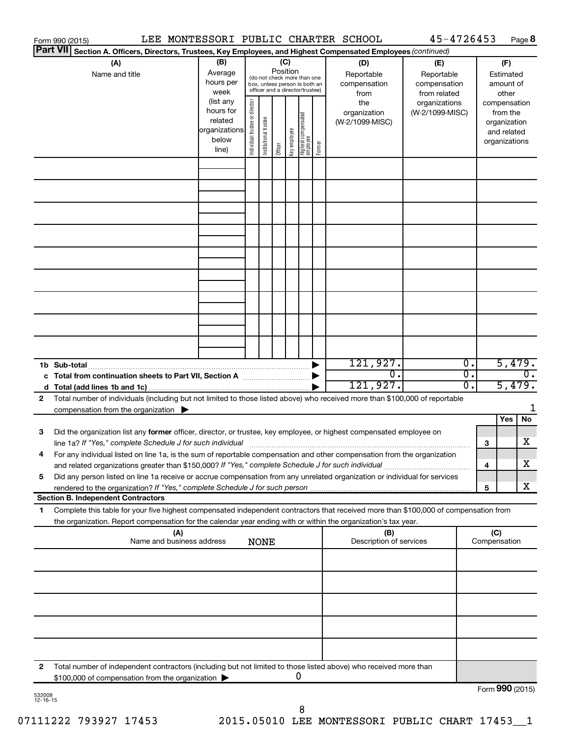|                 | Form 990 (2015)                                                                                                                        |               |                                |                                                              |         |              |                                   |        | LEE MONTESSORI PUBLIC CHARTER SCHOOL | 45-4726453      |    |   |               | Page 8           |
|-----------------|----------------------------------------------------------------------------------------------------------------------------------------|---------------|--------------------------------|--------------------------------------------------------------|---------|--------------|-----------------------------------|--------|--------------------------------------|-----------------|----|---|---------------|------------------|
| <b>Part VII</b> | Section A. Officers, Directors, Trustees, Key Employees, and Highest Compensated Employees (continued)                                 |               |                                |                                                              |         |              |                                   |        |                                      |                 |    |   |               |                  |
|                 | (A)                                                                                                                                    | (B)           |                                |                                                              | (C)     |              |                                   |        | (D)                                  | (E)             |    |   | (F)           |                  |
|                 | Name and title                                                                                                                         | Average       |                                |                                                              |         | Position     |                                   |        | Reportable                           | Reportable      |    |   | Estimated     |                  |
|                 |                                                                                                                                        | hours per     |                                | (do not check more than one<br>box, unless person is both an |         |              |                                   |        | compensation                         | compensation    |    |   | amount of     |                  |
|                 |                                                                                                                                        | week          |                                | officer and a director/trustee)                              |         |              |                                   |        | from                                 | from related    |    |   | other         |                  |
|                 |                                                                                                                                        | (list any     |                                |                                                              |         |              |                                   |        | the                                  | organizations   |    |   | compensation  |                  |
|                 |                                                                                                                                        | hours for     |                                |                                                              |         |              |                                   |        | organization                         | (W-2/1099-MISC) |    |   | from the      |                  |
|                 |                                                                                                                                        | related       | Individual trustee or director |                                                              |         |              |                                   |        | (W-2/1099-MISC)                      |                 |    |   | organization  |                  |
|                 |                                                                                                                                        | organizations |                                | Institutional trustee                                        |         | Key employee |                                   |        |                                      |                 |    |   | and related   |                  |
|                 |                                                                                                                                        | below         |                                |                                                              |         |              |                                   |        |                                      |                 |    |   | organizations |                  |
|                 |                                                                                                                                        | line)         |                                |                                                              | Officer |              | Highest compensated<br>  employee | Former |                                      |                 |    |   |               |                  |
|                 |                                                                                                                                        |               |                                |                                                              |         |              |                                   |        |                                      |                 |    |   |               |                  |
|                 |                                                                                                                                        |               |                                |                                                              |         |              |                                   |        |                                      |                 |    |   |               |                  |
|                 |                                                                                                                                        |               |                                |                                                              |         |              |                                   |        |                                      |                 |    |   |               |                  |
|                 |                                                                                                                                        |               |                                |                                                              |         |              |                                   |        |                                      |                 |    |   |               |                  |
|                 |                                                                                                                                        |               |                                |                                                              |         |              |                                   |        |                                      |                 |    |   |               |                  |
|                 |                                                                                                                                        |               |                                |                                                              |         |              |                                   |        |                                      |                 |    |   |               |                  |
|                 |                                                                                                                                        |               |                                |                                                              |         |              |                                   |        |                                      |                 |    |   |               |                  |
|                 |                                                                                                                                        |               |                                |                                                              |         |              |                                   |        |                                      |                 |    |   |               |                  |
|                 |                                                                                                                                        |               |                                |                                                              |         |              |                                   |        |                                      |                 |    |   |               |                  |
|                 |                                                                                                                                        |               |                                |                                                              |         |              |                                   |        |                                      |                 |    |   |               |                  |
|                 |                                                                                                                                        |               |                                |                                                              |         |              |                                   |        |                                      |                 |    |   |               |                  |
|                 |                                                                                                                                        |               |                                |                                                              |         |              |                                   |        |                                      |                 |    |   |               |                  |
|                 |                                                                                                                                        |               |                                |                                                              |         |              |                                   |        |                                      |                 |    |   |               |                  |
|                 |                                                                                                                                        |               |                                |                                                              |         |              |                                   |        |                                      |                 |    |   |               |                  |
|                 |                                                                                                                                        |               |                                |                                                              |         |              |                                   |        |                                      |                 |    |   |               |                  |
|                 |                                                                                                                                        |               |                                |                                                              |         |              |                                   |        |                                      |                 |    |   |               |                  |
|                 |                                                                                                                                        |               |                                |                                                              |         |              |                                   |        |                                      |                 |    |   |               |                  |
|                 |                                                                                                                                        |               |                                |                                                              |         |              |                                   |        |                                      |                 |    |   |               |                  |
|                 |                                                                                                                                        |               |                                |                                                              |         |              |                                   |        |                                      |                 |    |   |               |                  |
|                 | 1b Sub-total                                                                                                                           |               |                                |                                                              |         |              |                                   |        | 121,927.                             |                 | о. |   |               | 5,479.           |
|                 | c Total from continuation sheets to Part VII, Section A manufactured by                                                                |               |                                |                                                              |         |              |                                   |        | О.                                   |                 | σ. |   |               | $\overline{0}$ . |
|                 |                                                                                                                                        |               |                                |                                                              |         |              |                                   |        | 121,927.                             |                 | 0. |   |               | 5,479.           |
| 2               | Total number of individuals (including but not limited to those listed above) who received more than \$100,000 of reportable           |               |                                |                                                              |         |              |                                   |        |                                      |                 |    |   |               |                  |
|                 | compensation from the organization $\blacktriangleright$                                                                               |               |                                |                                                              |         |              |                                   |        |                                      |                 |    |   |               |                  |
|                 |                                                                                                                                        |               |                                |                                                              |         |              |                                   |        |                                      |                 |    |   | Yes           | <b>No</b>        |
| 3               | Did the organization list any former officer, director, or trustee, key employee, or highest compensated employee on                   |               |                                |                                                              |         |              |                                   |        |                                      |                 |    |   |               |                  |
|                 | line 1a? If "Yes," complete Schedule J for such individual [11] [12] manufacture 1a? If "Yes," complete Schedule J for such individual |               |                                |                                                              |         |              |                                   |        |                                      |                 |    | 3 |               | х                |
|                 | For any individual listed on line 1a, is the sum of reportable compensation and other compensation from the organization               |               |                                |                                                              |         |              |                                   |        |                                      |                 |    |   |               |                  |
|                 | and related organizations greater than \$150,000? If "Yes," complete Schedule J for such individual                                    |               |                                |                                                              |         |              |                                   |        |                                      |                 |    | 4 |               | х                |
| 5               | Did any person listed on line 1a receive or accrue compensation from any unrelated organization or individual for services             |               |                                |                                                              |         |              |                                   |        |                                      |                 |    |   |               |                  |
|                 | rendered to the organization? If "Yes," complete Schedule J for such person                                                            |               |                                |                                                              |         |              |                                   |        |                                      |                 |    | 5 |               | X                |
|                 | <b>Section B. Independent Contractors</b>                                                                                              |               |                                |                                                              |         |              |                                   |        |                                      |                 |    |   |               |                  |
| 1               | Complete this table for your five highest compensated independent contractors that received more than \$100,000 of compensation from   |               |                                |                                                              |         |              |                                   |        |                                      |                 |    |   |               |                  |
|                 | the organization. Report compensation for the calendar year ending with or within the organization's tax year.                         |               |                                |                                                              |         |              |                                   |        |                                      |                 |    |   |               |                  |
|                 | (A)                                                                                                                                    |               |                                |                                                              |         |              |                                   |        | (B)                                  |                 |    |   | (C)           |                  |
|                 | Name and business address                                                                                                              |               |                                | <b>NONE</b>                                                  |         |              |                                   |        | Description of services              |                 |    |   | Compensation  |                  |
|                 |                                                                                                                                        |               |                                |                                                              |         |              |                                   |        |                                      |                 |    |   |               |                  |
|                 |                                                                                                                                        |               |                                |                                                              |         |              |                                   |        |                                      |                 |    |   |               |                  |
|                 |                                                                                                                                        |               |                                |                                                              |         |              |                                   |        |                                      |                 |    |   |               |                  |
|                 |                                                                                                                                        |               |                                |                                                              |         |              |                                   |        |                                      |                 |    |   |               |                  |
|                 |                                                                                                                                        |               |                                |                                                              |         |              |                                   |        |                                      |                 |    |   |               |                  |
|                 |                                                                                                                                        |               |                                |                                                              |         |              |                                   |        |                                      |                 |    |   |               |                  |
|                 |                                                                                                                                        |               |                                |                                                              |         |              |                                   |        |                                      |                 |    |   |               |                  |
|                 |                                                                                                                                        |               |                                |                                                              |         |              |                                   |        |                                      |                 |    |   |               |                  |
|                 |                                                                                                                                        |               |                                |                                                              |         |              |                                   |        |                                      |                 |    |   |               |                  |
|                 |                                                                                                                                        |               |                                |                                                              |         |              |                                   |        |                                      |                 |    |   |               |                  |
|                 |                                                                                                                                        |               |                                |                                                              |         |              |                                   |        |                                      |                 |    |   |               |                  |
| 2               | Total number of independent contractors (including but not limited to those listed above) who received more than                       |               |                                |                                                              |         |              |                                   |        |                                      |                 |    |   |               |                  |
|                 | \$100,000 of compensation from the organization                                                                                        |               |                                |                                                              |         |              | 0                                 |        |                                      |                 |    |   |               |                  |
|                 |                                                                                                                                        |               |                                |                                                              |         |              |                                   |        |                                      |                 |    |   |               | Form 990 (2015)  |

| 532008 |    |
|--------|----|
| -16-   | 15 |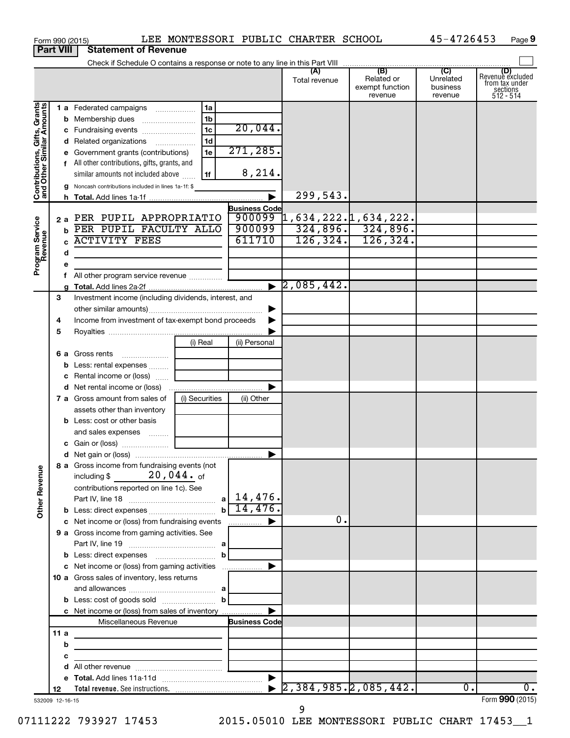|                                                           |      |   | Form 990 (2015)                                                         |                |                                | LEE MONTESSORI PUBLIC CHARTER SCHOOL    |                                          | 45-4726453                       | Page 9                                                             |
|-----------------------------------------------------------|------|---|-------------------------------------------------------------------------|----------------|--------------------------------|-----------------------------------------|------------------------------------------|----------------------------------|--------------------------------------------------------------------|
| <b>Part VIII</b>                                          |      |   | <b>Statement of Revenue</b>                                             |                |                                |                                         |                                          |                                  |                                                                    |
|                                                           |      |   |                                                                         |                |                                | (A)                                     | (B)                                      | $\overline{C}$                   |                                                                    |
|                                                           |      |   |                                                                         |                |                                | Total revenue                           | Related or<br>exempt function<br>revenue | Unrelated<br>business<br>revenue | (D)<br>Revenue excluded<br>from tax under<br>sections<br>512 - 514 |
|                                                           |      |   | 1 a Federated campaigns                                                 | 1a             |                                |                                         |                                          |                                  |                                                                    |
|                                                           |      |   |                                                                         | 1 <sub>b</sub> |                                |                                         |                                          |                                  |                                                                    |
|                                                           |      |   |                                                                         | 1 <sub>c</sub> | 20,044.                        |                                         |                                          |                                  |                                                                    |
|                                                           |      |   | d Related organizations                                                 | 1 <sub>d</sub> |                                |                                         |                                          |                                  |                                                                    |
|                                                           |      |   | e Government grants (contributions)                                     | 1e             | 271, 285.                      |                                         |                                          |                                  |                                                                    |
|                                                           |      |   | f All other contributions, gifts, grants, and                           |                |                                |                                         |                                          |                                  |                                                                    |
|                                                           |      |   | similar amounts not included above                                      | 1f             | 8,214.                         |                                         |                                          |                                  |                                                                    |
| Contributions, Gifts, Grants<br>and Other Similar Amounts |      |   | g Noncash contributions included in lines 1a-1f: \$                     |                |                                |                                         |                                          |                                  |                                                                    |
|                                                           |      |   |                                                                         |                | $\blacktriangleright$          | 299,543.                                |                                          |                                  |                                                                    |
|                                                           |      |   |                                                                         |                | <b>Business Code</b><br>900099 |                                         |                                          |                                  |                                                                    |
| Program Service<br>Revenue                                |      |   | 2 a PER PUPIL APPROPRIATIO<br><b>b PER PUPIL FACULTY ALLO</b>           |                | 900099                         | $\frac{1,634,222.1,634,222.}{324,896.}$ |                                          |                                  |                                                                    |
|                                                           |      |   | <b>ACTIVITY FEES</b>                                                    |                | 611710                         |                                         | $126, 324.$ , $126, 324.$                |                                  |                                                                    |
|                                                           |      |   |                                                                         |                |                                |                                         |                                          |                                  |                                                                    |
|                                                           |      | d |                                                                         |                |                                |                                         |                                          |                                  |                                                                    |
|                                                           |      | е | All other program service revenue                                       |                |                                |                                         |                                          |                                  |                                                                    |
|                                                           |      |   |                                                                         |                | $\blacktriangleright$          | 2,085,442.                              |                                          |                                  |                                                                    |
|                                                           | 3    |   | Investment income (including dividends, interest, and                   |                |                                |                                         |                                          |                                  |                                                                    |
|                                                           |      |   |                                                                         |                |                                |                                         |                                          |                                  |                                                                    |
|                                                           | 4    |   | Income from investment of tax-exempt bond proceeds                      |                |                                |                                         |                                          |                                  |                                                                    |
|                                                           | 5    |   |                                                                         |                |                                |                                         |                                          |                                  |                                                                    |
|                                                           |      |   |                                                                         | (i) Real       | (ii) Personal                  |                                         |                                          |                                  |                                                                    |
|                                                           |      |   | 6 a Gross rents                                                         |                |                                |                                         |                                          |                                  |                                                                    |
|                                                           |      |   | b Less: rental expenses                                                 |                |                                |                                         |                                          |                                  |                                                                    |
|                                                           |      |   | c Rental income or (loss)                                               |                |                                |                                         |                                          |                                  |                                                                    |
|                                                           |      |   |                                                                         |                | ▶                              |                                         |                                          |                                  |                                                                    |
|                                                           |      |   | 7 a Gross amount from sales of                                          | (i) Securities | (ii) Other                     |                                         |                                          |                                  |                                                                    |
|                                                           |      |   | assets other than inventory                                             |                |                                |                                         |                                          |                                  |                                                                    |
|                                                           |      |   | <b>b</b> Less: cost or other basis                                      |                |                                |                                         |                                          |                                  |                                                                    |
|                                                           |      |   | and sales expenses                                                      |                |                                |                                         |                                          |                                  |                                                                    |
|                                                           |      |   |                                                                         |                |                                |                                         |                                          |                                  |                                                                    |
|                                                           |      |   | 8 a Gross income from fundraising events (not                           |                |                                |                                         |                                          |                                  |                                                                    |
| <b>Other Revenue</b>                                      |      |   | including \$ $20,044 \cdot \text{of}$                                   |                |                                |                                         |                                          |                                  |                                                                    |
|                                                           |      |   | contributions reported on line 1c). See                                 |                |                                |                                         |                                          |                                  |                                                                    |
|                                                           |      |   |                                                                         |                |                                |                                         |                                          |                                  |                                                                    |
|                                                           |      |   |                                                                         |                | $b \overline{14, 476}$ .       |                                         |                                          |                                  |                                                                    |
|                                                           |      |   | c Net income or (loss) from fundraising events                          |                |                                | 0.                                      |                                          |                                  |                                                                    |
|                                                           |      |   | 9 a Gross income from gaming activities. See                            |                |                                |                                         |                                          |                                  |                                                                    |
|                                                           |      |   |                                                                         |                |                                |                                         |                                          |                                  |                                                                    |
|                                                           |      |   |                                                                         |                | $\mathbf b$                    |                                         |                                          |                                  |                                                                    |
|                                                           |      |   | c Net income or (loss) from gaming activities                           |                | ▶                              |                                         |                                          |                                  |                                                                    |
|                                                           |      |   | 10 a Gross sales of inventory, less returns                             |                |                                |                                         |                                          |                                  |                                                                    |
|                                                           |      |   |                                                                         |                |                                |                                         |                                          |                                  |                                                                    |
|                                                           |      |   |                                                                         |                | ▶                              |                                         |                                          |                                  |                                                                    |
|                                                           |      |   | c Net income or (loss) from sales of inventory<br>Miscellaneous Revenue |                | <b>Business Code</b>           |                                         |                                          |                                  |                                                                    |
|                                                           | 11 a |   |                                                                         |                |                                |                                         |                                          |                                  |                                                                    |
|                                                           |      | b | <u> 1980 - Johann Stein, mars an deus Amerikaansk kommunister (</u>     |                |                                |                                         |                                          |                                  |                                                                    |
|                                                           |      | с | <u> 1989 - Johann Barbara, martin a</u>                                 |                |                                |                                         |                                          |                                  |                                                                    |
|                                                           |      | d |                                                                         |                |                                |                                         |                                          |                                  |                                                                    |
|                                                           |      |   |                                                                         |                |                                |                                         |                                          |                                  |                                                                    |
|                                                           | 12   |   |                                                                         |                |                                |                                         |                                          | $\overline{0}$ .                 | $\overline{0}$ .                                                   |
| 532009 12-16-15                                           |      |   |                                                                         |                |                                |                                         |                                          |                                  | Form 990 (2015)                                                    |
|                                                           |      |   |                                                                         |                |                                | 9                                       |                                          |                                  |                                                                    |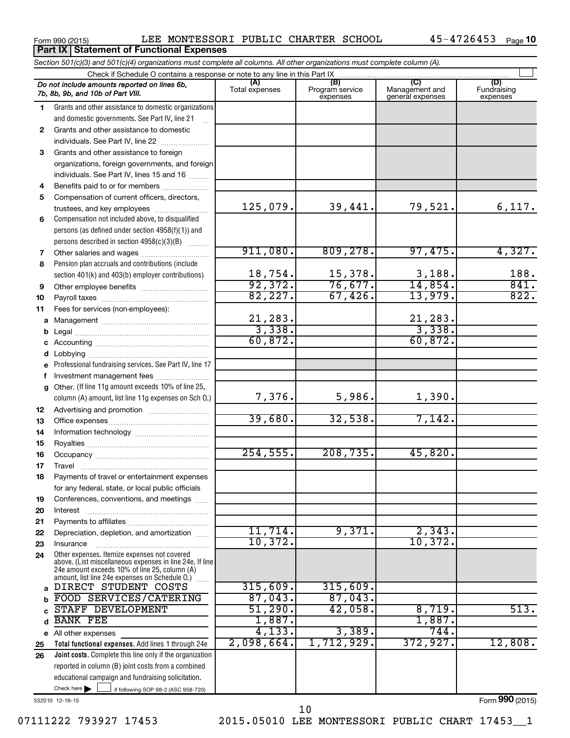**Part IX Statement of Functional Expenses**

|              | Section 501(c)(3) and 501(c)(4) organizations must complete all columns. All other organizations must complete column (A).                                                                                  |                |                             |                                    |                         |
|--------------|-------------------------------------------------------------------------------------------------------------------------------------------------------------------------------------------------------------|----------------|-----------------------------|------------------------------------|-------------------------|
|              | Check if Schedule O contains a response or note to any line in this Part IX                                                                                                                                 | (A)            | (B)                         | (C)                                | (D)                     |
|              | Do not include amounts reported on lines 6b,<br>7b, 8b, 9b, and 10b of Part VIII.                                                                                                                           | Total expenses | Program service<br>expenses | Management and<br>general expenses | Fundraising<br>expenses |
| 1            | Grants and other assistance to domestic organizations                                                                                                                                                       |                |                             |                                    |                         |
|              | and domestic governments. See Part IV, line 21                                                                                                                                                              |                |                             |                                    |                         |
| $\mathbf{2}$ | Grants and other assistance to domestic                                                                                                                                                                     |                |                             |                                    |                         |
|              | individuals. See Part IV, line 22                                                                                                                                                                           |                |                             |                                    |                         |
| 3            | Grants and other assistance to foreign                                                                                                                                                                      |                |                             |                                    |                         |
|              | organizations, foreign governments, and foreign                                                                                                                                                             |                |                             |                                    |                         |
|              | individuals. See Part IV, lines 15 and 16                                                                                                                                                                   |                |                             |                                    |                         |
| 4            | Benefits paid to or for members                                                                                                                                                                             |                |                             |                                    |                         |
| 5            | Compensation of current officers, directors,                                                                                                                                                                |                |                             |                                    |                         |
|              | trustees, and key employees                                                                                                                                                                                 | 125,079.       | 39,441.                     | 79,521.                            | 6,117.                  |
| 6            | Compensation not included above, to disqualified                                                                                                                                                            |                |                             |                                    |                         |
|              | persons (as defined under section 4958(f)(1)) and                                                                                                                                                           |                |                             |                                    |                         |
|              | persons described in section 4958(c)(3)(B)<br>$\overline{\phantom{a}}$                                                                                                                                      | 911,080.       | 809, 278.                   | 97,475.                            | 4,327.                  |
| 7            |                                                                                                                                                                                                             |                |                             |                                    |                         |
| 8            | Pension plan accruals and contributions (include                                                                                                                                                            | 18, 754.       | 15,378.                     | 3,188.                             | 188.                    |
|              | section 401(k) and 403(b) employer contributions)                                                                                                                                                           | 92, 372.       | 76,677.                     | 14,854.                            | 841.                    |
| 9            |                                                                                                                                                                                                             | 82,227.        | 67,426.                     | 13,979.                            | 822.                    |
| 10<br>11     | Fees for services (non-employees):                                                                                                                                                                          |                |                             |                                    |                         |
|              |                                                                                                                                                                                                             | 21,283.        |                             | 21,283.                            |                         |
| b            |                                                                                                                                                                                                             | 3,338.         |                             | 3,338.                             |                         |
|              |                                                                                                                                                                                                             | 60,872.        |                             | 60,872.                            |                         |
| d            |                                                                                                                                                                                                             |                |                             |                                    |                         |
|              | e Professional fundraising services. See Part IV, line 17                                                                                                                                                   |                |                             |                                    |                         |
| f            | Investment management fees                                                                                                                                                                                  |                |                             |                                    |                         |
| g            | Other. (If line 11g amount exceeds 10% of line 25,                                                                                                                                                          |                |                             |                                    |                         |
|              | column (A) amount, list line 11g expenses on Sch O.)                                                                                                                                                        | 7,376.         | 5,986.                      | 1,390.                             |                         |
| 12           |                                                                                                                                                                                                             |                |                             |                                    |                         |
| 13           |                                                                                                                                                                                                             | 39,680.        | 32,538.                     | 7,142.                             |                         |
| 14           |                                                                                                                                                                                                             |                |                             |                                    |                         |
| 15           |                                                                                                                                                                                                             |                |                             |                                    |                         |
| 16           |                                                                                                                                                                                                             | 254,555.       | 208, 735.                   | 45,820.                            |                         |
| 17           |                                                                                                                                                                                                             |                |                             |                                    |                         |
| 18           | Payments of travel or entertainment expenses                                                                                                                                                                |                |                             |                                    |                         |
|              | for any federal, state, or local public officials                                                                                                                                                           |                |                             |                                    |                         |
| 19           | Conferences, conventions, and meetings                                                                                                                                                                      |                |                             |                                    |                         |
| 20           | Interest                                                                                                                                                                                                    |                |                             |                                    |                         |
| 21           |                                                                                                                                                                                                             |                |                             |                                    |                         |
| 22           | Depreciation, depletion, and amortization                                                                                                                                                                   | 11,714.        | 9,371.                      | 2,343.<br>10,372.                  |                         |
| 23           | Insurance                                                                                                                                                                                                   | 10,372.        |                             |                                    |                         |
| 24           | Other expenses. Itemize expenses not covered<br>above. (List miscellaneous expenses in line 24e. If line<br>24e amount exceeds 10% of line 25, column (A)<br>amount, list line 24e expenses on Schedule O.) |                |                             |                                    |                         |
|              | DIRECT STUDENT COSTS                                                                                                                                                                                        | 315,609.       | 315,609.                    |                                    |                         |
| b            | FOOD SERVICES/CATERING                                                                                                                                                                                      | 87,043.        | 87,043.                     |                                    |                         |
|              | STAFF DEVELOPMENT                                                                                                                                                                                           | 51,290.        | 42,058.                     | 8,719.                             | 513.                    |
| d            | <b>BANK FEE</b>                                                                                                                                                                                             | 1,887.         |                             | 1,887.                             |                         |
|              | e All other expenses                                                                                                                                                                                        | 4,133.         | 3,389.                      | 744.                               |                         |
| 25           | Total functional expenses. Add lines 1 through 24e                                                                                                                                                          | 2,098,664.     | 1,712,929.                  | 372,927.                           | 12,808.                 |
| 26           | Joint costs. Complete this line only if the organization                                                                                                                                                    |                |                             |                                    |                         |
|              | reported in column (B) joint costs from a combined                                                                                                                                                          |                |                             |                                    |                         |
|              | educational campaign and fundraising solicitation.                                                                                                                                                          |                |                             |                                    |                         |
|              | Check here $\blacktriangleright$<br>if following SOP 98-2 (ASC 958-720)                                                                                                                                     |                |                             |                                    |                         |

532010 12-16-15

Form (2015) **990**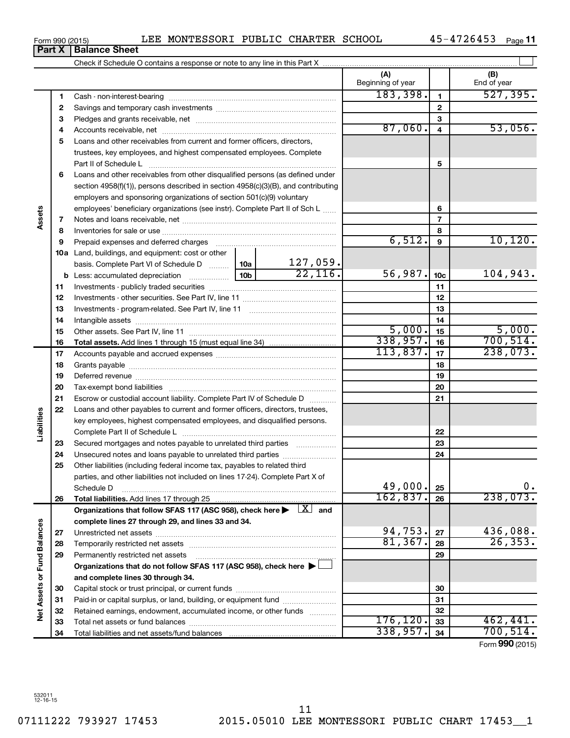| basis. Complete Part VI of Schedule D                                                                                        | 10a             | 127,059. |           |                 |           |
|------------------------------------------------------------------------------------------------------------------------------|-----------------|----------|-----------|-----------------|-----------|
|                                                                                                                              | 10 <sub>b</sub> | 22,116.  | 56,987.   | 10 <sub>c</sub> | 104,943.  |
|                                                                                                                              |                 |          |           | 11              |           |
|                                                                                                                              |                 |          |           | 12              |           |
|                                                                                                                              |                 |          |           | 13              |           |
|                                                                                                                              |                 |          |           | 14              |           |
|                                                                                                                              |                 |          | 5,000.    | 15              | 5,000.    |
|                                                                                                                              |                 |          | 338,957.  | 16              | 700, 514. |
|                                                                                                                              |                 |          | 113,837.  | 17              | 238,073.  |
|                                                                                                                              |                 |          |           | 18              |           |
|                                                                                                                              |                 |          |           | 19              |           |
|                                                                                                                              |                 |          |           | 20              |           |
| Escrow or custodial account liability. Complete Part IV of Schedule D                                                        |                 |          |           | 21              |           |
| Loans and other payables to current and former officers, directors, trustees,                                                |                 |          |           |                 |           |
| key employees, highest compensated employees, and disqualified persons.                                                      |                 |          |           |                 |           |
|                                                                                                                              |                 |          |           | 22              |           |
| Secured mortgages and notes payable to unrelated third parties                                                               |                 |          |           | 23              |           |
|                                                                                                                              |                 |          |           | 24              |           |
| Other liabilities (including federal income tax, payables to related third                                                   |                 |          |           |                 |           |
| parties, and other liabilities not included on lines 17-24). Complete Part X of                                              |                 |          |           |                 |           |
| Schedule D                                                                                                                   |                 |          | 49,000.   | 25              | 0.        |
|                                                                                                                              |                 |          | 162, 837. | 26              | 238,073.  |
| Organizations that follow SFAS 117 (ASC 958), check here $\blacktriangleright \begin{array}{c} \boxed{X} \\ \end{array}$ and |                 |          |           |                 |           |
| complete lines 27 through 29, and lines 33 and 34.                                                                           |                 |          |           |                 |           |
|                                                                                                                              |                 |          | 94, 753.  | 27              | 436,088.  |
|                                                                                                                              |                 |          | 81, 367.  | 28              | 26, 353.  |
|                                                                                                                              |                 |          |           | 29              |           |
| Organizations that do not follow SFAS 117 (ASC 958), check here ▶ □                                                          |                 |          |           |                 |           |
| and complete lines 30 through 34.                                                                                            |                 |          |           |                 |           |
|                                                                                                                              |                 |          |           | 30              |           |
| Paid-in or capital surplus, or land, building, or equipment fund                                                             |                 |          |           | 31              |           |
| Retained earnings, endowment, accumulated income, or other funds                                                             |                 |          |           | 32              |           |

 $|10a|$ 

~~~~~~~~~~~~~~~~~~

127,059.

Check if Schedule O contains a response or note to any line in this Part X **Part X** | Balance Sheet

**10 a** Land, buildings, and equipment: cost or other

Prepaid expenses and deferred charges

**3** Pledges and grants receivable, net ~~~~~~~~~~~~~~~~~~~~~ **4** Accounts receivable, net ~~~~~~~~~~~~~~~~~~~~~~~~~~ **5** Loans and other receivables from current and former officers, directors,

Cash - non-interest-bearing ~~~~~~~~~~~~~~~~~~~~~~~~~ Savings and temporary cash investments ~~~~~~~~~~~~~~~~~~

**6** Loans and other receivables from other disqualified persons (as defined under

employers and sponsoring organizations of section 501(c)(9) voluntary

section 4958(f)(1)), persons described in section 4958(c)(3)(B), and contributing

employees' beneficiary organizations (see instr). Complete Part II of Sch L ...... Notes and loans receivable, net ~~~~~~~~~~~~~~~~~~~~~~~ Inventories for sale or use ~~~~~~~~~~~~~~~~~~~~~~~~~~

Total net assets or fund balances ~~~~~~~~~~~~~~~~~~~~~~

Total liabilities and net assets/fund balances

trustees, key employees, and highest compensated employees. Complete Part II of Schedule L ~~~~~~~~~~~~~~~~~~~~~~~~~~~~  $\perp$ 

**(A) (B)**

Beginning of year | | End of year

 $183,398.$   $1$  | 527,395.

 $87,060.$  4 53,056.

 $\overline{6,512.}$   $\overline{9}$  10,120.

**5**

**33 34**

 $176, 120.$  33 462,441. 338,957. 700,514.

Form (2015) **990**

| Form 990 (2015 |  |
|----------------|--|
|----------------|--|

**1 2**

**7 8 9**

**Assets**

**23 24 25**

**Liabilities**

**26**

**27 28 29**

**Net Assets or Fund Balances**

Net Assets or Fund Balances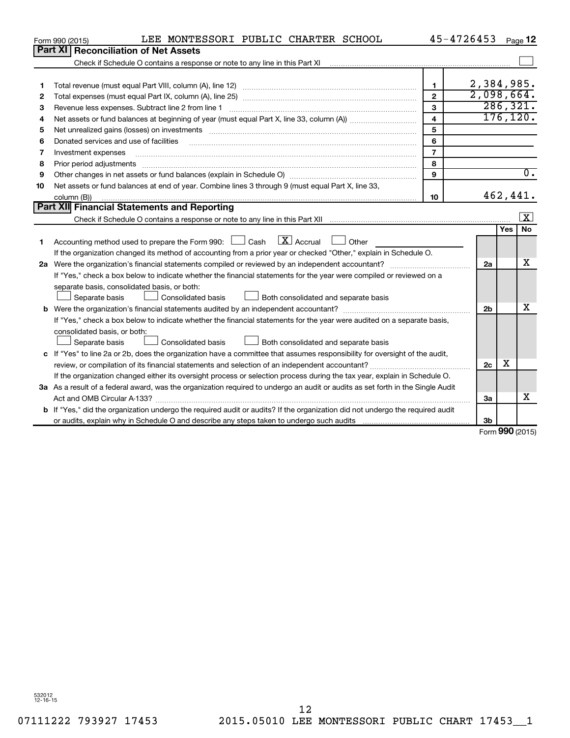|    | LEE MONTESSORI PUBLIC CHARTER SCHOOL<br>Form 990 (2015)                                                                                                                                                                        |                         | 45-4726453     | Page 12                 |
|----|--------------------------------------------------------------------------------------------------------------------------------------------------------------------------------------------------------------------------------|-------------------------|----------------|-------------------------|
|    | Part XI   Reconciliation of Net Assets                                                                                                                                                                                         |                         |                |                         |
|    |                                                                                                                                                                                                                                |                         |                |                         |
|    |                                                                                                                                                                                                                                |                         |                |                         |
| 1  |                                                                                                                                                                                                                                | 1                       |                | 2,384,985.              |
| 2  |                                                                                                                                                                                                                                | $\mathbf{2}$            |                | 2,098,664.              |
| З  | Revenue less expenses. Subtract line 2 from line 1                                                                                                                                                                             | $\mathbf{3}$            |                | 286, 321.               |
| 4  |                                                                                                                                                                                                                                | $\overline{\mathbf{4}}$ |                | 176, 120.               |
| 5  | Net unrealized gains (losses) on investments [11] matter than the control of the state of the state of the state of the state of the state of the state of the state of the state of the state of the state of the state of th | 5                       |                |                         |
| 6  | Donated services and use of facilities                                                                                                                                                                                         | 6                       |                |                         |
| 7  | Investment expenses                                                                                                                                                                                                            | $\overline{7}$          |                |                         |
| 8  | Prior period adjustments                                                                                                                                                                                                       | 8                       |                |                         |
| 9  |                                                                                                                                                                                                                                | 9                       |                | 0.                      |
| 10 | Net assets or fund balances at end of year. Combine lines 3 through 9 (must equal Part X, line 33,                                                                                                                             |                         |                |                         |
|    | column (B))                                                                                                                                                                                                                    | 10                      |                | 462,441.                |
|    | Part XII Financial Statements and Reporting                                                                                                                                                                                    |                         |                |                         |
|    |                                                                                                                                                                                                                                |                         |                | $\boxed{\mathbf{X}}$    |
|    |                                                                                                                                                                                                                                |                         |                | <b>No</b><br><b>Yes</b> |
| 1  | Accounting method used to prepare the Form 990: $\Box$ Cash $\Box X$ Accrual<br>  Other                                                                                                                                        |                         |                |                         |
|    | If the organization changed its method of accounting from a prior year or checked "Other," explain in Schedule O.                                                                                                              |                         |                |                         |
|    |                                                                                                                                                                                                                                |                         | 2a             | х                       |
|    | If "Yes," check a box below to indicate whether the financial statements for the year were compiled or reviewed on a                                                                                                           |                         |                |                         |
|    | separate basis, consolidated basis, or both:                                                                                                                                                                                   |                         |                |                         |
|    | Separate basis<br>Both consolidated and separate basis<br>Consolidated basis                                                                                                                                                   |                         |                |                         |
|    |                                                                                                                                                                                                                                |                         | 2 <sub>b</sub> | x                       |
|    | If "Yes," check a box below to indicate whether the financial statements for the year were audited on a separate basis,                                                                                                        |                         |                |                         |
|    | consolidated basis, or both:                                                                                                                                                                                                   |                         |                |                         |
|    | Consolidated basis<br>Both consolidated and separate basis<br>Separate basis                                                                                                                                                   |                         |                |                         |
|    | c If "Yes" to line 2a or 2b, does the organization have a committee that assumes responsibility for oversight of the audit,                                                                                                    |                         |                |                         |
|    | review, or compilation of its financial statements and selection of an independent accountant?                                                                                                                                 |                         | 2c             | х                       |
|    | If the organization changed either its oversight process or selection process during the tax year, explain in Schedule O.                                                                                                      |                         |                |                         |
|    | 3a As a result of a federal award, was the organization required to undergo an audit or audits as set forth in the Single Audit                                                                                                |                         |                |                         |
|    | Act and OMB Circular A-133?                                                                                                                                                                                                    |                         | За             | X                       |
|    | b If "Yes," did the organization undergo the required audit or audits? If the organization did not undergo the required audit                                                                                                  |                         |                |                         |
|    |                                                                                                                                                                                                                                |                         | 3 <sub>b</sub> | nnn.                    |

Form (2015) **990**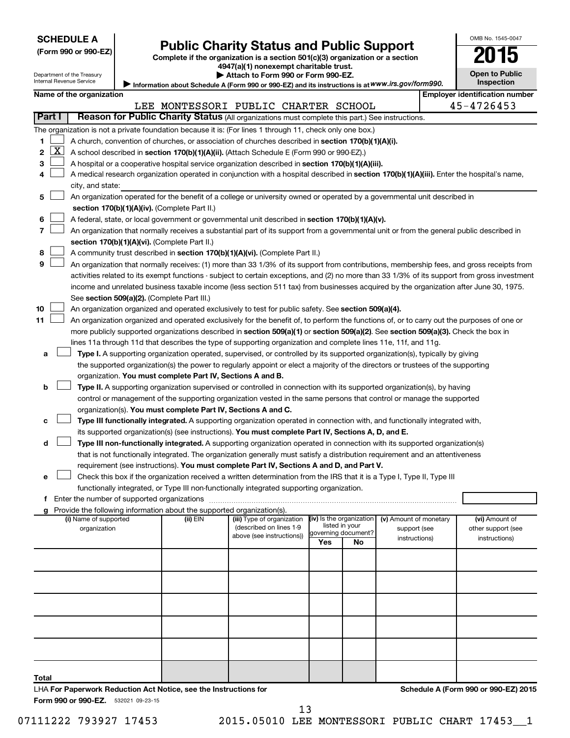Department of the Treasury

| (Form 990 or 990-EZ |  |  |  |  |
|---------------------|--|--|--|--|
|---------------------|--|--|--|--|

## Form 990 or 990-EZ) **Public Charity Status and Public Support**<br>
Complete if the organization is a section 501(c)(3) organization or a section<br> **2015**

**4947(a)(1) nonexempt charitable trust. | Attach to Form 990 or Form 990-EZ.** 

| OMB No 1545-0047             |
|------------------------------|
| 2015                         |
| Open to Public<br>Inspection |

| $\blacksquare$                                                                                                                                                                                                                |                                                                                                   |  |
|-------------------------------------------------------------------------------------------------------------------------------------------------------------------------------------------------------------------------------|---------------------------------------------------------------------------------------------------|--|
| Internal Revenue Service                                                                                                                                                                                                      | Information about Schedule A (Form 990 or 990-EZ) and its instructions is at WWW.irs.gov/form990. |  |
| $= 0.000$ and $= 0.0000$ and $= 0.0000$ and $= 0.0000$ and $= 0.0000$ and $= 0.0000$ and $= 0.0000$ and $= 0.0000$ and $= 0.0000$ and $= 0.0000$ and $= 0.0000$ and $= 0.0000$ and $= 0.0000$ and $= 0.0000$ and $= 0.0000$ a | <b>P</b> AGUUT GET VEHEVYV VET VEHEVYV LL.                                                        |  |

| Employer identification num |  |
|-----------------------------|--|

|              | Name of the organization<br><b>Employer identification number</b> |                                                                                                                                               |          |                                                       |     |                                            |                        |  |                                     |
|--------------|-------------------------------------------------------------------|-----------------------------------------------------------------------------------------------------------------------------------------------|----------|-------------------------------------------------------|-----|--------------------------------------------|------------------------|--|-------------------------------------|
|              |                                                                   |                                                                                                                                               |          | LEE MONTESSORI PUBLIC CHARTER SCHOOL                  |     |                                            |                        |  | 45-4726453                          |
| Part I       |                                                                   | Reason for Public Charity Status (All organizations must complete this part.) See instructions.                                               |          |                                                       |     |                                            |                        |  |                                     |
|              |                                                                   | The organization is not a private foundation because it is: (For lines 1 through 11, check only one box.)                                     |          |                                                       |     |                                            |                        |  |                                     |
| 1.           |                                                                   | A church, convention of churches, or association of churches described in section 170(b)(1)(A)(i).                                            |          |                                                       |     |                                            |                        |  |                                     |
| $\mathbf{2}$ | $\lfloor x \rfloor$                                               | A school described in section 170(b)(1)(A)(ii). (Attach Schedule E (Form 990 or 990-EZ).)                                                     |          |                                                       |     |                                            |                        |  |                                     |
| 3            |                                                                   | A hospital or a cooperative hospital service organization described in section 170(b)(1)(A)(iii).                                             |          |                                                       |     |                                            |                        |  |                                     |
| 4            |                                                                   | A medical research organization operated in conjunction with a hospital described in section 170(b)(1)(A)(iii). Enter the hospital's name,    |          |                                                       |     |                                            |                        |  |                                     |
|              |                                                                   | city, and state:                                                                                                                              |          |                                                       |     |                                            |                        |  |                                     |
| 5            |                                                                   | An organization operated for the benefit of a college or university owned or operated by a governmental unit described in                     |          |                                                       |     |                                            |                        |  |                                     |
|              |                                                                   |                                                                                                                                               |          |                                                       |     |                                            |                        |  |                                     |
|              |                                                                   | section 170(b)(1)(A)(iv). (Complete Part II.)                                                                                                 |          |                                                       |     |                                            |                        |  |                                     |
| 6            |                                                                   | A federal, state, or local government or governmental unit described in section 170(b)(1)(A)(v).                                              |          |                                                       |     |                                            |                        |  |                                     |
| 7            |                                                                   | An organization that normally receives a substantial part of its support from a governmental unit or from the general public described in     |          |                                                       |     |                                            |                        |  |                                     |
|              |                                                                   | section 170(b)(1)(A)(vi). (Complete Part II.)                                                                                                 |          |                                                       |     |                                            |                        |  |                                     |
| 8            |                                                                   | A community trust described in section 170(b)(1)(A)(vi). (Complete Part II.)                                                                  |          |                                                       |     |                                            |                        |  |                                     |
| 9            |                                                                   | An organization that normally receives: (1) more than 33 1/3% of its support from contributions, membership fees, and gross receipts from     |          |                                                       |     |                                            |                        |  |                                     |
|              |                                                                   | activities related to its exempt functions - subject to certain exceptions, and (2) no more than 33 1/3% of its support from gross investment |          |                                                       |     |                                            |                        |  |                                     |
|              |                                                                   | income and unrelated business taxable income (less section 511 tax) from businesses acquired by the organization after June 30, 1975.         |          |                                                       |     |                                            |                        |  |                                     |
|              |                                                                   | See section 509(a)(2). (Complete Part III.)                                                                                                   |          |                                                       |     |                                            |                        |  |                                     |
| 10           |                                                                   | An organization organized and operated exclusively to test for public safety. See section 509(a)(4).                                          |          |                                                       |     |                                            |                        |  |                                     |
| 11           |                                                                   | An organization organized and operated exclusively for the benefit of, to perform the functions of, or to carry out the purposes of one or    |          |                                                       |     |                                            |                        |  |                                     |
|              |                                                                   | more publicly supported organizations described in section 509(a)(1) or section 509(a)(2). See section 509(a)(3). Check the box in            |          |                                                       |     |                                            |                        |  |                                     |
|              |                                                                   | lines 11a through 11d that describes the type of supporting organization and complete lines 11e, 11f, and 11g.                                |          |                                                       |     |                                            |                        |  |                                     |
| а            |                                                                   | Type I. A supporting organization operated, supervised, or controlled by its supported organization(s), typically by giving                   |          |                                                       |     |                                            |                        |  |                                     |
|              |                                                                   | the supported organization(s) the power to regularly appoint or elect a majority of the directors or trustees of the supporting               |          |                                                       |     |                                            |                        |  |                                     |
|              |                                                                   | organization. You must complete Part IV, Sections A and B.                                                                                    |          |                                                       |     |                                            |                        |  |                                     |
| b            |                                                                   | <b>Type II.</b> A supporting organization supervised or controlled in connection with its supported organization(s), by having                |          |                                                       |     |                                            |                        |  |                                     |
|              |                                                                   | control or management of the supporting organization vested in the same persons that control or manage the supported                          |          |                                                       |     |                                            |                        |  |                                     |
|              |                                                                   | organization(s). You must complete Part IV, Sections A and C.                                                                                 |          |                                                       |     |                                            |                        |  |                                     |
| с            |                                                                   | Type III functionally integrated. A supporting organization operated in connection with, and functionally integrated with,                    |          |                                                       |     |                                            |                        |  |                                     |
|              |                                                                   | its supported organization(s) (see instructions). You must complete Part IV, Sections A, D, and E.                                            |          |                                                       |     |                                            |                        |  |                                     |
| d            |                                                                   | Type III non-functionally integrated. A supporting organization operated in connection with its supported organization(s)                     |          |                                                       |     |                                            |                        |  |                                     |
|              |                                                                   | that is not functionally integrated. The organization generally must satisfy a distribution requirement and an attentiveness                  |          |                                                       |     |                                            |                        |  |                                     |
|              |                                                                   | requirement (see instructions). You must complete Part IV, Sections A and D, and Part V.                                                      |          |                                                       |     |                                            |                        |  |                                     |
| е            |                                                                   | Check this box if the organization received a written determination from the IRS that it is a Type I, Type II, Type III                       |          |                                                       |     |                                            |                        |  |                                     |
|              |                                                                   | functionally integrated, or Type III non-functionally integrated supporting organization.                                                     |          |                                                       |     |                                            |                        |  |                                     |
|              |                                                                   |                                                                                                                                               |          |                                                       |     |                                            |                        |  |                                     |
|              |                                                                   | g Provide the following information about the supported organization(s).                                                                      |          |                                                       |     |                                            |                        |  |                                     |
|              |                                                                   | (i) Name of supported                                                                                                                         | (ii) EIN | (iii) Type of organization<br>(described on lines 1-9 |     | (iv) Is the organization<br>listed in your | (v) Amount of monetary |  | (vi) Amount of                      |
|              |                                                                   | organization                                                                                                                                  |          | above (see instructions))                             |     | governing document?                        | support (see           |  | other support (see<br>instructions) |
|              |                                                                   |                                                                                                                                               |          |                                                       | Yes | No                                         | instructions)          |  |                                     |
|              |                                                                   |                                                                                                                                               |          |                                                       |     |                                            |                        |  |                                     |
|              |                                                                   |                                                                                                                                               |          |                                                       |     |                                            |                        |  |                                     |
|              |                                                                   |                                                                                                                                               |          |                                                       |     |                                            |                        |  |                                     |
|              |                                                                   |                                                                                                                                               |          |                                                       |     |                                            |                        |  |                                     |
|              |                                                                   |                                                                                                                                               |          |                                                       |     |                                            |                        |  |                                     |

Form 990 or 990-EZ. 532021 09-23-15 **Total** LHA **For Paperwork Reduction Act Notice, see the Instructions for**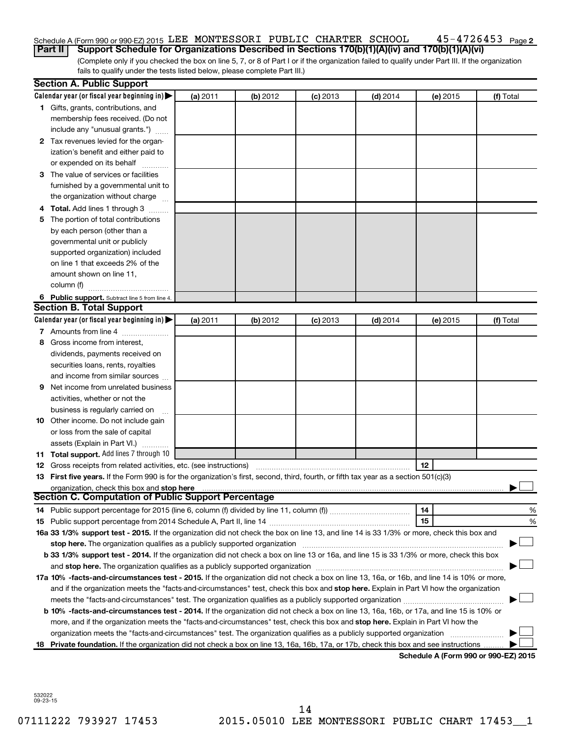#### $45 - 4726453$  Page 2 Schedule A (Form 990 or 990-EZ) 2015 LEE MONTESSORI PUBLIC CHARTER SCHOOL 45-4726453 Page

(Complete only if you checked the box on line 5, 7, or 8 of Part I or if the organization failed to qualify under Part III. If the organization fails to qualify under the tests listed below, please complete Part III.) **Part II Support Schedule for Organizations Described in Sections 170(b)(1)(A)(iv) and 170(b)(1)(A)(vi)**

|    | <b>Section A. Public Support</b>                                                                                                           |          |          |            |            |                                      |           |
|----|--------------------------------------------------------------------------------------------------------------------------------------------|----------|----------|------------|------------|--------------------------------------|-----------|
|    | Calendar year (or fiscal year beginning in)                                                                                                | (a) 2011 | (b) 2012 | $(c)$ 2013 | $(d)$ 2014 | (e) 2015                             | (f) Total |
|    | 1 Gifts, grants, contributions, and                                                                                                        |          |          |            |            |                                      |           |
|    | membership fees received. (Do not                                                                                                          |          |          |            |            |                                      |           |
|    | include any "unusual grants.")                                                                                                             |          |          |            |            |                                      |           |
|    | 2 Tax revenues levied for the organ-                                                                                                       |          |          |            |            |                                      |           |
|    | ization's benefit and either paid to                                                                                                       |          |          |            |            |                                      |           |
|    | or expended on its behalf                                                                                                                  |          |          |            |            |                                      |           |
|    | 3 The value of services or facilities                                                                                                      |          |          |            |            |                                      |           |
|    | furnished by a governmental unit to                                                                                                        |          |          |            |            |                                      |           |
|    | the organization without charge                                                                                                            |          |          |            |            |                                      |           |
|    | 4 Total. Add lines 1 through 3                                                                                                             |          |          |            |            |                                      |           |
|    | 5 The portion of total contributions                                                                                                       |          |          |            |            |                                      |           |
|    | by each person (other than a                                                                                                               |          |          |            |            |                                      |           |
|    | governmental unit or publicly                                                                                                              |          |          |            |            |                                      |           |
|    | supported organization) included                                                                                                           |          |          |            |            |                                      |           |
|    | on line 1 that exceeds 2% of the                                                                                                           |          |          |            |            |                                      |           |
|    | amount shown on line 11,                                                                                                                   |          |          |            |            |                                      |           |
|    | column (f)                                                                                                                                 |          |          |            |            |                                      |           |
|    | 6 Public support. Subtract line 5 from line 4.                                                                                             |          |          |            |            |                                      |           |
|    | <b>Section B. Total Support</b>                                                                                                            |          |          |            |            |                                      |           |
|    | Calendar year (or fiscal year beginning in)                                                                                                | (a) 2011 | (b) 2012 | $(c)$ 2013 | $(d)$ 2014 | (e) 2015                             | (f) Total |
|    | 7 Amounts from line 4                                                                                                                      |          |          |            |            |                                      |           |
| 8  | Gross income from interest,                                                                                                                |          |          |            |            |                                      |           |
|    | dividends, payments received on                                                                                                            |          |          |            |            |                                      |           |
|    | securities loans, rents, royalties                                                                                                         |          |          |            |            |                                      |           |
|    | and income from similar sources                                                                                                            |          |          |            |            |                                      |           |
| 9  | Net income from unrelated business                                                                                                         |          |          |            |            |                                      |           |
|    | activities, whether or not the                                                                                                             |          |          |            |            |                                      |           |
|    | business is regularly carried on                                                                                                           |          |          |            |            |                                      |           |
|    | 10 Other income. Do not include gain                                                                                                       |          |          |            |            |                                      |           |
|    | or loss from the sale of capital                                                                                                           |          |          |            |            |                                      |           |
|    | assets (Explain in Part VI.)                                                                                                               |          |          |            |            |                                      |           |
|    | 11 Total support. Add lines 7 through 10                                                                                                   |          |          |            |            |                                      |           |
|    | <b>12</b> Gross receipts from related activities, etc. (see instructions)                                                                  |          |          |            |            | 12                                   |           |
|    | 13 First five years. If the Form 990 is for the organization's first, second, third, fourth, or fifth tax year as a section 501(c)(3)      |          |          |            |            |                                      |           |
|    | organization, check this box and stop here                                                                                                 |          |          |            |            |                                      |           |
|    | <b>Section C. Computation of Public Support Percentage</b>                                                                                 |          |          |            |            |                                      |           |
|    |                                                                                                                                            |          |          |            |            | 14                                   | %         |
|    |                                                                                                                                            |          |          |            |            | 15                                   | %         |
|    | 16a 33 1/3% support test - 2015. If the organization did not check the box on line 13, and line 14 is 33 1/3% or more, check this box and  |          |          |            |            |                                      |           |
|    |                                                                                                                                            |          |          |            |            |                                      |           |
|    | b 33 1/3% support test - 2014. If the organization did not check a box on line 13 or 16a, and line 15 is 33 1/3% or more, check this box   |          |          |            |            |                                      |           |
|    |                                                                                                                                            |          |          |            |            |                                      |           |
|    | 17a 10% -facts-and-circumstances test - 2015. If the organization did not check a box on line 13, 16a, or 16b, and line 14 is 10% or more, |          |          |            |            |                                      |           |
|    | and if the organization meets the "facts-and-circumstances" test, check this box and stop here. Explain in Part VI how the organization    |          |          |            |            |                                      |           |
|    | meets the "facts-and-circumstances" test. The organization qualifies as a publicly supported organization <i>manumumumum</i>               |          |          |            |            |                                      |           |
|    | b 10% -facts-and-circumstances test - 2014. If the organization did not check a box on line 13, 16a, 16b, or 17a, and line 15 is 10% or    |          |          |            |            |                                      |           |
|    | more, and if the organization meets the "facts-and-circumstances" test, check this box and stop here. Explain in Part VI how the           |          |          |            |            |                                      |           |
|    | organization meets the "facts-and-circumstances" test. The organization qualifies as a publicly supported organization                     |          |          |            |            |                                      |           |
| 18 | Private foundation. If the organization did not check a box on line 13, 16a, 16b, 17a, or 17b, check this box and see instructions         |          |          |            |            |                                      |           |
|    |                                                                                                                                            |          |          |            |            | Schedule A (Form 990 or 990-EZ) 2015 |           |

532022 09-23-15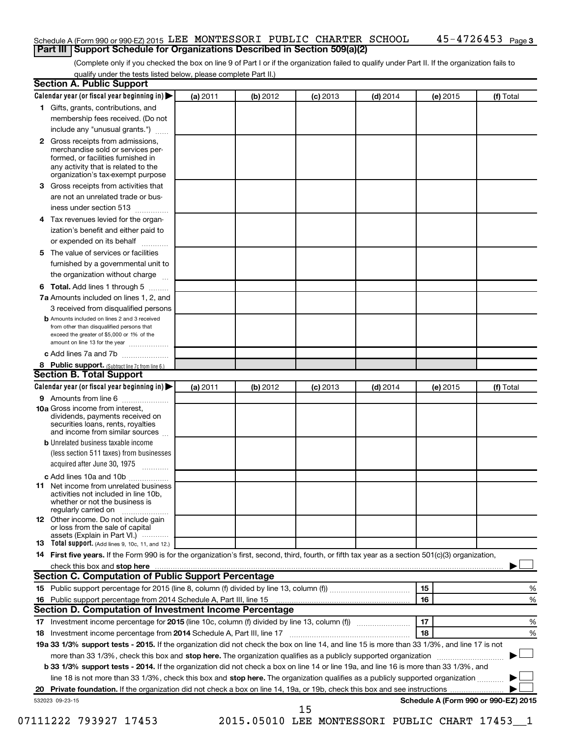#### Schedule A (Form 990 or 990-EZ) 2015 LEE MONTESSORI PUBLIC CHARTER SCHOOL 45-4726453 Page **Part III Support Schedule for Organizations Described in Section 509(a)(2)**

(Complete only if you checked the box on line 9 of Part I or if the organization failed to qualify under Part II. If the organization fails to qualify under the tests listed below, please complete Part II.)

|    | Calendar year (or fiscal year beginning in)                                                                                                         | (a) 2011 | (b) 2012 | $(c)$ 2013 | $(d)$ 2014 | (e) 2015 | (f) Total                                      |
|----|-----------------------------------------------------------------------------------------------------------------------------------------------------|----------|----------|------------|------------|----------|------------------------------------------------|
|    | 1 Gifts, grants, contributions, and                                                                                                                 |          |          |            |            |          |                                                |
|    | membership fees received. (Do not                                                                                                                   |          |          |            |            |          |                                                |
|    | include any "unusual grants.")                                                                                                                      |          |          |            |            |          |                                                |
|    | 2 Gross receipts from admissions,                                                                                                                   |          |          |            |            |          |                                                |
|    | merchandise sold or services per-                                                                                                                   |          |          |            |            |          |                                                |
|    | formed, or facilities furnished in                                                                                                                  |          |          |            |            |          |                                                |
|    | any activity that is related to the<br>organization's tax-exempt purpose                                                                            |          |          |            |            |          |                                                |
| 3. | Gross receipts from activities that                                                                                                                 |          |          |            |            |          |                                                |
|    | are not an unrelated trade or bus-                                                                                                                  |          |          |            |            |          |                                                |
|    | iness under section 513                                                                                                                             |          |          |            |            |          |                                                |
| 4  | Tax revenues levied for the organ-                                                                                                                  |          |          |            |            |          |                                                |
|    | ization's benefit and either paid to                                                                                                                |          |          |            |            |          |                                                |
|    | or expended on its behalf<br>.                                                                                                                      |          |          |            |            |          |                                                |
| 5. | The value of services or facilities                                                                                                                 |          |          |            |            |          |                                                |
|    | furnished by a governmental unit to                                                                                                                 |          |          |            |            |          |                                                |
|    | the organization without charge                                                                                                                     |          |          |            |            |          |                                                |
| 6  | Total. Add lines 1 through 5                                                                                                                        |          |          |            |            |          |                                                |
|    | 7a Amounts included on lines 1, 2, and                                                                                                              |          |          |            |            |          |                                                |
|    | 3 received from disqualified persons                                                                                                                |          |          |            |            |          |                                                |
|    | <b>b</b> Amounts included on lines 2 and 3 received                                                                                                 |          |          |            |            |          |                                                |
|    | from other than disqualified persons that<br>exceed the greater of \$5,000 or 1% of the                                                             |          |          |            |            |          |                                                |
|    | amount on line 13 for the year                                                                                                                      |          |          |            |            |          |                                                |
|    | c Add lines 7a and 7b                                                                                                                               |          |          |            |            |          |                                                |
|    | 8 Public support. (Subtract line 7c from line 6.)                                                                                                   |          |          |            |            |          |                                                |
|    | <b>Section B. Total Support</b>                                                                                                                     |          |          |            |            |          |                                                |
|    | Calendar year (or fiscal year beginning in)                                                                                                         | (a) 2011 | (b) 2012 | $(c)$ 2013 | $(d)$ 2014 | (e) 2015 | (f) Total                                      |
|    | <b>9</b> Amounts from line 6                                                                                                                        |          |          |            |            |          |                                                |
|    | <b>10a</b> Gross income from interest,<br>dividends, payments received on<br>securities loans, rents, royalties                                     |          |          |            |            |          |                                                |
|    | and income from similar sources                                                                                                                     |          |          |            |            |          |                                                |
|    | <b>b</b> Unrelated business taxable income                                                                                                          |          |          |            |            |          |                                                |
|    | (less section 511 taxes) from businesses                                                                                                            |          |          |            |            |          |                                                |
|    | acquired after June 30, 1975 [[11, 11, 11, 11]                                                                                                      |          |          |            |            |          |                                                |
|    | c Add lines 10a and 10b                                                                                                                             |          |          |            |            |          |                                                |
| 11 | Net income from unrelated business<br>activities not included in line 10b.<br>whether or not the business is                                        |          |          |            |            |          |                                                |
|    | regularly carried on                                                                                                                                |          |          |            |            |          |                                                |
|    | <b>12</b> Other income. Do not include gain<br>or loss from the sale of capital                                                                     |          |          |            |            |          |                                                |
|    | assets (Explain in Part VI.)<br><b>13</b> Total support. (Add lines 9, 10c, 11, and 12.)                                                            |          |          |            |            |          |                                                |
|    | 14 First five years. If the Form 990 is for the organization's first, second, third, fourth, or fifth tax year as a section 501(c)(3) organization, |          |          |            |            |          |                                                |
|    |                                                                                                                                                     |          |          |            |            |          |                                                |
|    | <b>Section C. Computation of Public Support Percentage</b>                                                                                          |          |          |            |            |          |                                                |
|    |                                                                                                                                                     |          |          |            |            | 15       | %                                              |
|    |                                                                                                                                                     |          |          |            |            | 16       | %                                              |
|    | Section D. Computation of Investment Income Percentage                                                                                              |          |          |            |            |          |                                                |
|    |                                                                                                                                                     |          |          |            |            | 17       | %                                              |
|    | 18 Investment income percentage from 2014 Schedule A, Part III, line 17                                                                             |          |          |            |            | 18       | %                                              |
|    | 19a 33 1/3% support tests - 2015. If the organization did not check the box on line 14, and line 15 is more than 33 1/3%, and line 17 is not        |          |          |            |            |          |                                                |
|    | more than 33 1/3%, check this box and stop here. The organization qualifies as a publicly supported organization <i>marroummanness</i>              |          |          |            |            |          |                                                |
|    | b 33 1/3% support tests - 2014. If the organization did not check a box on line 14 or line 19a, and line 16 is more than 33 1/3%, and               |          |          |            |            |          |                                                |
|    | line 18 is not more than 33 1/3%, check this box and stop here. The organization qualifies as a publicly supported organization                     |          |          |            |            |          |                                                |
|    |                                                                                                                                                     |          |          |            |            |          |                                                |
|    | 532023 09-23-15                                                                                                                                     |          |          |            |            |          | Schedule A (Form 990 or 990-EZ) 2015           |
|    |                                                                                                                                                     |          |          | 15         |            |          |                                                |
|    | 07111222 793927 17453                                                                                                                               |          |          |            |            |          | 2015.05010 LEE MONTESSORI PUBLIC CHART 17453_1 |
|    |                                                                                                                                                     |          |          |            |            |          |                                                |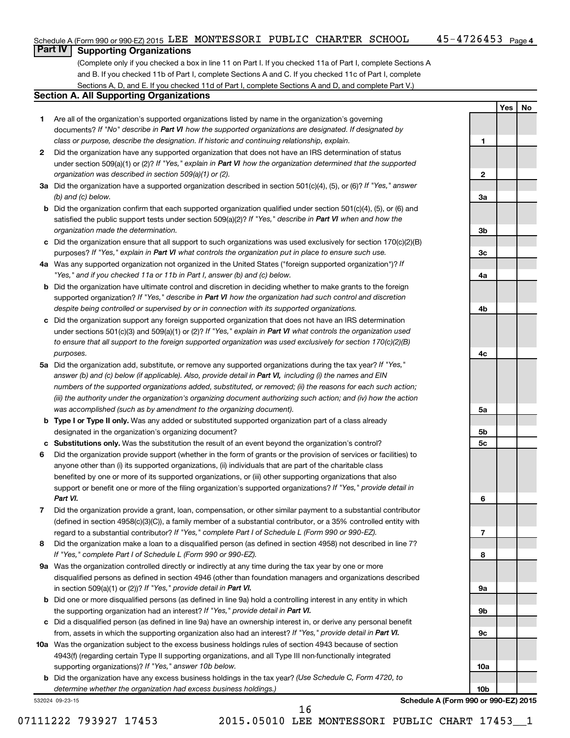**1**

**2**

**3a**

**3b**

**3c**

**4a**

**4b**

**4c**

**5a**

**5b 5c**

**6**

**7**

**8**

**9a**

**9b**

**9c**

**10a**

**10b**

**Yes No**

## **Part IV Supporting Organizations**

(Complete only if you checked a box in line 11 on Part I. If you checked 11a of Part I, complete Sections A and B. If you checked 11b of Part I, complete Sections A and C. If you checked 11c of Part I, complete Sections A, D, and E. If you checked 11d of Part I, complete Sections A and D, and complete Part V.)

#### **Section A. All Supporting Organizations**

- **1** Are all of the organization's supported organizations listed by name in the organization's governing documents? If "No" describe in Part VI how the supported organizations are designated. If designated by *class or purpose, describe the designation. If historic and continuing relationship, explain.*
- **2** Did the organization have any supported organization that does not have an IRS determination of status under section 509(a)(1) or (2)? If "Yes," explain in Part VI how the organization determined that the supported *organization was described in section 509(a)(1) or (2).*
- **3a** Did the organization have a supported organization described in section 501(c)(4), (5), or (6)? If "Yes," answer *(b) and (c) below.*
- **b** Did the organization confirm that each supported organization qualified under section 501(c)(4), (5), or (6) and satisfied the public support tests under section 509(a)(2)? If "Yes," describe in Part VI when and how the *organization made the determination.*
- **c** Did the organization ensure that all support to such organizations was used exclusively for section 170(c)(2)(B) purposes? If "Yes," explain in Part VI what controls the organization put in place to ensure such use.
- **4 a** *If* Was any supported organization not organized in the United States ("foreign supported organization")? *"Yes," and if you checked 11a or 11b in Part I, answer (b) and (c) below.*
- **b** Did the organization have ultimate control and discretion in deciding whether to make grants to the foreign supported organization? If "Yes," describe in Part VI how the organization had such control and discretion *despite being controlled or supervised by or in connection with its supported organizations.*
- **c** Did the organization support any foreign supported organization that does not have an IRS determination under sections 501(c)(3) and 509(a)(1) or (2)? If "Yes," explain in Part VI what controls the organization used *to ensure that all support to the foreign supported organization was used exclusively for section 170(c)(2)(B) purposes.*
- **5a** Did the organization add, substitute, or remove any supported organizations during the tax year? If "Yes," answer (b) and (c) below (if applicable). Also, provide detail in Part VI, including (i) the names and EIN *numbers of the supported organizations added, substituted, or removed; (ii) the reasons for each such action; (iii) the authority under the organization's organizing document authorizing such action; and (iv) how the action was accomplished (such as by amendment to the organizing document).*
- **b** Type I or Type II only. Was any added or substituted supported organization part of a class already designated in the organization's organizing document?
- **c Substitutions only.**  Was the substitution the result of an event beyond the organization's control?
- **6** Did the organization provide support (whether in the form of grants or the provision of services or facilities) to support or benefit one or more of the filing organization's supported organizations? If "Yes," provide detail in anyone other than (i) its supported organizations, (ii) individuals that are part of the charitable class benefited by one or more of its supported organizations, or (iii) other supporting organizations that also *Part VI.*
- **7** Did the organization provide a grant, loan, compensation, or other similar payment to a substantial contributor regard to a substantial contributor? If "Yes," complete Part I of Schedule L (Form 990 or 990-EZ). (defined in section 4958(c)(3)(C)), a family member of a substantial contributor, or a 35% controlled entity with
- **8** Did the organization make a loan to a disqualified person (as defined in section 4958) not described in line 7? *If "Yes," complete Part I of Schedule L (Form 990 or 990-EZ).*
- **9 a** Was the organization controlled directly or indirectly at any time during the tax year by one or more in section 509(a)(1) or (2))? If "Yes," provide detail in Part VI. disqualified persons as defined in section 4946 (other than foundation managers and organizations described
- **b** Did one or more disqualified persons (as defined in line 9a) hold a controlling interest in any entity in which the supporting organization had an interest? If "Yes," provide detail in Part VI.
- **c** Did a disqualified person (as defined in line 9a) have an ownership interest in, or derive any personal benefit from, assets in which the supporting organization also had an interest? If "Yes," provide detail in Part VI.
- **10 a** Was the organization subject to the excess business holdings rules of section 4943 because of section supporting organizations)? If "Yes," answer 10b below. 4943(f) (regarding certain Type II supporting organizations, and all Type III non-functionally integrated
	- **b** Did the organization have any excess business holdings in the tax year? (Use Schedule C, Form 4720, to *determine whether the organization had excess business holdings.)*

532024 09-23-15

**Schedule A (Form 990 or 990-EZ) 2015**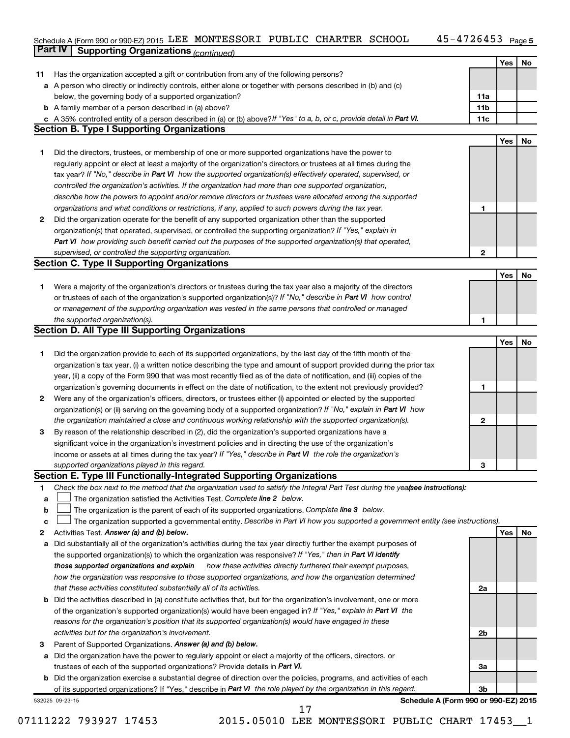#### 45-4726453 Page 5 Schedule A (Form 990 or 990-EZ) 2015 LEE MONTESSORI PUBLIC CHARTER SCHOOL 45-4726453 Page

|              | Part IV<br><b>Supporting Organizations (continued)</b>                                                                          |                 |     |    |
|--------------|---------------------------------------------------------------------------------------------------------------------------------|-----------------|-----|----|
|              |                                                                                                                                 |                 | Yes | No |
| 11           | Has the organization accepted a gift or contribution from any of the following persons?                                         |                 |     |    |
|              | a A person who directly or indirectly controls, either alone or together with persons described in (b) and (c)                  |                 |     |    |
|              | below, the governing body of a supported organization?                                                                          | 11a             |     |    |
|              | <b>b</b> A family member of a person described in (a) above?                                                                    | 11 <sub>b</sub> |     |    |
|              | c A 35% controlled entity of a person described in (a) or (b) above? If "Yes" to a, b, or c, provide detail in Part VI.         | 11c             |     |    |
|              | <b>Section B. Type I Supporting Organizations</b>                                                                               |                 |     |    |
|              |                                                                                                                                 |                 | Yes | No |
|              |                                                                                                                                 |                 |     |    |
| 1            | Did the directors, trustees, or membership of one or more supported organizations have the power to                             |                 |     |    |
|              | regularly appoint or elect at least a majority of the organization's directors or trustees at all times during the              |                 |     |    |
|              | tax year? If "No," describe in Part VI how the supported organization(s) effectively operated, supervised, or                   |                 |     |    |
|              | controlled the organization's activities. If the organization had more than one supported organization,                         |                 |     |    |
|              | describe how the powers to appoint and/or remove directors or trustees were allocated among the supported                       |                 |     |    |
|              | organizations and what conditions or restrictions, if any, applied to such powers during the tax year.                          | 1               |     |    |
| 2            | Did the organization operate for the benefit of any supported organization other than the supported                             |                 |     |    |
|              | organization(s) that operated, supervised, or controlled the supporting organization? If "Yes," explain in                      |                 |     |    |
|              | Part VI how providing such benefit carried out the purposes of the supported organization(s) that operated,                     |                 |     |    |
|              | supervised, or controlled the supporting organization.                                                                          | $\mathbf{2}$    |     |    |
|              | <b>Section C. Type II Supporting Organizations</b>                                                                              |                 |     |    |
|              |                                                                                                                                 |                 | Yes | No |
| 1.           | Were a majority of the organization's directors or trustees during the tax year also a majority of the directors                |                 |     |    |
|              | or trustees of each of the organization's supported organization(s)? If "No," describe in Part VI how control                   |                 |     |    |
|              | or management of the supporting organization was vested in the same persons that controlled or managed                          |                 |     |    |
|              | the supported organization(s).                                                                                                  | 1               |     |    |
|              | <b>Section D. All Type III Supporting Organizations</b>                                                                         |                 |     |    |
|              |                                                                                                                                 |                 | Yes | No |
| 1            | Did the organization provide to each of its supported organizations, by the last day of the fifth month of the                  |                 |     |    |
|              | organization's tax year, (i) a written notice describing the type and amount of support provided during the prior tax           |                 |     |    |
|              | year, (ii) a copy of the Form 990 that was most recently filed as of the date of notification, and (iii) copies of the          |                 |     |    |
|              | organization's governing documents in effect on the date of notification, to the extent not previously provided?                | 1               |     |    |
| $\mathbf{2}$ | Were any of the organization's officers, directors, or trustees either (i) appointed or elected by the supported                |                 |     |    |
|              | organization(s) or (ii) serving on the governing body of a supported organization? If "No," explain in Part VI how              |                 |     |    |
|              | the organization maintained a close and continuous working relationship with the supported organization(s).                     | 2               |     |    |
| 3            | By reason of the relationship described in (2), did the organization's supported organizations have a                           |                 |     |    |
|              | significant voice in the organization's investment policies and in directing the use of the organization's                      |                 |     |    |
|              | income or assets at all times during the tax year? If "Yes," describe in Part VI the role the organization's                    |                 |     |    |
|              | supported organizations played in this regard.                                                                                  | з               |     |    |
|              | Section E. Type III Functionally-Integrated Supporting Organizations                                                            |                 |     |    |
| 1            | Check the box next to the method that the organization used to satisfy the Integral Part Test during the yeafsee instructions): |                 |     |    |
| а            | The organization satisfied the Activities Test. Complete line 2 below.                                                          |                 |     |    |
| b            | The organization is the parent of each of its supported organizations. Complete line 3 below.                                   |                 |     |    |
| с            | The organization supported a governmental entity. Describe in Part VI how you supported a government entity (see instructions). |                 |     |    |
| 2            | Activities Test. Answer (a) and (b) below.                                                                                      |                 | Yes | No |
| а            | Did substantially all of the organization's activities during the tax year directly further the exempt purposes of              |                 |     |    |
|              | the supported organization(s) to which the organization was responsive? If "Yes," then in Part VI identify                      |                 |     |    |
|              | those supported organizations and explain<br>how these activities directly furthered their exempt purposes,                     |                 |     |    |
|              | how the organization was responsive to those supported organizations, and how the organization determined                       |                 |     |    |
|              | that these activities constituted substantially all of its activities.                                                          | 2a              |     |    |
| b            | Did the activities described in (a) constitute activities that, but for the organization's involvement, one or more             |                 |     |    |
|              | of the organization's supported organization(s) would have been engaged in? If "Yes," explain in Part VI the                    |                 |     |    |
|              | reasons for the organization's position that its supported organization(s) would have engaged in these                          |                 |     |    |
|              | activities but for the organization's involvement.                                                                              | 2b              |     |    |
| 3            | Parent of Supported Organizations. Answer (a) and (b) below.                                                                    |                 |     |    |
| а            | Did the organization have the power to regularly appoint or elect a majority of the officers, directors, or                     |                 |     |    |
|              | trustees of each of the supported organizations? Provide details in Part VI.                                                    | За              |     |    |
| b            | Did the organization exercise a substantial degree of direction over the policies, programs, and activities of each             |                 |     |    |
|              | of its supported organizations? If "Yes," describe in Part VI the role played by the organization in this regard.               | 3b              |     |    |

532025 09-23-15

**Schedule A (Form 990 or 990-EZ) 2015**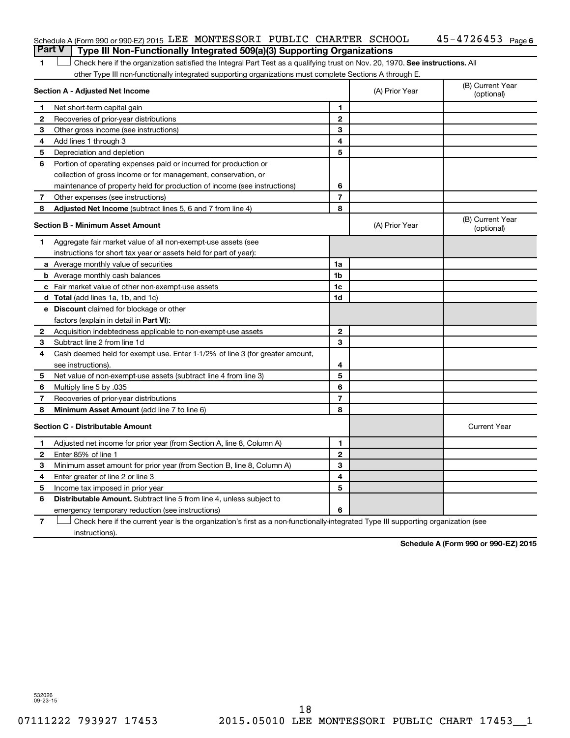#### 45-4726453 Page 6 Schedule A (Form 990 or 990-EZ) 2015 LEE MONTESSORI PUBLIC CHARTER SCHOOL 45-4726453 Page

## **Part V Type III Non-Functionally Integrated 509(a)(3) Supporting Organizations**

1 **Letter on Reck here if the organization satisfied the Integral Part Test as a qualifying trust on Nov. 20, 1970. See instructions. All** other Type III non-functionally integrated supporting organizations must complete Sections A through E.

|              | Section A - Adjusted Net Income                                              |                | (A) Prior Year | (B) Current Year<br>(optional) |
|--------------|------------------------------------------------------------------------------|----------------|----------------|--------------------------------|
| 1            | Net short-term capital gain                                                  | 1              |                |                                |
| $\mathbf{2}$ | Recoveries of prior-year distributions                                       | $\mathbf{2}$   |                |                                |
| З            | Other gross income (see instructions)                                        | 3              |                |                                |
| 4            | Add lines 1 through 3                                                        | 4              |                |                                |
| 5            | Depreciation and depletion                                                   | 5              |                |                                |
| 6            | Portion of operating expenses paid or incurred for production or             |                |                |                                |
|              | collection of gross income or for management, conservation, or               |                |                |                                |
|              | maintenance of property held for production of income (see instructions)     | 6              |                |                                |
| 7            | Other expenses (see instructions)                                            | $\overline{7}$ |                |                                |
| 8            | Adjusted Net Income (subtract lines 5, 6 and 7 from line 4)                  | 8              |                |                                |
|              | <b>Section B - Minimum Asset Amount</b>                                      |                | (A) Prior Year | (B) Current Year<br>(optional) |
| 1            | Aggregate fair market value of all non-exempt-use assets (see                |                |                |                                |
|              | instructions for short tax year or assets held for part of year):            |                |                |                                |
|              | a Average monthly value of securities                                        | 1a             |                |                                |
|              | <b>b</b> Average monthly cash balances                                       | 1b             |                |                                |
|              | <b>c</b> Fair market value of other non-exempt-use assets                    | 1c             |                |                                |
|              | d Total (add lines 1a, 1b, and 1c)                                           | 1d             |                |                                |
|              | <b>e</b> Discount claimed for blockage or other                              |                |                |                                |
|              | factors (explain in detail in Part VI):                                      |                |                |                                |
| $\mathbf{2}$ | Acquisition indebtedness applicable to non-exempt-use assets                 | $\mathbf{2}$   |                |                                |
| 3            | Subtract line 2 from line 1d                                                 | 3              |                |                                |
| 4            | Cash deemed held for exempt use. Enter 1-1/2% of line 3 (for greater amount, |                |                |                                |
|              | see instructions).                                                           | 4              |                |                                |
| 5            | Net value of non-exempt-use assets (subtract line 4 from line 3)             | 5              |                |                                |
| 6            | 035. Multiply line 5 by                                                      | 6              |                |                                |
| 7            | Recoveries of prior-year distributions                                       | $\overline{7}$ |                |                                |
| 8            | Minimum Asset Amount (add line 7 to line 6)                                  | 8              |                |                                |
|              | <b>Section C - Distributable Amount</b>                                      |                |                | <b>Current Year</b>            |
| 1            | Adjusted net income for prior year (from Section A, line 8, Column A)        | 1              |                |                                |
| 2            | Enter 85% of line 1                                                          | $\mathbf{2}$   |                |                                |
| З            | Minimum asset amount for prior year (from Section B, line 8, Column A)       | 3              |                |                                |
| 4            | Enter greater of line 2 or line 3                                            | 4              |                |                                |
| 5            | Income tax imposed in prior year                                             | 5              |                |                                |
| 6            | <b>Distributable Amount.</b> Subtract line 5 from line 4, unless subject to  |                |                |                                |
|              | emergency temporary reduction (see instructions)                             | 6              |                |                                |
|              |                                                                              |                |                |                                |

**7** Check here if the current year is the organization's first as a non-functionally-integrated Type III supporting organization (see † instructions).

**Schedule A (Form 990 or 990-EZ) 2015**

532026 09-23-15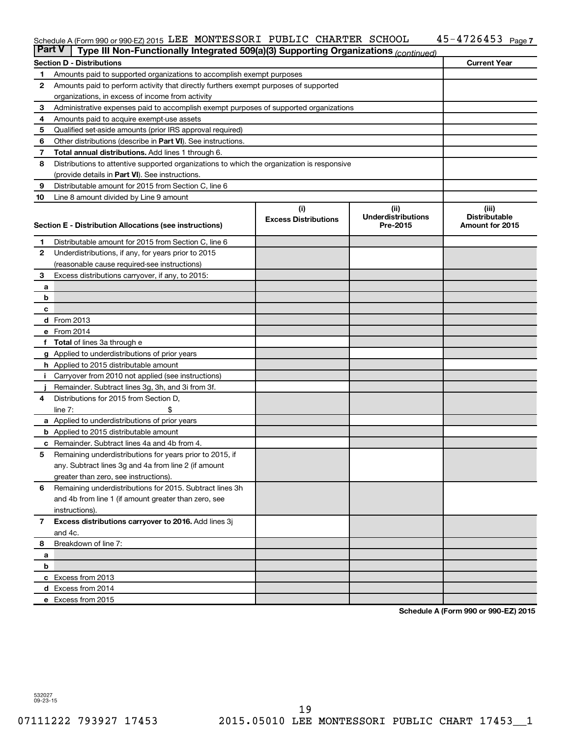#### Schedule A (Form 990 or 990-EZ) 2015 ЦЕН MONTESSORT PUBLIC CHARTER SCHOOL 45-4726453 Page LEE MONTESSORI PUBLIC CHARTER SCHOOL 45-4726453

| <b>Part V</b> | Type III Non-Functionally Integrated 509(a)(3) Supporting Organizations (continued)                    |                             |                                       |                                         |  |  |  |  |  |
|---------------|--------------------------------------------------------------------------------------------------------|-----------------------------|---------------------------------------|-----------------------------------------|--|--|--|--|--|
|               | <b>Section D - Distributions</b>                                                                       |                             |                                       | <b>Current Year</b>                     |  |  |  |  |  |
| 1             | Amounts paid to supported organizations to accomplish exempt purposes                                  |                             |                                       |                                         |  |  |  |  |  |
| 2             | Amounts paid to perform activity that directly furthers exempt purposes of supported                   |                             |                                       |                                         |  |  |  |  |  |
|               | organizations, in excess of income from activity                                                       |                             |                                       |                                         |  |  |  |  |  |
| 3             | Administrative expenses paid to accomplish exempt purposes of supported organizations                  |                             |                                       |                                         |  |  |  |  |  |
| 4             | Amounts paid to acquire exempt-use assets                                                              |                             |                                       |                                         |  |  |  |  |  |
| 5             | Qualified set-aside amounts (prior IRS approval required)                                              |                             |                                       |                                         |  |  |  |  |  |
| 6             | Other distributions (describe in Part VI). See instructions.                                           |                             |                                       |                                         |  |  |  |  |  |
| 7             | <b>Total annual distributions.</b> Add lines 1 through 6.                                              |                             |                                       |                                         |  |  |  |  |  |
| 8             | Distributions to attentive supported organizations to which the organization is responsive             |                             |                                       |                                         |  |  |  |  |  |
|               | (provide details in Part VI). See instructions.                                                        |                             |                                       |                                         |  |  |  |  |  |
| 9             | Distributable amount for 2015 from Section C, line 6                                                   |                             |                                       |                                         |  |  |  |  |  |
| 10            | Line 8 amount divided by Line 9 amount                                                                 |                             |                                       |                                         |  |  |  |  |  |
|               |                                                                                                        | (i)                         | (ii)                                  | (iii)                                   |  |  |  |  |  |
|               | Section E - Distribution Allocations (see instructions)                                                | <b>Excess Distributions</b> | <b>Underdistributions</b><br>Pre-2015 | <b>Distributable</b><br>Amount for 2015 |  |  |  |  |  |
|               |                                                                                                        |                             |                                       |                                         |  |  |  |  |  |
| 1             | Distributable amount for 2015 from Section C, line 6                                                   |                             |                                       |                                         |  |  |  |  |  |
| $\mathbf{2}$  | Underdistributions, if any, for years prior to 2015                                                    |                             |                                       |                                         |  |  |  |  |  |
|               | (reasonable cause required-see instructions)                                                           |                             |                                       |                                         |  |  |  |  |  |
| 3             | Excess distributions carryover, if any, to 2015:                                                       |                             |                                       |                                         |  |  |  |  |  |
| a             |                                                                                                        |                             |                                       |                                         |  |  |  |  |  |
| b             |                                                                                                        |                             |                                       |                                         |  |  |  |  |  |
| с             |                                                                                                        |                             |                                       |                                         |  |  |  |  |  |
|               | d From 2013<br>e From 2014                                                                             |                             |                                       |                                         |  |  |  |  |  |
|               |                                                                                                        |                             |                                       |                                         |  |  |  |  |  |
|               | <b>Total</b> of lines 3a through e                                                                     |                             |                                       |                                         |  |  |  |  |  |
|               | <b>g</b> Applied to underdistributions of prior years<br><b>h</b> Applied to 2015 distributable amount |                             |                                       |                                         |  |  |  |  |  |
|               | Carryover from 2010 not applied (see instructions)                                                     |                             |                                       |                                         |  |  |  |  |  |
|               | Remainder. Subtract lines 3g, 3h, and 3i from 3f.                                                      |                             |                                       |                                         |  |  |  |  |  |
| 4             | Distributions for 2015 from Section D,                                                                 |                             |                                       |                                         |  |  |  |  |  |
|               | $line 7$ :                                                                                             |                             |                                       |                                         |  |  |  |  |  |
|               | a Applied to underdistributions of prior years                                                         |                             |                                       |                                         |  |  |  |  |  |
|               | <b>b</b> Applied to 2015 distributable amount                                                          |                             |                                       |                                         |  |  |  |  |  |
| с             | Remainder. Subtract lines 4a and 4b from 4.                                                            |                             |                                       |                                         |  |  |  |  |  |
| 5             | Remaining underdistributions for years prior to 2015, if                                               |                             |                                       |                                         |  |  |  |  |  |
|               | any. Subtract lines 3g and 4a from line 2 (if amount                                                   |                             |                                       |                                         |  |  |  |  |  |
|               | greater than zero, see instructions).                                                                  |                             |                                       |                                         |  |  |  |  |  |
| 6             | Remaining underdistributions for 2015. Subtract lines 3h                                               |                             |                                       |                                         |  |  |  |  |  |
|               | and 4b from line 1 (if amount greater than zero, see                                                   |                             |                                       |                                         |  |  |  |  |  |
|               | instructions).                                                                                         |                             |                                       |                                         |  |  |  |  |  |
| $\mathbf{7}$  | Excess distributions carryover to 2016. Add lines 3j                                                   |                             |                                       |                                         |  |  |  |  |  |
|               | and 4c.                                                                                                |                             |                                       |                                         |  |  |  |  |  |
| 8             | Breakdown of line 7:                                                                                   |                             |                                       |                                         |  |  |  |  |  |
| a             |                                                                                                        |                             |                                       |                                         |  |  |  |  |  |
| b             |                                                                                                        |                             |                                       |                                         |  |  |  |  |  |
|               | c Excess from 2013                                                                                     |                             |                                       |                                         |  |  |  |  |  |
|               | d Excess from 2014                                                                                     |                             |                                       |                                         |  |  |  |  |  |
|               | e Excess from 2015                                                                                     |                             |                                       |                                         |  |  |  |  |  |

**Schedule A (Form 990 or 990-EZ) 2015**

532027 09-23-15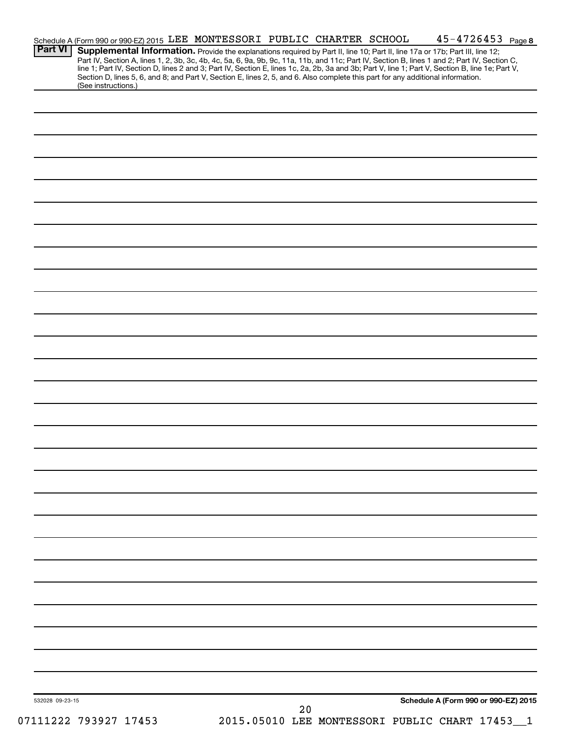| <b>Part VI</b>  | Schedule A (Form 990 or 990-EZ) 2015 LEE MONTESSORI PUBLIC CHARTER SCHOOL<br>Supplemental Information. Provide the explanations required by Part II, line 10; Part II, line 17a or 17b; Part III, line 12; |  |    |  | $45 - 4726453$ Page 8<br>Part IV, Section A, lines 1, 2, 3b, 3c, 4b, 4c, 5a, 6, 9a, 9b, 9c, 11a, 11b, and 11c; Part IV, Section B, lines 1 and 2; Part IV, Section C,<br>line 1; Part IV, Section D, lines 2 and 3; Part IV, Section E, lines 1c, 2a, 2b, 3a and 3b; Part V, line 1; Part V, Section B, line 1e; Part V, |                  |
|-----------------|------------------------------------------------------------------------------------------------------------------------------------------------------------------------------------------------------------|--|----|--|--------------------------------------------------------------------------------------------------------------------------------------------------------------------------------------------------------------------------------------------------------------------------------------------------------------------------|------------------|
|                 | Section D, lines 5, 6, and 8; and Part V, Section E, lines 2, 5, and 6. Also complete this part for any additional information.<br>(See instructions.)                                                     |  |    |  |                                                                                                                                                                                                                                                                                                                          |                  |
|                 |                                                                                                                                                                                                            |  |    |  |                                                                                                                                                                                                                                                                                                                          |                  |
|                 |                                                                                                                                                                                                            |  |    |  |                                                                                                                                                                                                                                                                                                                          |                  |
|                 |                                                                                                                                                                                                            |  |    |  |                                                                                                                                                                                                                                                                                                                          |                  |
|                 |                                                                                                                                                                                                            |  |    |  |                                                                                                                                                                                                                                                                                                                          |                  |
|                 |                                                                                                                                                                                                            |  |    |  |                                                                                                                                                                                                                                                                                                                          |                  |
|                 |                                                                                                                                                                                                            |  |    |  |                                                                                                                                                                                                                                                                                                                          |                  |
|                 |                                                                                                                                                                                                            |  |    |  |                                                                                                                                                                                                                                                                                                                          |                  |
|                 |                                                                                                                                                                                                            |  |    |  |                                                                                                                                                                                                                                                                                                                          |                  |
|                 |                                                                                                                                                                                                            |  |    |  |                                                                                                                                                                                                                                                                                                                          |                  |
|                 |                                                                                                                                                                                                            |  |    |  |                                                                                                                                                                                                                                                                                                                          |                  |
|                 |                                                                                                                                                                                                            |  |    |  |                                                                                                                                                                                                                                                                                                                          |                  |
|                 |                                                                                                                                                                                                            |  |    |  |                                                                                                                                                                                                                                                                                                                          |                  |
|                 |                                                                                                                                                                                                            |  |    |  |                                                                                                                                                                                                                                                                                                                          |                  |
|                 |                                                                                                                                                                                                            |  |    |  |                                                                                                                                                                                                                                                                                                                          |                  |
|                 |                                                                                                                                                                                                            |  |    |  |                                                                                                                                                                                                                                                                                                                          |                  |
|                 |                                                                                                                                                                                                            |  |    |  |                                                                                                                                                                                                                                                                                                                          |                  |
|                 |                                                                                                                                                                                                            |  |    |  |                                                                                                                                                                                                                                                                                                                          |                  |
|                 |                                                                                                                                                                                                            |  |    |  |                                                                                                                                                                                                                                                                                                                          |                  |
|                 |                                                                                                                                                                                                            |  |    |  |                                                                                                                                                                                                                                                                                                                          |                  |
|                 |                                                                                                                                                                                                            |  |    |  |                                                                                                                                                                                                                                                                                                                          |                  |
|                 |                                                                                                                                                                                                            |  |    |  |                                                                                                                                                                                                                                                                                                                          |                  |
|                 |                                                                                                                                                                                                            |  |    |  |                                                                                                                                                                                                                                                                                                                          |                  |
|                 |                                                                                                                                                                                                            |  |    |  |                                                                                                                                                                                                                                                                                                                          |                  |
|                 |                                                                                                                                                                                                            |  |    |  |                                                                                                                                                                                                                                                                                                                          |                  |
|                 |                                                                                                                                                                                                            |  |    |  |                                                                                                                                                                                                                                                                                                                          |                  |
|                 |                                                                                                                                                                                                            |  |    |  |                                                                                                                                                                                                                                                                                                                          |                  |
|                 |                                                                                                                                                                                                            |  |    |  |                                                                                                                                                                                                                                                                                                                          |                  |
|                 |                                                                                                                                                                                                            |  |    |  |                                                                                                                                                                                                                                                                                                                          |                  |
|                 |                                                                                                                                                                                                            |  |    |  |                                                                                                                                                                                                                                                                                                                          |                  |
|                 |                                                                                                                                                                                                            |  |    |  |                                                                                                                                                                                                                                                                                                                          |                  |
|                 |                                                                                                                                                                                                            |  |    |  |                                                                                                                                                                                                                                                                                                                          |                  |
|                 |                                                                                                                                                                                                            |  |    |  |                                                                                                                                                                                                                                                                                                                          |                  |
|                 |                                                                                                                                                                                                            |  |    |  |                                                                                                                                                                                                                                                                                                                          |                  |
|                 |                                                                                                                                                                                                            |  |    |  |                                                                                                                                                                                                                                                                                                                          |                  |
| 532028 09-23-15 |                                                                                                                                                                                                            |  | 20 |  | Schedule A (Form 990 or 990-EZ) 2015                                                                                                                                                                                                                                                                                     |                  |
|                 | 07111222 793927 17453                                                                                                                                                                                      |  |    |  | 2015.05010 LEE MONTESSORI PUBLIC CHART 17453                                                                                                                                                                                                                                                                             | $\mathbf{\perp}$ |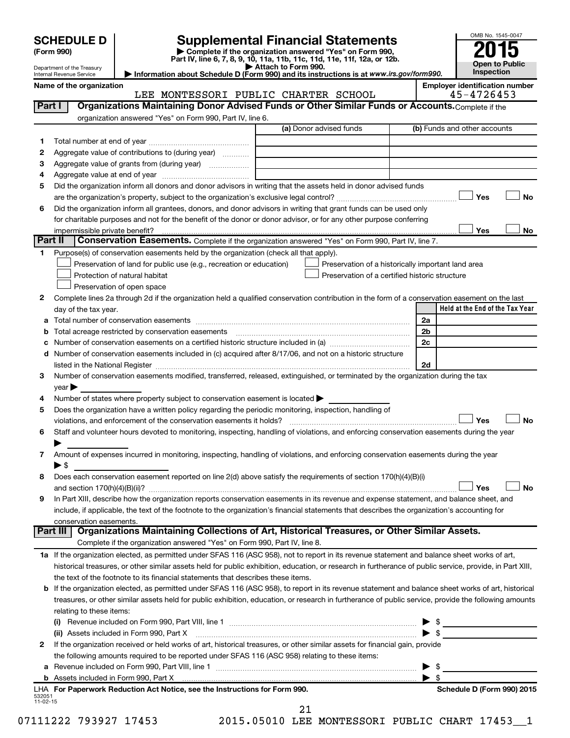Department of the Treasury Internal Revenue Service

| (Form 990) |  |
|------------|--|
|------------|--|

# **SCHEDULE D Supplemental Financial Statements**<br> **Form 990 2015**<br> **Part IV** line 6.7.8.9.10, 11a, 11b, 11d, 11d, 11d, 11d, 11d, 12a, 0r, 12b

**(Form 990) | Complete if the organization answered "Yes" on Form 990, Part IV, line 6, 7, 8, 9, 10, 11a, 11b, 11c, 11d, 11e, 11f, 12a, or 12b.**

**| Attach to Form 990. | Information about Schedule D (Form 990) and its instructions is at**  *www.irs.gov/form990.*



Name of the organization<br>**LEE MONTESSORI PUBLIC CHARTER SCHOOL** 45-4726453 LEE MONTESSORI PUBLIC CHARTER SCHOOL

| Part I             | Organizations Maintaining Donor Advised Funds or Other Similar Funds or Accounts. Complete if the                                                                                                                             |                         |                                                    |
|--------------------|-------------------------------------------------------------------------------------------------------------------------------------------------------------------------------------------------------------------------------|-------------------------|----------------------------------------------------|
|                    | organization answered "Yes" on Form 990, Part IV, line 6.                                                                                                                                                                     |                         |                                                    |
|                    |                                                                                                                                                                                                                               | (a) Donor advised funds | (b) Funds and other accounts                       |
| 1.                 |                                                                                                                                                                                                                               |                         |                                                    |
| 2                  | Aggregate value of contributions to (during year)                                                                                                                                                                             |                         |                                                    |
| з                  | Aggregate value of grants from (during year)                                                                                                                                                                                  |                         |                                                    |
| 4                  |                                                                                                                                                                                                                               |                         |                                                    |
| 5                  | Did the organization inform all donors and donor advisors in writing that the assets held in donor advised funds                                                                                                              |                         |                                                    |
|                    |                                                                                                                                                                                                                               |                         | Yes<br>No                                          |
| 6                  | Did the organization inform all grantees, donors, and donor advisors in writing that grant funds can be used only                                                                                                             |                         |                                                    |
|                    | for charitable purposes and not for the benefit of the donor or donor advisor, or for any other purpose conferring                                                                                                            |                         |                                                    |
|                    | impermissible private benefit?                                                                                                                                                                                                |                         | Yes<br>No                                          |
|                    | Part II<br>Conservation Easements. Complete if the organization answered "Yes" on Form 990, Part IV, line 7.                                                                                                                  |                         |                                                    |
| 1.                 | Purpose(s) of conservation easements held by the organization (check all that apply).                                                                                                                                         |                         |                                                    |
|                    | Preservation of land for public use (e.g., recreation or education)                                                                                                                                                           |                         | Preservation of a historically important land area |
|                    | Protection of natural habitat                                                                                                                                                                                                 |                         | Preservation of a certified historic structure     |
|                    | Preservation of open space                                                                                                                                                                                                    |                         |                                                    |
| 2                  | Complete lines 2a through 2d if the organization held a qualified conservation contribution in the form of a conservation easement on the last                                                                                |                         | Held at the End of the Tax Year                    |
|                    | day of the tax year.                                                                                                                                                                                                          |                         | 2a                                                 |
| b                  | Total acreage restricted by conservation easements                                                                                                                                                                            |                         | 2 <sub>b</sub>                                     |
| с                  | Number of conservation easements on a certified historic structure included in (a) manufacture included in (a)                                                                                                                |                         | 2c                                                 |
| d                  | Number of conservation easements included in (c) acquired after 8/17/06, and not on a historic structure                                                                                                                      |                         |                                                    |
|                    | listed in the National Register [11, 1200] and the National Register [11, 1200] and the National Register [11, 1200] and the National Register [11, 1200] and the National Register [11, 1200] and the National Register [11, |                         | 2d                                                 |
| 3                  | Number of conservation easements modified, transferred, released, extinguished, or terminated by the organization during the tax                                                                                              |                         |                                                    |
|                    | year                                                                                                                                                                                                                          |                         |                                                    |
| 4                  | Number of states where property subject to conservation easement is located >                                                                                                                                                 |                         |                                                    |
| 5                  | Does the organization have a written policy regarding the periodic monitoring, inspection, handling of                                                                                                                        |                         |                                                    |
|                    | violations, and enforcement of the conservation easements it holds?                                                                                                                                                           |                         | Yes<br>No                                          |
| 6                  | Staff and volunteer hours devoted to monitoring, inspecting, handling of violations, and enforcing conservation easements during the year                                                                                     |                         |                                                    |
|                    |                                                                                                                                                                                                                               |                         |                                                    |
| 7                  | Amount of expenses incurred in monitoring, inspecting, handling of violations, and enforcing conservation easements during the year                                                                                           |                         |                                                    |
|                    | $\blacktriangleright$ \$                                                                                                                                                                                                      |                         |                                                    |
| 8                  | Does each conservation easement reported on line 2(d) above satisfy the requirements of section 170(h)(4)(B)(i)                                                                                                               |                         |                                                    |
|                    |                                                                                                                                                                                                                               |                         | <b>No</b><br>Yes                                   |
| 9                  | In Part XIII, describe how the organization reports conservation easements in its revenue and expense statement, and balance sheet, and                                                                                       |                         |                                                    |
|                    | include, if applicable, the text of the footnote to the organization's financial statements that describes the organization's accounting for                                                                                  |                         |                                                    |
|                    | conservation easements.<br>Organizations Maintaining Collections of Art, Historical Treasures, or Other Similar Assets.<br>Part III                                                                                           |                         |                                                    |
|                    | Complete if the organization answered "Yes" on Form 990, Part IV, line 8.                                                                                                                                                     |                         |                                                    |
|                    | 1a If the organization elected, as permitted under SFAS 116 (ASC 958), not to report in its revenue statement and balance sheet works of art,                                                                                 |                         |                                                    |
|                    | historical treasures, or other similar assets held for public exhibition, education, or research in furtherance of public service, provide, in Part XIII,                                                                     |                         |                                                    |
|                    | the text of the footnote to its financial statements that describes these items.                                                                                                                                              |                         |                                                    |
|                    | <b>b</b> If the organization elected, as permitted under SFAS 116 (ASC 958), to report in its revenue statement and balance sheet works of art, historical                                                                    |                         |                                                    |
|                    | treasures, or other similar assets held for public exhibition, education, or research in furtherance of public service, provide the following amounts                                                                         |                         |                                                    |
|                    | relating to these items:                                                                                                                                                                                                      |                         |                                                    |
|                    |                                                                                                                                                                                                                               |                         |                                                    |
|                    | (ii) Assets included in Form 990, Part X                                                                                                                                                                                      |                         | $\blacktriangleright$ s                            |
| 2                  | If the organization received or held works of art, historical treasures, or other similar assets for financial gain, provide                                                                                                  |                         |                                                    |
|                    | the following amounts required to be reported under SFAS 116 (ASC 958) relating to these items:                                                                                                                               |                         |                                                    |
| а                  | Revenue included on Form 990, Part VIII, line 1 [2000] [2000] [2000] [2000] [3000] [3000] [3000] [3000] [3000                                                                                                                 |                         |                                                    |
|                    |                                                                                                                                                                                                                               |                         | $\blacktriangleright$ s                            |
|                    | LHA For Paperwork Reduction Act Notice, see the Instructions for Form 990.                                                                                                                                                    |                         | Schedule D (Form 990) 2015                         |
| 532051<br>11-02-15 |                                                                                                                                                                                                                               |                         |                                                    |

07111222 793927 17453 2015.05010 LEE MONTESSORI PUBLIC CHART 17453\_1 21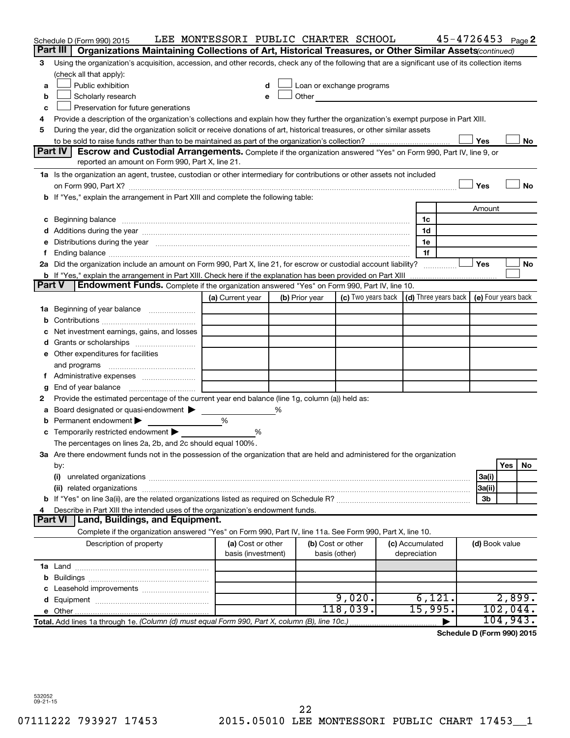|        | Schedule D (Form 990) 2015                                                                                                                                                                                                     | LEE MONTESSORI PUBLIC CHARTER SCHOOL    |   |                                                                                                                                                                                                                               |                                    |                    |                                                          | $45 - 4726453$ Page 2 |                                       |          |    |
|--------|--------------------------------------------------------------------------------------------------------------------------------------------------------------------------------------------------------------------------------|-----------------------------------------|---|-------------------------------------------------------------------------------------------------------------------------------------------------------------------------------------------------------------------------------|------------------------------------|--------------------|----------------------------------------------------------|-----------------------|---------------------------------------|----------|----|
|        | Part III  <br>Organizations Maintaining Collections of Art, Historical Treasures, or Other Similar Assets (continued)                                                                                                          |                                         |   |                                                                                                                                                                                                                               |                                    |                    |                                                          |                       |                                       |          |    |
| З      | Using the organization's acquisition, accession, and other records, check any of the following that are a significant use of its collection items                                                                              |                                         |   |                                                                                                                                                                                                                               |                                    |                    |                                                          |                       |                                       |          |    |
|        | (check all that apply):                                                                                                                                                                                                        |                                         |   |                                                                                                                                                                                                                               |                                    |                    |                                                          |                       |                                       |          |    |
| a      | Public exhibition                                                                                                                                                                                                              | d                                       |   | Loan or exchange programs                                                                                                                                                                                                     |                                    |                    |                                                          |                       |                                       |          |    |
| b      | Scholarly research                                                                                                                                                                                                             |                                         |   | Other and the contract of the contract of the contract of the contract of the contract of the contract of the contract of the contract of the contract of the contract of the contract of the contract of the contract of the |                                    |                    |                                                          |                       |                                       |          |    |
| c      | Preservation for future generations                                                                                                                                                                                            |                                         |   |                                                                                                                                                                                                                               |                                    |                    |                                                          |                       |                                       |          |    |
| 4      | Provide a description of the organization's collections and explain how they further the organization's exempt purpose in Part XIII.                                                                                           |                                         |   |                                                                                                                                                                                                                               |                                    |                    |                                                          |                       |                                       |          |    |
| 5      | During the year, did the organization solicit or receive donations of art, historical treasures, or other similar assets                                                                                                       |                                         |   |                                                                                                                                                                                                                               |                                    |                    |                                                          |                       |                                       |          |    |
|        |                                                                                                                                                                                                                                |                                         |   |                                                                                                                                                                                                                               |                                    |                    |                                                          |                       | Yes                                   |          | No |
|        | <b>Part IV</b><br>Escrow and Custodial Arrangements. Complete if the organization answered "Yes" on Form 990, Part IV, line 9, or                                                                                              |                                         |   |                                                                                                                                                                                                                               |                                    |                    |                                                          |                       |                                       |          |    |
|        | reported an amount on Form 990, Part X, line 21.                                                                                                                                                                               |                                         |   |                                                                                                                                                                                                                               |                                    |                    |                                                          |                       |                                       |          |    |
|        | 1a Is the organization an agent, trustee, custodian or other intermediary for contributions or other assets not included                                                                                                       |                                         |   |                                                                                                                                                                                                                               |                                    |                    |                                                          |                       |                                       |          |    |
|        |                                                                                                                                                                                                                                |                                         |   |                                                                                                                                                                                                                               |                                    |                    |                                                          |                       | Yes                                   |          | No |
|        | <b>b</b> If "Yes," explain the arrangement in Part XIII and complete the following table:                                                                                                                                      |                                         |   |                                                                                                                                                                                                                               |                                    |                    |                                                          |                       |                                       |          |    |
|        |                                                                                                                                                                                                                                |                                         |   |                                                                                                                                                                                                                               |                                    |                    |                                                          |                       | Amount                                |          |    |
| c      | Beginning balance                                                                                                                                                                                                              |                                         |   |                                                                                                                                                                                                                               |                                    |                    | 1c                                                       |                       |                                       |          |    |
|        | Additions during the year manufactured and an account of the year and year and year and year and year and year                                                                                                                 |                                         |   |                                                                                                                                                                                                                               |                                    |                    | 1d                                                       |                       |                                       |          |    |
|        | e Distributions during the year manufactured and continuum and contact the year manufactured and contact the year manufactured and contact the year manufactured and contact the year manufactured and contact the year manufa |                                         |   |                                                                                                                                                                                                                               |                                    |                    | 1e                                                       |                       |                                       |          |    |
|        | 2a Did the organization include an amount on Form 990, Part X, line 21, for escrow or custodial account liability?                                                                                                             |                                         |   |                                                                                                                                                                                                                               |                                    |                    | 1f                                                       |                       | Yes                                   |          |    |
|        |                                                                                                                                                                                                                                |                                         |   |                                                                                                                                                                                                                               |                                    |                    |                                                          |                       |                                       |          | No |
| Part V | Endowment Funds. Complete if the organization answered "Yes" on Form 990, Part IV, line 10.                                                                                                                                    |                                         |   |                                                                                                                                                                                                                               |                                    |                    |                                                          |                       |                                       |          |    |
|        |                                                                                                                                                                                                                                | (a) Current year                        |   | (b) Prior year                                                                                                                                                                                                                |                                    | (c) Two years back | $\vert$ (d) Three years back $\vert$ (e) Four years back |                       |                                       |          |    |
| 1a     | Beginning of year balance                                                                                                                                                                                                      |                                         |   |                                                                                                                                                                                                                               |                                    |                    |                                                          |                       |                                       |          |    |
|        |                                                                                                                                                                                                                                |                                         |   |                                                                                                                                                                                                                               |                                    |                    |                                                          |                       |                                       |          |    |
|        | Net investment earnings, gains, and losses                                                                                                                                                                                     |                                         |   |                                                                                                                                                                                                                               |                                    |                    |                                                          |                       |                                       |          |    |
|        |                                                                                                                                                                                                                                |                                         |   |                                                                                                                                                                                                                               |                                    |                    |                                                          |                       |                                       |          |    |
|        | e Other expenditures for facilities                                                                                                                                                                                            |                                         |   |                                                                                                                                                                                                                               |                                    |                    |                                                          |                       |                                       |          |    |
|        | and programs                                                                                                                                                                                                                   |                                         |   |                                                                                                                                                                                                                               |                                    |                    |                                                          |                       |                                       |          |    |
|        |                                                                                                                                                                                                                                |                                         |   |                                                                                                                                                                                                                               |                                    |                    |                                                          |                       |                                       |          |    |
| g      | End of year balance                                                                                                                                                                                                            |                                         |   |                                                                                                                                                                                                                               |                                    |                    |                                                          |                       |                                       |          |    |
| 2      | Provide the estimated percentage of the current year end balance (line 1g, column (a)) held as:                                                                                                                                |                                         |   |                                                                                                                                                                                                                               |                                    |                    |                                                          |                       |                                       |          |    |
|        | Board designated or quasi-endowment                                                                                                                                                                                            |                                         | % |                                                                                                                                                                                                                               |                                    |                    |                                                          |                       |                                       |          |    |
| b      | Permanent endowment                                                                                                                                                                                                            | %                                       |   |                                                                                                                                                                                                                               |                                    |                    |                                                          |                       |                                       |          |    |
| с      | Temporarily restricted endowment                                                                                                                                                                                               | %                                       |   |                                                                                                                                                                                                                               |                                    |                    |                                                          |                       |                                       |          |    |
|        | The percentages on lines 2a, 2b, and 2c should equal 100%.                                                                                                                                                                     |                                         |   |                                                                                                                                                                                                                               |                                    |                    |                                                          |                       |                                       |          |    |
|        | 3a Are there endowment funds not in the possession of the organization that are held and administered for the organization                                                                                                     |                                         |   |                                                                                                                                                                                                                               |                                    |                    |                                                          |                       |                                       |          |    |
|        | by:                                                                                                                                                                                                                            |                                         |   |                                                                                                                                                                                                                               |                                    |                    |                                                          |                       |                                       | Yes      | No |
|        | (i)                                                                                                                                                                                                                            |                                         |   |                                                                                                                                                                                                                               |                                    |                    |                                                          |                       | 3a(i)                                 |          |    |
|        | (ii) related organizations                                                                                                                                                                                                     |                                         |   |                                                                                                                                                                                                                               |                                    |                    |                                                          |                       | 3a(ii)                                |          |    |
|        |                                                                                                                                                                                                                                |                                         |   |                                                                                                                                                                                                                               |                                    |                    |                                                          |                       | 3b                                    |          |    |
|        | Describe in Part XIII the intended uses of the organization's endowment funds.                                                                                                                                                 |                                         |   |                                                                                                                                                                                                                               |                                    |                    |                                                          |                       |                                       |          |    |
|        | Land, Buildings, and Equipment.<br>Part VI                                                                                                                                                                                     |                                         |   |                                                                                                                                                                                                                               |                                    |                    |                                                          |                       |                                       |          |    |
|        | Complete if the organization answered "Yes" on Form 990, Part IV, line 11a. See Form 990, Part X, line 10.                                                                                                                     |                                         |   |                                                                                                                                                                                                                               |                                    |                    |                                                          |                       |                                       |          |    |
|        | Description of property                                                                                                                                                                                                        | (a) Cost or other<br>basis (investment) |   |                                                                                                                                                                                                                               | (b) Cost or other<br>basis (other) |                    | (c) Accumulated<br>depreciation                          |                       | (d) Book value                        |          |    |
|        |                                                                                                                                                                                                                                |                                         |   |                                                                                                                                                                                                                               |                                    |                    |                                                          |                       |                                       |          |    |
| b      |                                                                                                                                                                                                                                |                                         |   |                                                                                                                                                                                                                               |                                    |                    |                                                          |                       |                                       |          |    |
| с      |                                                                                                                                                                                                                                |                                         |   |                                                                                                                                                                                                                               |                                    |                    |                                                          |                       |                                       |          |    |
|        |                                                                                                                                                                                                                                |                                         |   |                                                                                                                                                                                                                               | 9,020.                             |                    | 6,121.                                                   |                       |                                       | 2,899.   |    |
|        |                                                                                                                                                                                                                                |                                         |   |                                                                                                                                                                                                                               | 118,039.                           |                    | 15,995.                                                  |                       |                                       | 102,044. |    |
|        | Total. Add lines 1a through 1e. (Column (d) must equal Form 990, Part X, column (B), line 10c.)                                                                                                                                |                                         |   |                                                                                                                                                                                                                               |                                    |                    |                                                          |                       | $d_{\text{obs}} = 5$ (Ferma 000) 004F | 104,943. |    |

**Schedule D (Form 990) 2015**

532052 09-21-15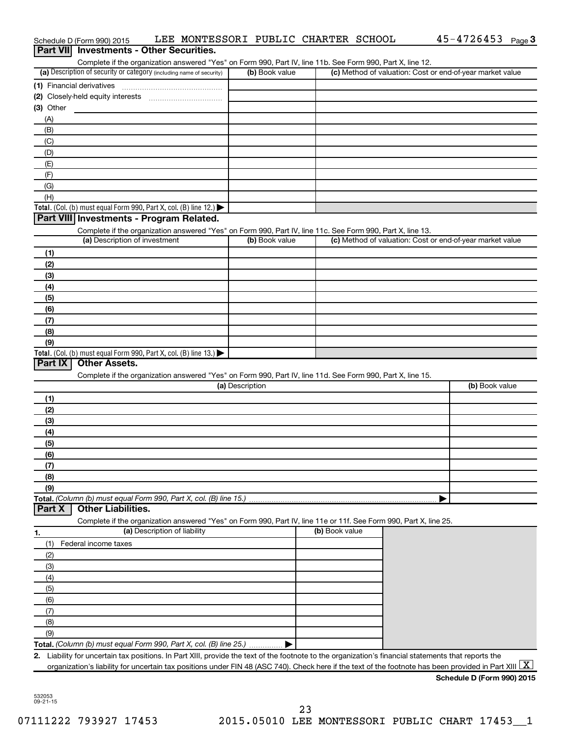|                           | Part VII Investments - Other Securities.                                                                                                                                           |                 |                |                                                           |
|---------------------------|------------------------------------------------------------------------------------------------------------------------------------------------------------------------------------|-----------------|----------------|-----------------------------------------------------------|
|                           | Complete if the organization answered "Yes" on Form 990, Part IV, line 11b. See Form 990, Part X, line 12.<br>(a) Description of security or category (including name of security) | (b) Book value  |                | (c) Method of valuation: Cost or end-of-year market value |
| (1) Financial derivatives |                                                                                                                                                                                    |                 |                |                                                           |
|                           |                                                                                                                                                                                    |                 |                |                                                           |
| $(3)$ Other               |                                                                                                                                                                                    |                 |                |                                                           |
| (A)                       |                                                                                                                                                                                    |                 |                |                                                           |
| (B)                       |                                                                                                                                                                                    |                 |                |                                                           |
| (C)                       |                                                                                                                                                                                    |                 |                |                                                           |
| (D)                       |                                                                                                                                                                                    |                 |                |                                                           |
| (E)                       |                                                                                                                                                                                    |                 |                |                                                           |
| (F)                       |                                                                                                                                                                                    |                 |                |                                                           |
| (G)                       |                                                                                                                                                                                    |                 |                |                                                           |
| (H)                       |                                                                                                                                                                                    |                 |                |                                                           |
|                           | Total. (Col. (b) must equal Form 990, Part X, col. (B) line 12.)<br>Part VIII Investments - Program Related.                                                                       |                 |                |                                                           |
|                           | Complete if the organization answered "Yes" on Form 990, Part IV, line 11c. See Form 990, Part X, line 13.                                                                         |                 |                |                                                           |
|                           | (a) Description of investment                                                                                                                                                      | (b) Book value  |                | (c) Method of valuation: Cost or end-of-year market value |
| (1)                       |                                                                                                                                                                                    |                 |                |                                                           |
| (2)                       |                                                                                                                                                                                    |                 |                |                                                           |
| (3)                       |                                                                                                                                                                                    |                 |                |                                                           |
| (4)                       |                                                                                                                                                                                    |                 |                |                                                           |
| (5)                       |                                                                                                                                                                                    |                 |                |                                                           |
| (6)                       |                                                                                                                                                                                    |                 |                |                                                           |
| (7)                       |                                                                                                                                                                                    |                 |                |                                                           |
| (8)                       |                                                                                                                                                                                    |                 |                |                                                           |
| (9)                       |                                                                                                                                                                                    |                 |                |                                                           |
|                           | Total. (Col. (b) must equal Form 990, Part X, col. (B) line 13.)                                                                                                                   |                 |                |                                                           |
| Part IX                   | <b>Other Assets.</b>                                                                                                                                                               |                 |                |                                                           |
|                           | Complete if the organization answered "Yes" on Form 990, Part IV, line 11d. See Form 990, Part X, line 15.                                                                         |                 |                |                                                           |
|                           |                                                                                                                                                                                    | (a) Description |                | (b) Book value                                            |
| (1)                       |                                                                                                                                                                                    |                 |                |                                                           |
| (2)                       |                                                                                                                                                                                    |                 |                |                                                           |
| (3)                       |                                                                                                                                                                                    |                 |                |                                                           |
| (4)<br>(5)                |                                                                                                                                                                                    |                 |                |                                                           |
| (6)                       |                                                                                                                                                                                    |                 |                |                                                           |
| (7)                       |                                                                                                                                                                                    |                 |                |                                                           |
| (8)                       |                                                                                                                                                                                    |                 |                |                                                           |
| (9)                       |                                                                                                                                                                                    |                 |                |                                                           |
|                           | Total. (Column (b) must equal Form 990, Part X, col. (B) line 15.)                                                                                                                 |                 |                |                                                           |
| Part X                    | <b>Other Liabilities.</b>                                                                                                                                                          |                 |                |                                                           |
|                           | Complete if the organization answered "Yes" on Form 990, Part IV, line 11e or 11f. See Form 990, Part X, line 25.                                                                  |                 |                |                                                           |
|                           | (a) Description of liability                                                                                                                                                       |                 | (b) Book value |                                                           |
| (1)                       | Federal income taxes                                                                                                                                                               |                 |                |                                                           |
| (2)                       |                                                                                                                                                                                    |                 |                |                                                           |
| (3)                       |                                                                                                                                                                                    |                 |                |                                                           |
| (4)                       |                                                                                                                                                                                    |                 |                |                                                           |
| (5)                       |                                                                                                                                                                                    |                 |                |                                                           |
| (6)                       |                                                                                                                                                                                    |                 |                |                                                           |
| (7)                       |                                                                                                                                                                                    |                 |                |                                                           |
| (8)                       |                                                                                                                                                                                    |                 |                |                                                           |
| (9)                       |                                                                                                                                                                                    |                 |                |                                                           |
|                           | Total. (Column (b) must equal Form 990, Part X, col. (B) line 25.).                                                                                                                |                 |                |                                                           |
|                           | 2. Liability for uncertain tax positions. In Part XIII, provide the text of the footnote to the organization's financial statements that reports the                               |                 |                |                                                           |
|                           | organization's liability for uncertain tax positions under FIN 48 (ASC 740). Check here if the text of the footnote has been provided in Part XIII $ X $                           |                 |                |                                                           |

Schedule D (Form 990) 2015 LEE MONTESSORI PUBLIC CHARTER SCHOOL 45-4726453 Page

45-4726453 Page 3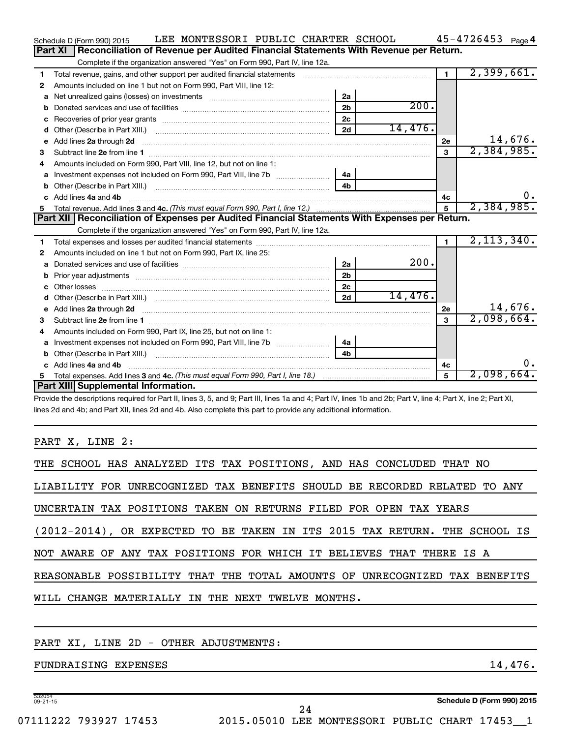|    | LEE MONTESSORI PUBLIC CHARTER SCHOOL<br>Schedule D (Form 990) 2015                                                                                                                                                                  |                |         |                | $45 - 4726453$ Page 4 |
|----|-------------------------------------------------------------------------------------------------------------------------------------------------------------------------------------------------------------------------------------|----------------|---------|----------------|-----------------------|
|    | Part XI<br>Reconciliation of Revenue per Audited Financial Statements With Revenue per Return.                                                                                                                                      |                |         |                |                       |
|    | Complete if the organization answered "Yes" on Form 990, Part IV, line 12a.                                                                                                                                                         |                |         |                |                       |
| 1  | Total revenue, gains, and other support per audited financial statements                                                                                                                                                            |                |         | $\mathbf 1$    | 2,399,661.            |
| 2  | Amounts included on line 1 but not on Form 990, Part VIII, line 12:                                                                                                                                                                 |                |         |                |                       |
| a  |                                                                                                                                                                                                                                     | 2a             |         |                |                       |
| b  |                                                                                                                                                                                                                                     | 2 <sub>b</sub> | 200.    |                |                       |
| c  |                                                                                                                                                                                                                                     | 2 <sub>c</sub> |         |                |                       |
| d  |                                                                                                                                                                                                                                     | 2d             | 14,476. |                |                       |
| е  | Add lines 2a through 2d                                                                                                                                                                                                             |                |         | <b>2e</b>      | 14,676.               |
| з  |                                                                                                                                                                                                                                     |                |         | 3              | 2,384,985.            |
| 4  | Amounts included on Form 990, Part VIII, line 12, but not on line 1:                                                                                                                                                                |                |         |                |                       |
| a  | Investment expenses not included on Form 990, Part VIII, line 7b                                                                                                                                                                    | 4a             |         |                |                       |
| b  |                                                                                                                                                                                                                                     | 4 <sub>b</sub> |         |                |                       |
| c. | Add lines 4a and 4b                                                                                                                                                                                                                 |                |         | 4c             |                       |
|    |                                                                                                                                                                                                                                     |                |         | 5              | 2,384,985.            |
|    |                                                                                                                                                                                                                                     |                |         |                |                       |
|    | Part XII   Reconciliation of Expenses per Audited Financial Statements With Expenses per Return.                                                                                                                                    |                |         |                |                       |
|    | Complete if the organization answered "Yes" on Form 990, Part IV, line 12a.                                                                                                                                                         |                |         |                |                       |
| 1  |                                                                                                                                                                                                                                     |                |         | $\blacksquare$ | 2, 113, 340.          |
| 2  | Amounts included on line 1 but not on Form 990, Part IX, line 25:                                                                                                                                                                   |                |         |                |                       |
| a  |                                                                                                                                                                                                                                     | 2a             | 200.    |                |                       |
| b  |                                                                                                                                                                                                                                     | 2 <sub>b</sub> |         |                |                       |
|    |                                                                                                                                                                                                                                     | 2c             |         |                |                       |
| d  |                                                                                                                                                                                                                                     | 2d             | 14,476. |                |                       |
| е  | Add lines 2a through 2d <b>contained a contained a contained a contained a</b> contained a contained a contained a contained a contained a contained a contained a contained a contained a contained a contained a contained a cont |                |         | 2e             | 14,676.               |
| 3  |                                                                                                                                                                                                                                     |                |         | 3              | 2,098,664.            |
| 4  | Amounts included on Form 990, Part IX, line 25, but not on line 1:                                                                                                                                                                  |                |         |                |                       |
| a  |                                                                                                                                                                                                                                     | 4a             |         |                |                       |
| b  |                                                                                                                                                                                                                                     | 4 <sub>b</sub> |         |                |                       |
|    | c Add lines 4a and 4b                                                                                                                                                                                                               |                |         | 4c             | 0.                    |
| 5  | Part XIII Supplemental Information.                                                                                                                                                                                                 |                |         | 5              | 2,098,664.            |

Provide the descriptions required for Part II, lines 3, 5, and 9; Part III, lines 1a and 4; Part IV, lines 1b and 2b; Part V, line 4; Part X, line 2; Part XI, lines 2d and 4b; and Part XII, lines 2d and 4b. Also complete this part to provide any additional information.

PART X, LINE 2:

| THE SCHOOL HAS ANALYZED ITS TAX POSITIONS, AND HAS CONCLUDED THAT NO       |
|----------------------------------------------------------------------------|
| LIABILITY FOR UNRECOGNIZED TAX BENEFITS SHOULD BE RECORDED RELATED TO ANY  |
| UNCERTAIN TAX POSITIONS TAKEN ON RETURNS FILED FOR OPEN TAX YEARS          |
| (2012-2014), OR EXPECTED TO BE TAKEN IN ITS 2015 TAX RETURN. THE SCHOOL IS |
| NOT AWARE OF ANY TAX POSITIONS FOR WHICH IT BELIEVES THAT THERE IS A       |
| REASONABLE POSSIBILITY THAT THE TOTAL AMOUNTS OF UNRECOGNIZED TAX BENEFITS |
| WILL CHANGE MATERIALLY IN THE NEXT TWELVE MONTHS.                          |
|                                                                            |

## PART XI, LINE 2D - OTHER ADJUSTMENTS:

FUNDRAISING EXPENSES 14,476.

532054 09-21-15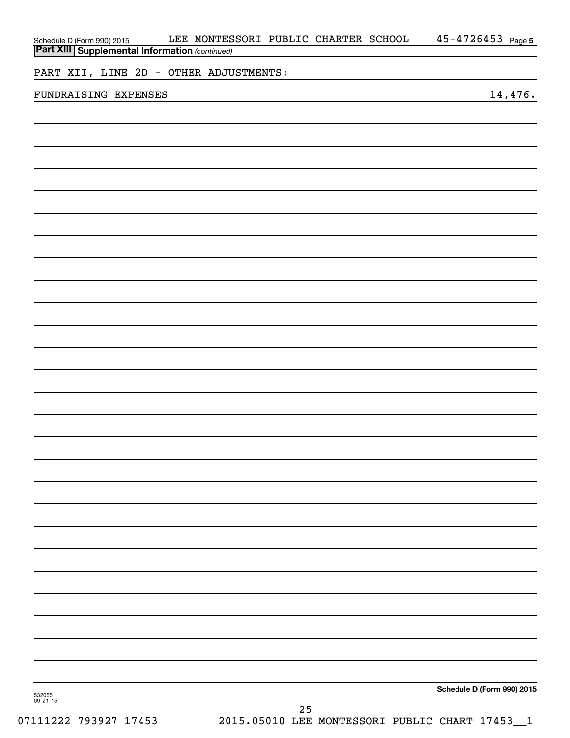| Schedule D (Form 990) 2015 LEE MONTES<br>Part XIII Supplemental Information (continued) |  | LEE MONTESSORI PUBLIC CHARTER SCHOOL   |    |  | $45 - 4726453$ Page 5      |
|-----------------------------------------------------------------------------------------|--|----------------------------------------|----|--|----------------------------|
|                                                                                         |  | PART XII, LINE 2D - OTHER ADJUSTMENTS: |    |  |                            |
| FUNDRAISING EXPENSES                                                                    |  |                                        |    |  | 14,476.                    |
|                                                                                         |  |                                        |    |  |                            |
|                                                                                         |  |                                        |    |  |                            |
|                                                                                         |  |                                        |    |  |                            |
|                                                                                         |  |                                        |    |  |                            |
|                                                                                         |  |                                        |    |  |                            |
|                                                                                         |  |                                        |    |  |                            |
|                                                                                         |  |                                        |    |  |                            |
|                                                                                         |  |                                        |    |  |                            |
|                                                                                         |  |                                        |    |  |                            |
|                                                                                         |  |                                        |    |  |                            |
|                                                                                         |  |                                        |    |  |                            |
|                                                                                         |  |                                        |    |  |                            |
|                                                                                         |  |                                        |    |  |                            |
|                                                                                         |  |                                        |    |  |                            |
|                                                                                         |  |                                        |    |  |                            |
|                                                                                         |  |                                        |    |  |                            |
|                                                                                         |  |                                        |    |  |                            |
|                                                                                         |  |                                        |    |  |                            |
|                                                                                         |  |                                        |    |  |                            |
|                                                                                         |  |                                        |    |  |                            |
|                                                                                         |  |                                        |    |  |                            |
|                                                                                         |  |                                        |    |  |                            |
|                                                                                         |  |                                        |    |  |                            |
|                                                                                         |  |                                        |    |  |                            |
|                                                                                         |  |                                        |    |  | Schedule D (Form 990) 2015 |
| 532055<br>09-21-15                                                                      |  |                                        | っに |  |                            |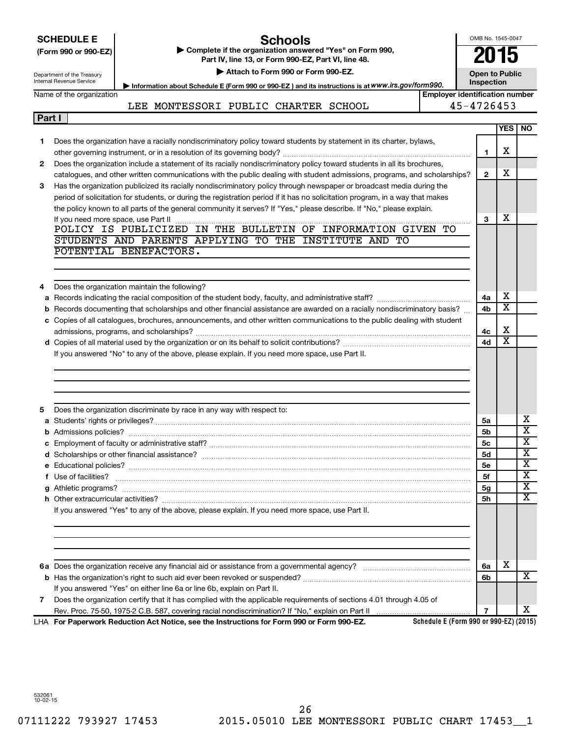|        | <b>SCHEDULE E</b>                   | Schools                                                                                                                                                                                                                            |                                       | OMB No. 1545-0047     |                         |                         |
|--------|-------------------------------------|------------------------------------------------------------------------------------------------------------------------------------------------------------------------------------------------------------------------------------|---------------------------------------|-----------------------|-------------------------|-------------------------|
|        | (Form 990 or 990-EZ)                | Complete if the organization answered "Yes" on Form 990,<br>Part IV, line 13, or Form 990-EZ, Part VI, line 48.                                                                                                                    |                                       |                       | 015                     |                         |
|        | Department of the Treasury          | Attach to Form 990 or Form 990-EZ.                                                                                                                                                                                                 |                                       | <b>Open to Public</b> |                         |                         |
|        | Internal Revenue Service            | Information about Schedule E (Form 990 or 990-EZ) and its instructions is at WWW.irs.gov/form990.                                                                                                                                  |                                       | Inspection            |                         |                         |
|        | Name of the organization            |                                                                                                                                                                                                                                    | <b>Employer identification number</b> |                       |                         |                         |
|        |                                     | LEE MONTESSORI PUBLIC CHARTER SCHOOL                                                                                                                                                                                               |                                       | 45-4726453            |                         |                         |
| Part I |                                     |                                                                                                                                                                                                                                    |                                       |                       |                         |                         |
|        |                                     |                                                                                                                                                                                                                                    |                                       |                       | <b>YES</b>              | <b>NO</b>               |
| 1      |                                     | Does the organization have a racially nondiscriminatory policy toward students by statement in its charter, bylaws,                                                                                                                |                                       | 1                     | х                       |                         |
| 2      |                                     | Does the organization include a statement of its racially nondiscriminatory policy toward students in all its brochures,                                                                                                           |                                       |                       |                         |                         |
|        |                                     | catalogues, and other written communications with the public dealing with student admissions, programs, and scholarships?                                                                                                          |                                       | $\mathbf{2}$          | х                       |                         |
| 3      |                                     | Has the organization publicized its racially nondiscriminatory policy through newspaper or broadcast media during the                                                                                                              |                                       |                       |                         |                         |
|        |                                     | period of solicitation for students, or during the registration period if it has no solicitation program, in a way that makes                                                                                                      |                                       |                       |                         |                         |
|        |                                     | the policy known to all parts of the general community it serves? If "Yes," please describe. If "No," please explain.                                                                                                              |                                       |                       |                         |                         |
|        | If you need more space, use Part II |                                                                                                                                                                                                                                    |                                       | 3                     | х                       |                         |
|        |                                     | POLICY IS PUBLICIZED IN THE BULLETIN OF INFORMATION GIVEN TO<br>STUDENTS AND PARENTS APPLYING TO THE INSTITUTE AND TO                                                                                                              |                                       |                       |                         |                         |
|        |                                     | POTENTIAL BENEFACTORS.                                                                                                                                                                                                             |                                       |                       |                         |                         |
|        |                                     |                                                                                                                                                                                                                                    |                                       |                       |                         |                         |
|        |                                     |                                                                                                                                                                                                                                    |                                       |                       |                         |                         |
| 4      |                                     | Does the organization maintain the following?                                                                                                                                                                                      |                                       |                       |                         |                         |
| а      |                                     |                                                                                                                                                                                                                                    |                                       | 4a                    | х                       |                         |
| b      |                                     | Records documenting that scholarships and other financial assistance are awarded on a racially nondiscriminatory basis?                                                                                                            |                                       | 4b                    | х                       |                         |
|        |                                     | c Copies of all catalogues, brochures, announcements, and other written communications to the public dealing with student                                                                                                          |                                       |                       |                         |                         |
|        |                                     |                                                                                                                                                                                                                                    |                                       | 4c                    | X                       |                         |
|        |                                     |                                                                                                                                                                                                                                    |                                       | 4d                    | $\overline{\textbf{x}}$ |                         |
|        |                                     | If you answered "No" to any of the above, please explain. If you need more space, use Part II.                                                                                                                                     |                                       |                       |                         |                         |
|        |                                     |                                                                                                                                                                                                                                    |                                       |                       |                         |                         |
|        |                                     |                                                                                                                                                                                                                                    |                                       |                       |                         |                         |
|        |                                     |                                                                                                                                                                                                                                    |                                       |                       |                         |                         |
| 5      |                                     | Does the organization discriminate by race in any way with respect to:                                                                                                                                                             |                                       |                       |                         |                         |
|        |                                     |                                                                                                                                                                                                                                    |                                       | 5a                    |                         | х                       |
|        |                                     |                                                                                                                                                                                                                                    |                                       | 5b                    |                         | $\overline{\textbf{x}}$ |
|        |                                     |                                                                                                                                                                                                                                    |                                       | 5 <sub>c</sub>        |                         | $\overline{\text{x}}$   |
|        |                                     |                                                                                                                                                                                                                                    |                                       | 5d                    |                         | $\overline{\textbf{x}}$ |
|        |                                     |                                                                                                                                                                                                                                    |                                       | <b>5e</b>             |                         | х                       |
|        |                                     | f Use of facilities? <b>www.communities.</b> We can be a series of the contract of the contract of the contract of the contract of the contract of the contract of the contract of the contract of the contract of the contract of |                                       | 5f                    |                         | X                       |
|        |                                     |                                                                                                                                                                                                                                    |                                       | 5g                    |                         | X                       |
|        |                                     |                                                                                                                                                                                                                                    |                                       | 5h                    |                         | х                       |
|        |                                     | If you answered "Yes" to any of the above, please explain. If you need more space, use Part II.                                                                                                                                    |                                       |                       |                         |                         |
|        |                                     |                                                                                                                                                                                                                                    |                                       |                       |                         |                         |
|        |                                     |                                                                                                                                                                                                                                    |                                       |                       |                         |                         |
|        |                                     |                                                                                                                                                                                                                                    |                                       |                       |                         |                         |
|        |                                     |                                                                                                                                                                                                                                    |                                       | 6а                    | х                       |                         |
|        |                                     |                                                                                                                                                                                                                                    |                                       | 6b                    |                         | x                       |
|        |                                     | If you answered "Yes" on either line 6a or line 6b, explain on Part II.                                                                                                                                                            |                                       |                       |                         |                         |
| 7      |                                     | Does the organization certify that it has complied with the applicable requirements of sections 4.01 through 4.05 of                                                                                                               |                                       |                       |                         |                         |
|        |                                     |                                                                                                                                                                                                                                    |                                       | $\overline{7}$        |                         | х                       |
|        |                                     |                                                                                                                                                                                                                                    |                                       |                       |                         |                         |

**For Paperwork Reduction Act Notice, see the Instructions for Form 990 or Form 990-EZ.** LHA

**Schedule E (Form 990 or 990-EZ) (2015)**

532061 10-02-15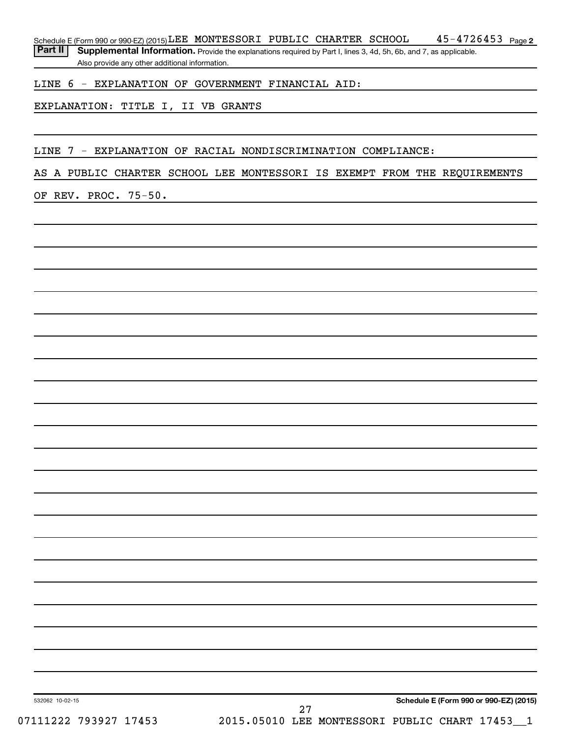$45 - 4726453$  Page 2 Schedule E (Form 990 or 990-EZ) (2015)  $\tt{\bf LEE}$  MONTESSORI PUBLIC CHARTER SCHOOL 45-4726453  $_{\tt Page}$ 

Part II | Supplemental Information. Provide the explanations required by Part I, lines 3, 4d, 5h, 6b, and 7, as applicable. Also provide any other additional information.

### LINE 6 - EXPLANATION OF GOVERNMENT FINANCIAL AID:

EXPLANATION: TITLE I, II VB GRANTS

#### LINE 7 - EXPLANATION OF RACIAL NONDISCRIMINATION COMPLIANCE:

### AS A PUBLIC CHARTER SCHOOL LEE MONTESSORI IS EXEMPT FROM THE REQUIREMENTS

OF REV. PROC. 75-50.

**Schedule E (Form 990 or 990-EZ) (2015)**

532062 10-02-15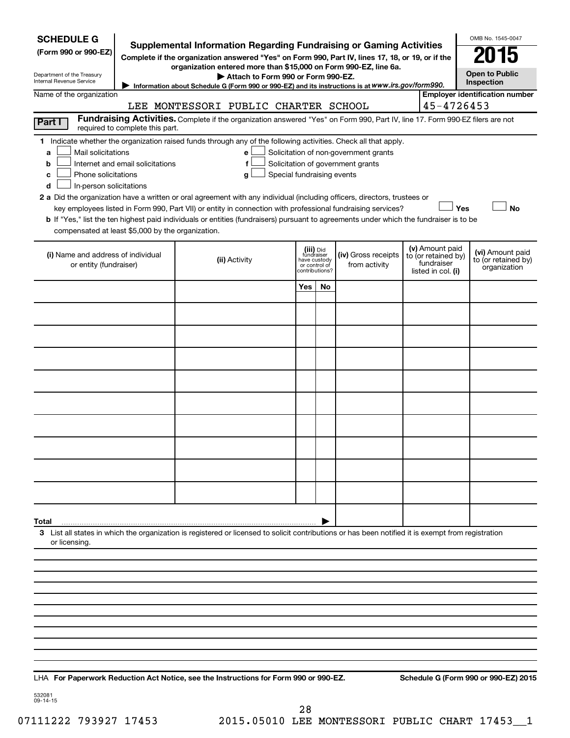| <b>SCHEDULE G</b><br>(Form 990 or 990-EZ)<br>Department of the Treasury<br>Internal Revenue Service |                                  | <b>Supplemental Information Regarding Fundraising or Gaming Activities</b><br>Complete if the organization answered "Yes" on Form 990, Part IV, lines 17, 18, or 19, or if the<br>organization entered more than \$15,000 on Form 990-EZ, line 6a.<br>Attach to Form 990 or Form 990-EZ.                                                                                                                                                                                                                                                           |                                                          |                |                                                                            |                                                                            | OMB No. 1545-0047<br><b>Open to Public</b><br>Inspection |
|-----------------------------------------------------------------------------------------------------|----------------------------------|----------------------------------------------------------------------------------------------------------------------------------------------------------------------------------------------------------------------------------------------------------------------------------------------------------------------------------------------------------------------------------------------------------------------------------------------------------------------------------------------------------------------------------------------------|----------------------------------------------------------|----------------|----------------------------------------------------------------------------|----------------------------------------------------------------------------|----------------------------------------------------------|
| Name of the organization                                                                            |                                  | Information about Schedule G (Form 990 or 990-EZ) and its instructions is at www.irs.gov/form990.                                                                                                                                                                                                                                                                                                                                                                                                                                                  |                                                          |                |                                                                            |                                                                            | <b>Employer identification number</b>                    |
|                                                                                                     |                                  | LEE MONTESSORI PUBLIC CHARTER SCHOOL                                                                                                                                                                                                                                                                                                                                                                                                                                                                                                               |                                                          |                |                                                                            | 45-4726453                                                                 |                                                          |
| Part I                                                                                              | required to complete this part.  | Fundraising Activities. Complete if the organization answered "Yes" on Form 990, Part IV, line 17. Form 990-EZ filers are not                                                                                                                                                                                                                                                                                                                                                                                                                      |                                                          |                |                                                                            |                                                                            |                                                          |
| Mail solicitations<br>a<br>b<br>Phone solicitations<br>c<br>In-person solicitations<br>d            | Internet and email solicitations | 1 Indicate whether the organization raised funds through any of the following activities. Check all that apply.<br>e<br>f<br>Special fundraising events<br>g<br>2 a Did the organization have a written or oral agreement with any individual (including officers, directors, trustees or<br>key employees listed in Form 990, Part VII) or entity in connection with professional fundraising services?<br>b If "Yes," list the ten highest paid individuals or entities (fundraisers) pursuant to agreements under which the fundraiser is to be |                                                          |                | Solicitation of non-government grants<br>Solicitation of government grants | Yes                                                                        | <b>No</b>                                                |
| compensated at least \$5,000 by the organization.                                                   |                                  |                                                                                                                                                                                                                                                                                                                                                                                                                                                                                                                                                    |                                                          |                |                                                                            |                                                                            |                                                          |
| (i) Name and address of individual<br>or entity (fundraiser)                                        |                                  | (ii) Activity                                                                                                                                                                                                                                                                                                                                                                                                                                                                                                                                      | (iii) Did<br>fundraiser<br>have custody<br>or control of | contributions? | (iv) Gross receipts<br>from activity                                       | (v) Amount paid<br>to (or retained by)<br>fundraiser<br>listed in col. (i) | (vi) Amount paid<br>to (or retained by)<br>organization  |
|                                                                                                     |                                  |                                                                                                                                                                                                                                                                                                                                                                                                                                                                                                                                                    | Yes                                                      | No             |                                                                            |                                                                            |                                                          |
|                                                                                                     |                                  |                                                                                                                                                                                                                                                                                                                                                                                                                                                                                                                                                    |                                                          |                |                                                                            |                                                                            |                                                          |
|                                                                                                     |                                  |                                                                                                                                                                                                                                                                                                                                                                                                                                                                                                                                                    |                                                          |                |                                                                            |                                                                            |                                                          |
|                                                                                                     |                                  |                                                                                                                                                                                                                                                                                                                                                                                                                                                                                                                                                    |                                                          |                |                                                                            |                                                                            |                                                          |
|                                                                                                     |                                  |                                                                                                                                                                                                                                                                                                                                                                                                                                                                                                                                                    |                                                          |                |                                                                            |                                                                            |                                                          |
|                                                                                                     |                                  |                                                                                                                                                                                                                                                                                                                                                                                                                                                                                                                                                    |                                                          |                |                                                                            |                                                                            |                                                          |
|                                                                                                     |                                  |                                                                                                                                                                                                                                                                                                                                                                                                                                                                                                                                                    |                                                          |                |                                                                            |                                                                            |                                                          |
|                                                                                                     |                                  |                                                                                                                                                                                                                                                                                                                                                                                                                                                                                                                                                    |                                                          |                |                                                                            |                                                                            |                                                          |
|                                                                                                     |                                  |                                                                                                                                                                                                                                                                                                                                                                                                                                                                                                                                                    |                                                          |                |                                                                            |                                                                            |                                                          |
|                                                                                                     |                                  |                                                                                                                                                                                                                                                                                                                                                                                                                                                                                                                                                    |                                                          |                |                                                                            |                                                                            |                                                          |
| Total                                                                                               |                                  |                                                                                                                                                                                                                                                                                                                                                                                                                                                                                                                                                    |                                                          |                |                                                                            |                                                                            |                                                          |
| or licensing.                                                                                       |                                  | 3 List all states in which the organization is registered or licensed to solicit contributions or has been notified it is exempt from registration                                                                                                                                                                                                                                                                                                                                                                                                 |                                                          |                |                                                                            |                                                                            |                                                          |
|                                                                                                     |                                  |                                                                                                                                                                                                                                                                                                                                                                                                                                                                                                                                                    |                                                          |                |                                                                            |                                                                            |                                                          |
|                                                                                                     |                                  |                                                                                                                                                                                                                                                                                                                                                                                                                                                                                                                                                    |                                                          |                |                                                                            |                                                                            |                                                          |
|                                                                                                     |                                  |                                                                                                                                                                                                                                                                                                                                                                                                                                                                                                                                                    |                                                          |                |                                                                            |                                                                            |                                                          |
|                                                                                                     |                                  |                                                                                                                                                                                                                                                                                                                                                                                                                                                                                                                                                    |                                                          |                |                                                                            |                                                                            |                                                          |
|                                                                                                     |                                  |                                                                                                                                                                                                                                                                                                                                                                                                                                                                                                                                                    |                                                          |                |                                                                            |                                                                            |                                                          |
|                                                                                                     |                                  |                                                                                                                                                                                                                                                                                                                                                                                                                                                                                                                                                    |                                                          |                |                                                                            |                                                                            |                                                          |
|                                                                                                     |                                  |                                                                                                                                                                                                                                                                                                                                                                                                                                                                                                                                                    |                                                          |                |                                                                            |                                                                            |                                                          |
|                                                                                                     |                                  |                                                                                                                                                                                                                                                                                                                                                                                                                                                                                                                                                    |                                                          |                |                                                                            |                                                                            |                                                          |

**For Paperwork Reduction Act Notice, see the Instructions for Form 990 or 990-EZ. Schedule G (Form 990 or 990-EZ) 2015** LHA

532081 09-14-15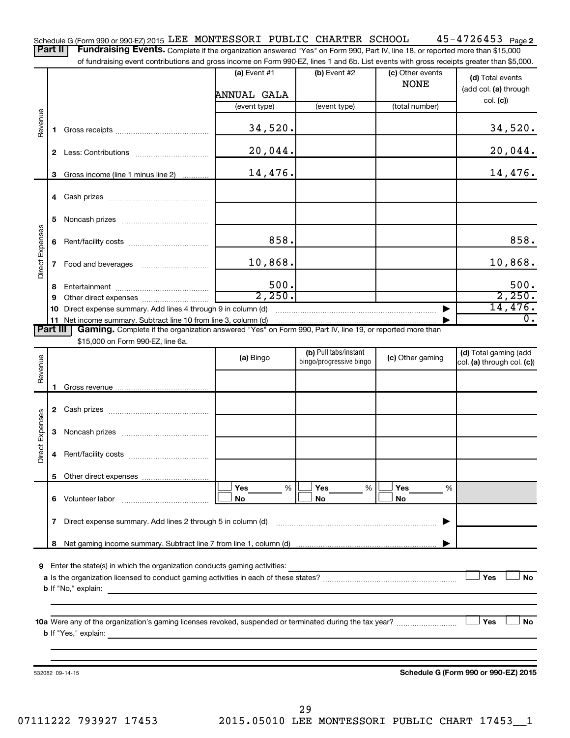45-4726453 Page 2 Schedule G (Form 990 or 990-EZ) 2015 LEE MONTESSORI PUBLIC CHARTER SCHOOL 45-4726453 Page Part II | Fundraising Events. Complete if the organization answered "Yes" on Form 990, Part IV, line 18, or reported more than \$15,000

|                 |    |                                                                                                                                                     | ANNUAL GALA  |                         | <b>NONE</b>      | (add col. (a) through      |
|-----------------|----|-----------------------------------------------------------------------------------------------------------------------------------------------------|--------------|-------------------------|------------------|----------------------------|
|                 |    |                                                                                                                                                     | (event type) | (event type)            | (total number)   | col. (c)                   |
| Revenue         | 1. |                                                                                                                                                     | 34,520.      |                         |                  | 34,520.                    |
|                 |    |                                                                                                                                                     | 20,044.      |                         |                  | 20,044.                    |
|                 | 3  | Gross income (line 1 minus line 2)                                                                                                                  | 14,476.      |                         |                  | 14,476.                    |
|                 | 4  |                                                                                                                                                     |              |                         |                  |                            |
|                 |    |                                                                                                                                                     |              |                         |                  |                            |
|                 | 5  |                                                                                                                                                     |              |                         |                  |                            |
| Direct Expenses | 6  |                                                                                                                                                     | 858.         |                         |                  | 858.                       |
|                 | 7  |                                                                                                                                                     | 10,868.      |                         |                  | 10,868.                    |
|                 | 8  |                                                                                                                                                     | 500.         |                         |                  | 500.                       |
|                 | 9  |                                                                                                                                                     | 2,250.       |                         |                  | 2,250.                     |
|                 | 10 | Direct expense summary. Add lines 4 through 9 in column (d)                                                                                         |              |                         |                  | 14,476.                    |
|                 | 11 | Net income summary. Subtract line 10 from line 3, column (d)                                                                                        |              |                         |                  | 0.                         |
| Part III        |    | Gaming. Complete if the organization answered "Yes" on Form 990, Part IV, line 19, or reported more than<br>\$15,000 on Form 990-EZ, line 6a.       |              |                         |                  |                            |
|                 |    |                                                                                                                                                     |              | (b) Pull tabs/instant   |                  | (d) Total gaming (add      |
| Revenue         |    |                                                                                                                                                     | (a) Bingo    | bingo/progressive bingo | (c) Other gaming | col. (a) through col. (c)) |
|                 |    |                                                                                                                                                     |              |                         |                  |                            |
|                 | 1  |                                                                                                                                                     |              |                         |                  |                            |
|                 |    |                                                                                                                                                     |              |                         |                  |                            |
|                 |    |                                                                                                                                                     |              |                         |                  |                            |
|                 | 3  |                                                                                                                                                     |              |                         |                  |                            |
| Direct Expenses | 4  |                                                                                                                                                     |              |                         |                  |                            |
|                 |    |                                                                                                                                                     |              |                         |                  |                            |
|                 |    |                                                                                                                                                     | %<br>Yes     | Yes<br>%                | Yes<br>%         |                            |
|                 | 6. | Volunteer labor                                                                                                                                     | No           | No                      | No               |                            |
|                 | 7  | Direct expense summary. Add lines 2 through 5 in column (d)                                                                                         |              |                         |                  |                            |
|                 | 8  |                                                                                                                                                     |              |                         |                  |                            |
|                 |    |                                                                                                                                                     |              |                         |                  |                            |
| 9               |    | Enter the state(s) in which the organization conducts gaming activities:                                                                            |              |                         |                  | <b>No</b>                  |
|                 |    | <b>b</b> If "No," explain:<br><u> 1989 - Johann Stoff, deutscher Stoff, der Stoff, der Stoff, der Stoff, der Stoff, der Stoff, der Stoff, der S</u> |              |                         |                  | Yes                        |
|                 |    |                                                                                                                                                     |              |                         |                  |                            |
|                 |    |                                                                                                                                                     |              |                         |                  |                            |
|                 |    |                                                                                                                                                     |              |                         |                  | Yes<br>No                  |
|                 |    |                                                                                                                                                     |              |                         |                  |                            |
|                 |    |                                                                                                                                                     |              |                         |                  |                            |

**Schedule G (Form 990 or 990-EZ) 2015**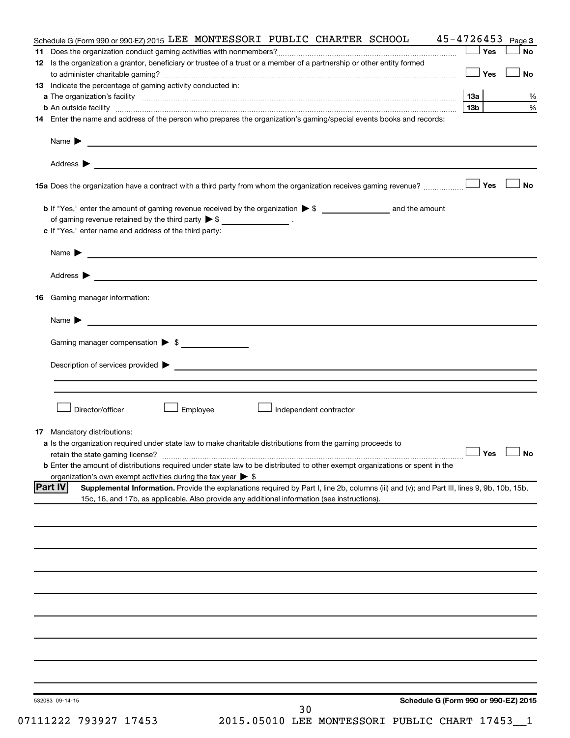| Schedule G (Form 990 or 990-EZ) 2015 LEE MONTESSORI PUBLIC CHARTER SCHOOL                                                                              | 45-4726453           | Page 3    |
|--------------------------------------------------------------------------------------------------------------------------------------------------------|----------------------|-----------|
|                                                                                                                                                        | ∣ Yes                | <b>No</b> |
| 12 Is the organization a grantor, beneficiary or trustee of a trust or a member of a partnership or other entity formed                                |                      |           |
|                                                                                                                                                        | 」Yes                 | <b>No</b> |
| <b>13</b> Indicate the percentage of gaming activity conducted in:                                                                                     |                      |           |
|                                                                                                                                                        |                      | %         |
|                                                                                                                                                        | 13 <sub>b</sub>      | %         |
| 14 Enter the name and address of the person who prepares the organization's gaming/special events books and records:                                   |                      |           |
|                                                                                                                                                        |                      |           |
| Address ><br><u>and the control of the control of the control of the control of the control of the control of the control of</u>                       |                      |           |
|                                                                                                                                                        |                      | <b>No</b> |
|                                                                                                                                                        |                      |           |
| of gaming revenue retained by the third party $\triangleright$ \$ _________________.                                                                   |                      |           |
| c If "Yes," enter name and address of the third party:                                                                                                 |                      |           |
| Name $\blacktriangleright$ $\lrcorner$                                                                                                                 |                      |           |
| Address $\blacktriangleright$<br><u> 1989 - Johann Stein, marwolaethau a bhann an t-Amhainn an t-Amhainn an t-Amhainn an t-Amhainn an t-Amhainn an</u> |                      |           |
|                                                                                                                                                        |                      |           |
| 16 Gaming manager information:                                                                                                                         |                      |           |
| <u> 1989 - Johann Barbara, martin da basar a shekara 1989 - An tsaran a shekara 1989 - An tsara 1989 - An tsara</u><br>Name $\blacktriangleright$      |                      |           |
| Gaming manager compensation > \$                                                                                                                       |                      |           |
|                                                                                                                                                        |                      |           |
|                                                                                                                                                        |                      |           |
|                                                                                                                                                        |                      |           |
|                                                                                                                                                        |                      |           |
| Director/officer<br>Employee<br>Independent contractor                                                                                                 |                      |           |
| <b>17</b> Mandatory distributions:                                                                                                                     |                      |           |
| a Is the organization required under state law to make charitable distributions from the gaming proceeds to                                            |                      |           |
|                                                                                                                                                        | $\Box$ Yes $\Box$ No |           |
| <b>b</b> Enter the amount of distributions required under state law to be distributed to other exempt organizations or spent in the                    |                      |           |
| organization's own exempt activities during the tax year $\triangleright$ \$                                                                           |                      |           |
| Part IV<br>Supplemental Information. Provide the explanations required by Part I, line 2b, columns (iii) and (v); and Part III, lines 9, 9b, 10b, 15b, |                      |           |
| 15c, 16, and 17b, as applicable. Also provide any additional information (see instructions).                                                           |                      |           |
|                                                                                                                                                        |                      |           |
|                                                                                                                                                        |                      |           |
|                                                                                                                                                        |                      |           |
|                                                                                                                                                        |                      |           |
|                                                                                                                                                        |                      |           |
|                                                                                                                                                        |                      |           |
|                                                                                                                                                        |                      |           |
|                                                                                                                                                        |                      |           |
|                                                                                                                                                        |                      |           |
|                                                                                                                                                        |                      |           |
|                                                                                                                                                        |                      |           |
|                                                                                                                                                        |                      |           |
|                                                                                                                                                        |                      |           |
| Schedule G (Form 990 or 990-EZ) 2015<br>532083 09-14-15<br>30                                                                                          |                      |           |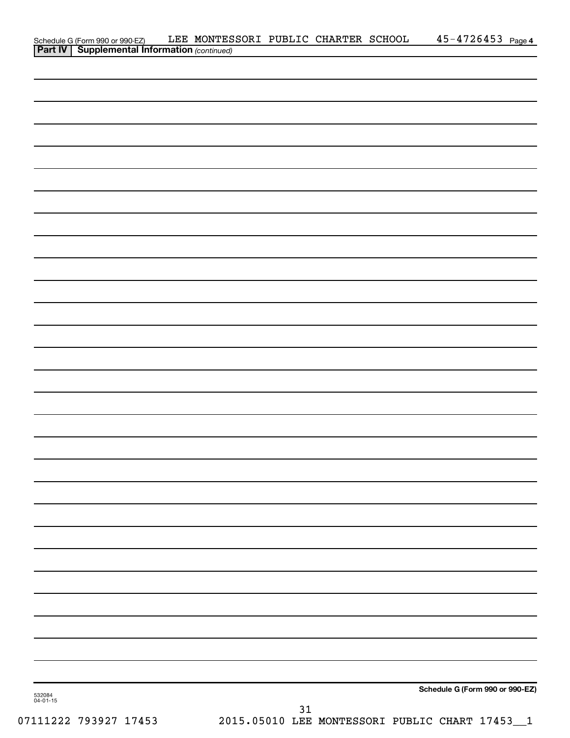| Schedule G (Form 990 or 990-EZ) LEE MONTES<br><b>Part IV   Supplemental Information</b> (continued) | LEE MONTESSORI PUBLIC CHARTER SCHOOL |    |  | $45 - 4726453$ Page 4           |  |
|-----------------------------------------------------------------------------------------------------|--------------------------------------|----|--|---------------------------------|--|
|                                                                                                     |                                      |    |  |                                 |  |
|                                                                                                     |                                      |    |  |                                 |  |
|                                                                                                     |                                      |    |  |                                 |  |
|                                                                                                     |                                      |    |  |                                 |  |
|                                                                                                     |                                      |    |  |                                 |  |
|                                                                                                     |                                      |    |  |                                 |  |
|                                                                                                     |                                      |    |  |                                 |  |
|                                                                                                     |                                      |    |  |                                 |  |
|                                                                                                     |                                      |    |  |                                 |  |
|                                                                                                     |                                      |    |  |                                 |  |
|                                                                                                     |                                      |    |  |                                 |  |
|                                                                                                     |                                      |    |  |                                 |  |
|                                                                                                     |                                      |    |  |                                 |  |
|                                                                                                     |                                      |    |  |                                 |  |
|                                                                                                     |                                      |    |  |                                 |  |
|                                                                                                     |                                      |    |  |                                 |  |
|                                                                                                     |                                      |    |  |                                 |  |
|                                                                                                     |                                      |    |  |                                 |  |
|                                                                                                     |                                      |    |  |                                 |  |
|                                                                                                     |                                      |    |  |                                 |  |
|                                                                                                     |                                      |    |  |                                 |  |
|                                                                                                     |                                      |    |  |                                 |  |
|                                                                                                     |                                      |    |  |                                 |  |
|                                                                                                     |                                      |    |  |                                 |  |
|                                                                                                     |                                      |    |  |                                 |  |
|                                                                                                     |                                      |    |  |                                 |  |
|                                                                                                     |                                      |    |  |                                 |  |
|                                                                                                     |                                      |    |  |                                 |  |
|                                                                                                     |                                      |    |  |                                 |  |
|                                                                                                     |                                      |    |  |                                 |  |
|                                                                                                     |                                      |    |  |                                 |  |
|                                                                                                     |                                      |    |  |                                 |  |
|                                                                                                     |                                      |    |  |                                 |  |
|                                                                                                     |                                      |    |  |                                 |  |
|                                                                                                     |                                      |    |  |                                 |  |
|                                                                                                     |                                      |    |  |                                 |  |
|                                                                                                     |                                      |    |  |                                 |  |
|                                                                                                     |                                      |    |  | Schedule G (Form 990 or 990-EZ) |  |
| 532084<br>04-01-15                                                                                  |                                      | 31 |  |                                 |  |
|                                                                                                     |                                      |    |  |                                 |  |

07111222 793927 17453 2015.05010 LEE MONTESSORI PUBLIC CHART 17453 1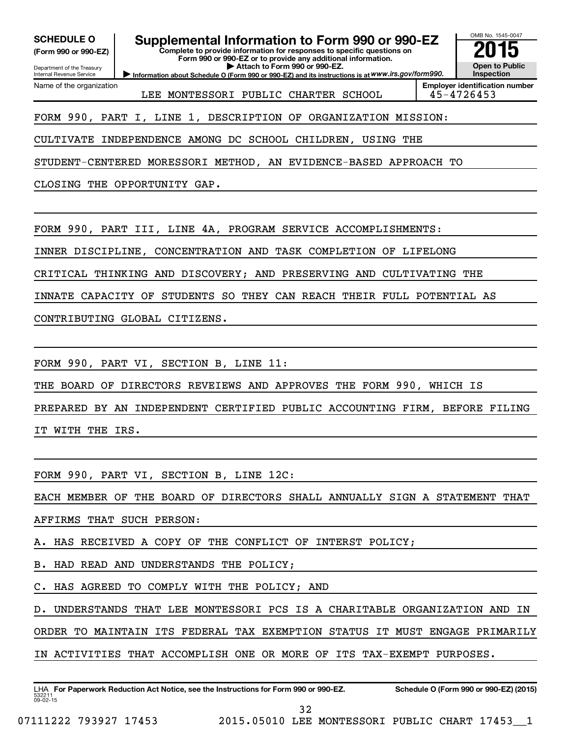**(Form 990 or 990-EZ)**

Department of the Treasury Internal Revenue Service

Name of the organization

**Complete to provide information for responses to specific questions on Form 990 or 990-EZ or to provide any additional information. | Attach to Form 990 or 990-EZ.** SCHEDULE O **Supplemental Information to Form 990 or 990-EZ** 2015<br>(Form 990 or 990-EZ) Complete to provide information for responses to specific questions on

**Information about Schedule O (Form 990 or 990-EZ) and its instructions is at WWW.irs.gov/form990.** 

OMB No. 1545-0047 **Open to Public Inspection**

LEE MONTESSORI PUBLIC CHARTER SCHOOL 45-4726453

**Employer identification number**

## FORM 990, PART I, LINE 1, DESCRIPTION OF ORGANIZATION MISSION:

CULTIVATE INDEPENDENCE AMONG DC SCHOOL CHILDREN, USING THE

STUDENT-CENTERED MORESSORI METHOD, AN EVIDENCE-BASED APPROACH TO

CLOSING THE OPPORTUNITY GAP.

FORM 990, PART III, LINE 4A, PROGRAM SERVICE ACCOMPLISHMENTS:

INNER DISCIPLINE, CONCENTRATION AND TASK COMPLETION OF LIFELONG

CRITICAL THINKING AND DISCOVERY; AND PRESERVING AND CULTIVATING THE

INNATE CAPACITY OF STUDENTS SO THEY CAN REACH THEIR FULL POTENTIAL AS

CONTRIBUTING GLOBAL CITIZENS.

FORM 990, PART VI, SECTION B, LINE 11:

THE BOARD OF DIRECTORS REVEIEWS AND APPROVES THE FORM 990, WHICH IS

PREPARED BY AN INDEPENDENT CERTIFIED PUBLIC ACCOUNTING FIRM, BEFORE FILING

IT WITH THE IRS.

FORM 990, PART VI, SECTION B, LINE 12C:

EACH MEMBER OF THE BOARD OF DIRECTORS SHALL ANNUALLY SIGN A STATEMENT THAT

AFFIRMS THAT SUCH PERSON:

HAS RECEIVED A COPY OF THE CONFLICT OF INTERST POLICY;

B. HAD READ AND UNDERSTANDS THE POLICY;

C. HAS AGREED TO COMPLY WITH THE POLICY; AND

D. UNDERSTANDS THAT LEE MONTESSORI PCS IS A CHARITABLE ORGANIZATION AND IN

ORDER TO MAINTAIN ITS FEDERAL TAX EXEMPTION STATUS IT MUST ENGAGE PRIMARILY

IN ACTIVITIES THAT ACCOMPLISH ONE OR MORE OF ITS TAX-EXEMPT PURPOSES.